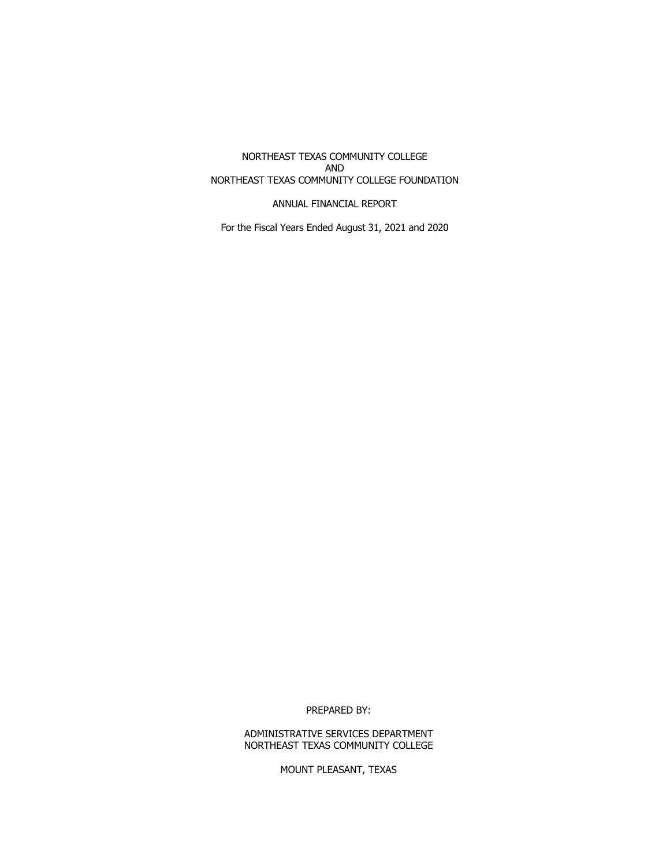NORTHEAST TEXAS COMMUNITY COLLEGE AND NORTHEAST TEXAS COMMUNITY COLLEGE FOUNDATION

ANNUAL FINANCIAL REPORT

For the Fiscal Years Ended August 31, 2021 and 2020

PREPARED BY:

ADMINISTRATIVE SERVICES DEPARTMENT NORTHEAST TEXAS COMMUNITY COLLEGE

MOUNT PLEASANT, TEXAS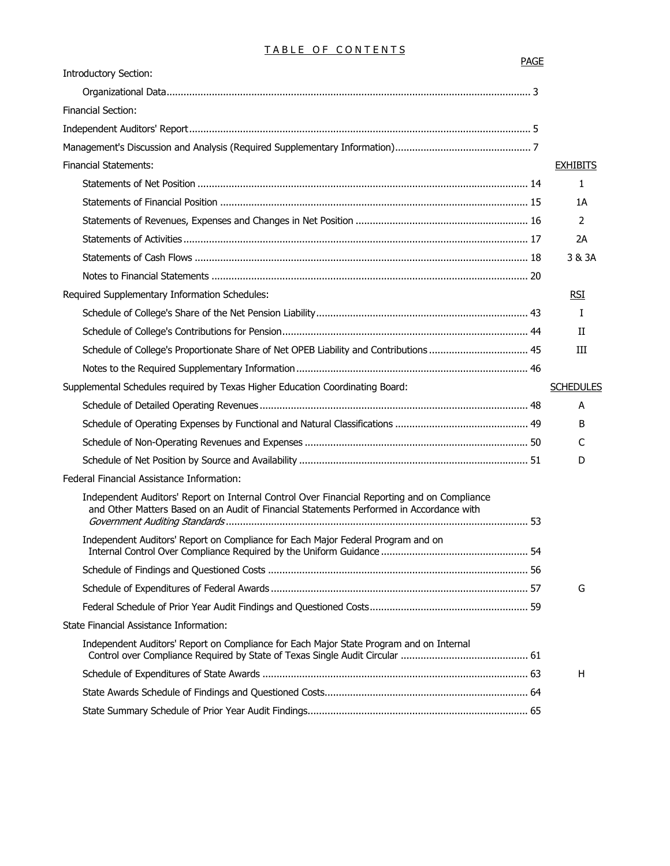# TABLE OF CONTENTS

| <b>PAGE</b>                                                                                                                                                                             |                  |
|-----------------------------------------------------------------------------------------------------------------------------------------------------------------------------------------|------------------|
| <b>Introductory Section:</b>                                                                                                                                                            |                  |
|                                                                                                                                                                                         |                  |
| <b>Financial Section:</b>                                                                                                                                                               |                  |
|                                                                                                                                                                                         |                  |
|                                                                                                                                                                                         |                  |
| <b>Financial Statements:</b>                                                                                                                                                            | <b>EXHIBITS</b>  |
|                                                                                                                                                                                         | 1                |
|                                                                                                                                                                                         | 1A               |
|                                                                                                                                                                                         | 2                |
|                                                                                                                                                                                         | 2A               |
|                                                                                                                                                                                         | 3 & 3A           |
|                                                                                                                                                                                         |                  |
| Required Supplementary Information Schedules:                                                                                                                                           | <b>RSI</b>       |
|                                                                                                                                                                                         | T                |
|                                                                                                                                                                                         | П                |
| Schedule of College's Proportionate Share of Net OPEB Liability and Contributions 45                                                                                                    | Ш                |
|                                                                                                                                                                                         |                  |
| Supplemental Schedules required by Texas Higher Education Coordinating Board:                                                                                                           | <b>SCHEDULES</b> |
|                                                                                                                                                                                         | A                |
|                                                                                                                                                                                         | B                |
|                                                                                                                                                                                         | C                |
|                                                                                                                                                                                         | D                |
| Federal Financial Assistance Information:                                                                                                                                               |                  |
| Independent Auditors' Report on Internal Control Over Financial Reporting and on Compliance<br>and Other Matters Based on an Audit of Financial Statements Performed in Accordance with |                  |
| Independent Auditors' Report on Compliance for Each Major Federal Program and on                                                                                                        |                  |
|                                                                                                                                                                                         |                  |
|                                                                                                                                                                                         |                  |
|                                                                                                                                                                                         | G                |
|                                                                                                                                                                                         |                  |
| State Financial Assistance Information:                                                                                                                                                 |                  |
| Independent Auditors' Report on Compliance for Each Major State Program and on Internal                                                                                                 |                  |
|                                                                                                                                                                                         | н                |
|                                                                                                                                                                                         |                  |
|                                                                                                                                                                                         |                  |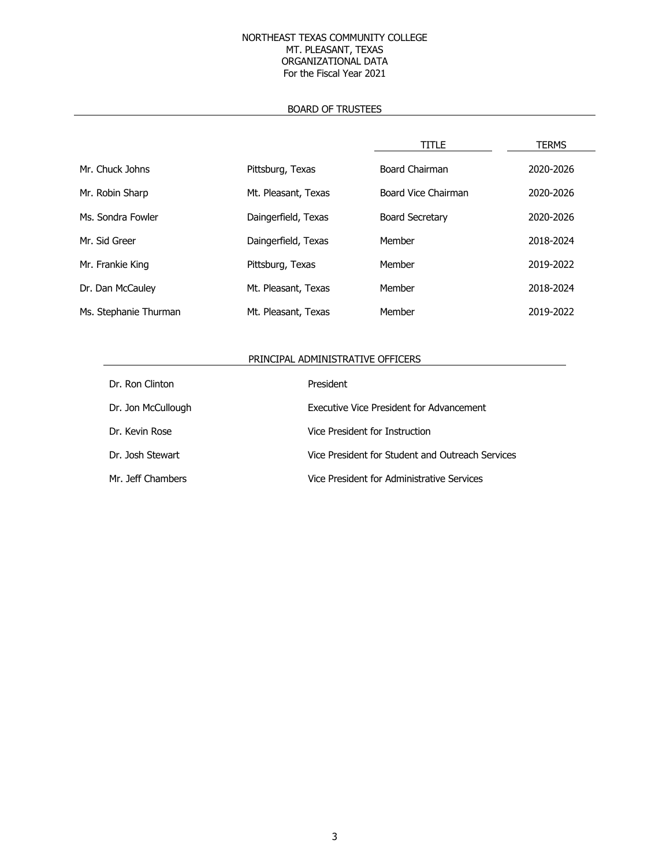# NORTHEAST TEXAS COMMUNITY COLLEGE MT. PLEASANT, TEXAS ORGANIZATIONAL DATA For the Fiscal Year 2021

# BOARD OF TRUSTEES

|                       |                     | TITLE                  | TERMS     |
|-----------------------|---------------------|------------------------|-----------|
| Mr. Chuck Johns       | Pittsburg, Texas    | Board Chairman         | 2020-2026 |
| Mr. Robin Sharp       | Mt. Pleasant, Texas | Board Vice Chairman    | 2020-2026 |
| Ms. Sondra Fowler     | Daingerfield, Texas | <b>Board Secretary</b> | 2020-2026 |
| Mr. Sid Greer         | Daingerfield, Texas | Member                 | 2018-2024 |
| Mr. Frankie King      | Pittsburg, Texas    | Member                 | 2019-2022 |
| Dr. Dan McCauley      | Mt. Pleasant, Texas | Member                 | 2018-2024 |
| Ms. Stephanie Thurman | Mt. Pleasant, Texas | Member                 | 2019-2022 |

# PRINCIPAL ADMINISTRATIVE OFFICERS

| Dr. Ron Clinton    | President                                        |
|--------------------|--------------------------------------------------|
| Dr. Jon McCullough | Executive Vice President for Advancement         |
| Dr. Kevin Rose     | Vice President for Instruction                   |
| Dr. Josh Stewart   | Vice President for Student and Outreach Services |
| Mr. Jeff Chambers  | Vice President for Administrative Services       |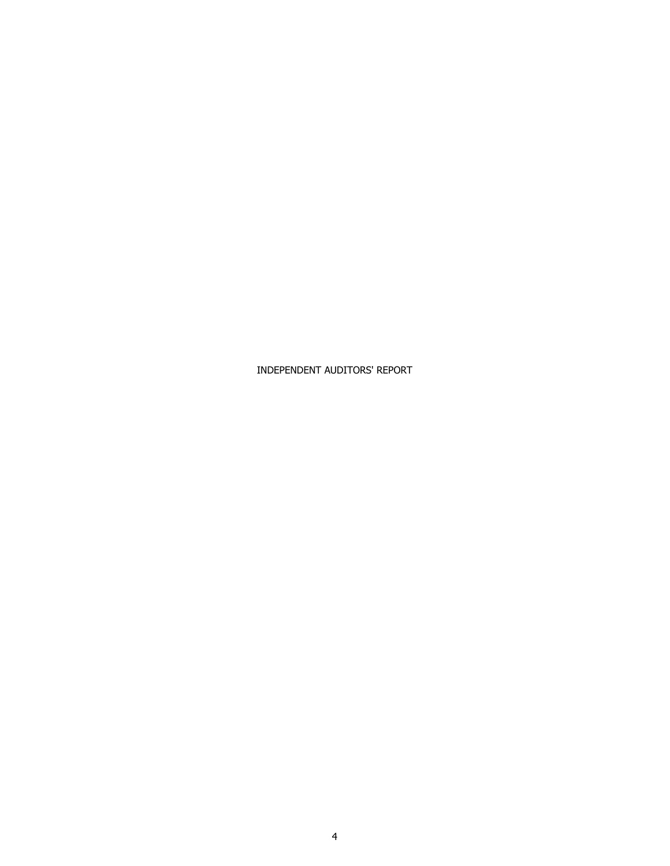INDEPENDENT AUDITORS' REPORT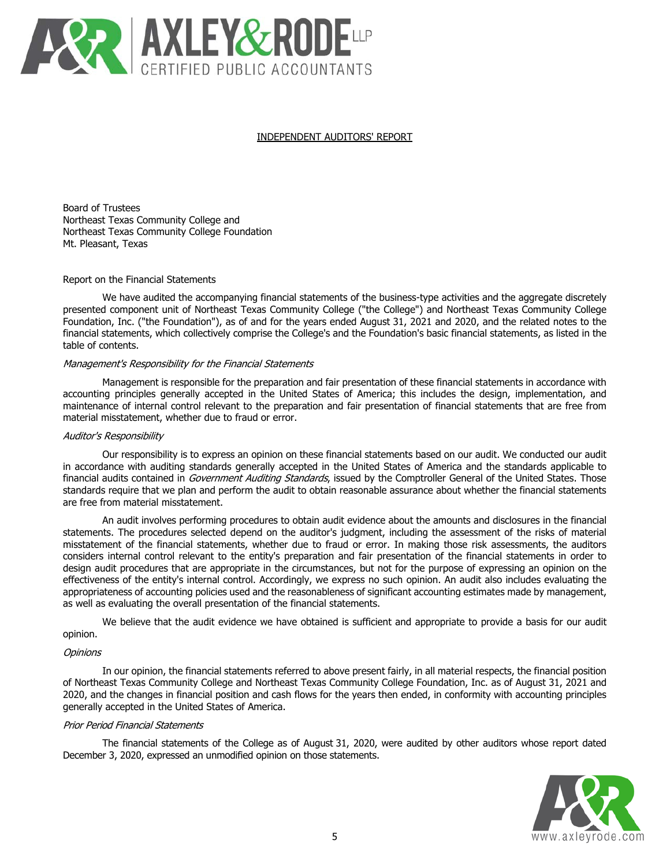

### INDEPENDENT AUDITORS' REPORT

Board of Trustees Northeast Texas Community College and Northeast Texas Community College Foundation Mt. Pleasant, Texas

# Report on the Financial Statements

We have audited the accompanying financial statements of the business-type activities and the aggregate discretely presented component unit of Northeast Texas Community College ("the College") and Northeast Texas Community College Foundation, Inc. ("the Foundation"), as of and for the years ended August 31, 2021 and 2020, and the related notes to the financial statements, which collectively comprise the College's and the Foundation's basic financial statements, as listed in the table of contents.

### Management's Responsibility for the Financial Statements

 Management is responsible for the preparation and fair presentation of these financial statements in accordance with accounting principles generally accepted in the United States of America; this includes the design, implementation, and maintenance of internal control relevant to the preparation and fair presentation of financial statements that are free from material misstatement, whether due to fraud or error.

### Auditor's Responsibility

 Our responsibility is to express an opinion on these financial statements based on our audit. We conducted our audit in accordance with auditing standards generally accepted in the United States of America and the standards applicable to financial audits contained in *Government Auditing Standards*, issued by the Comptroller General of the United States. Those standards require that we plan and perform the audit to obtain reasonable assurance about whether the financial statements are free from material misstatement.

 An audit involves performing procedures to obtain audit evidence about the amounts and disclosures in the financial statements. The procedures selected depend on the auditor's judgment, including the assessment of the risks of material misstatement of the financial statements, whether due to fraud or error. In making those risk assessments, the auditors considers internal control relevant to the entity's preparation and fair presentation of the financial statements in order to design audit procedures that are appropriate in the circumstances, but not for the purpose of expressing an opinion on the effectiveness of the entity's internal control. Accordingly, we express no such opinion. An audit also includes evaluating the appropriateness of accounting policies used and the reasonableness of significant accounting estimates made by management, as well as evaluating the overall presentation of the financial statements.

 We believe that the audit evidence we have obtained is sufficient and appropriate to provide a basis for our audit opinion.

### **Opinions**

 In our opinion, the financial statements referred to above present fairly, in all material respects, the financial position of Northeast Texas Community College and Northeast Texas Community College Foundation, Inc. as of August 31, 2021 and 2020, and the changes in financial position and cash flows for the years then ended, in conformity with accounting principles generally accepted in the United States of America.

### Prior Period Financial Statements

 The financial statements of the College as of August 31, 2020, were audited by other auditors whose report dated December 3, 2020, expressed an unmodified opinion on those statements.

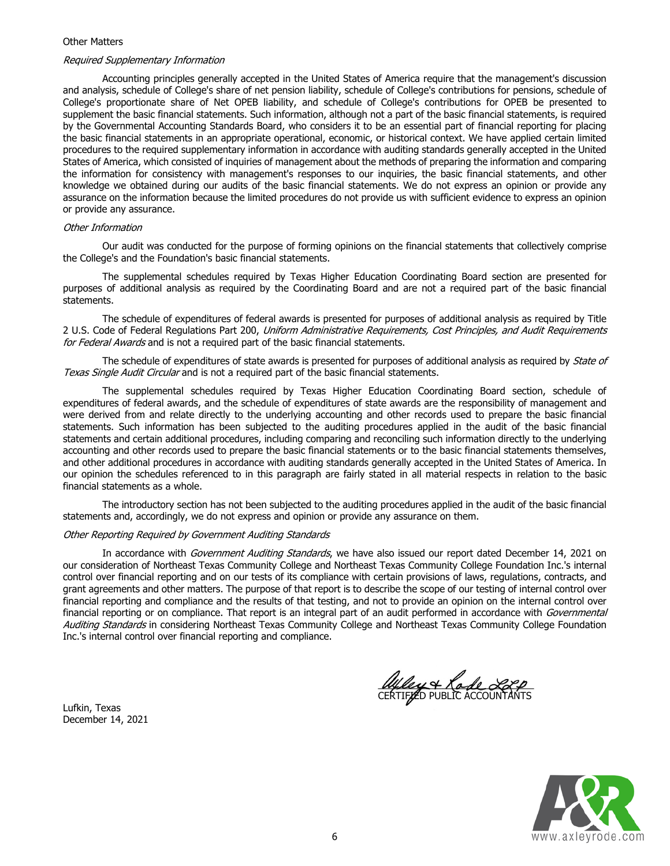### Other Matters

## Required Supplementary Information

 Accounting principles generally accepted in the United States of America require that the management's discussion and analysis, schedule of College's share of net pension liability, schedule of College's contributions for pensions, schedule of College's proportionate share of Net OPEB liability, and schedule of College's contributions for OPEB be presented to supplement the basic financial statements. Such information, although not a part of the basic financial statements, is required by the Governmental Accounting Standards Board, who considers it to be an essential part of financial reporting for placing the basic financial statements in an appropriate operational, economic, or historical context. We have applied certain limited procedures to the required supplementary information in accordance with auditing standards generally accepted in the United States of America, which consisted of inquiries of management about the methods of preparing the information and comparing the information for consistency with management's responses to our inquiries, the basic financial statements, and other knowledge we obtained during our audits of the basic financial statements. We do not express an opinion or provide any assurance on the information because the limited procedures do not provide us with sufficient evidence to express an opinion or provide any assurance.

### Other Information

 Our audit was conducted for the purpose of forming opinions on the financial statements that collectively comprise the College's and the Foundation's basic financial statements.

 The supplemental schedules required by Texas Higher Education Coordinating Board section are presented for purposes of additional analysis as required by the Coordinating Board and are not a required part of the basic financial statements.

 The schedule of expenditures of federal awards is presented for purposes of additional analysis as required by Title 2 U.S. Code of Federal Regulations Part 200, Uniform Administrative Requirements, Cost Principles, and Audit Requirements for Federal Awards and is not a required part of the basic financial statements.

The schedule of expenditures of state awards is presented for purposes of additional analysis as required by State of Texas Single Audit Circular and is not a required part of the basic financial statements.

 The supplemental schedules required by Texas Higher Education Coordinating Board section, schedule of expenditures of federal awards, and the schedule of expenditures of state awards are the responsibility of management and were derived from and relate directly to the underlying accounting and other records used to prepare the basic financial statements. Such information has been subjected to the auditing procedures applied in the audit of the basic financial statements and certain additional procedures, including comparing and reconciling such information directly to the underlying accounting and other records used to prepare the basic financial statements or to the basic financial statements themselves, and other additional procedures in accordance with auditing standards generally accepted in the United States of America. In our opinion the schedules referenced to in this paragraph are fairly stated in all material respects in relation to the basic financial statements as a whole.

 The introductory section has not been subjected to the auditing procedures applied in the audit of the basic financial statements and, accordingly, we do not express and opinion or provide any assurance on them.

### Other Reporting Required by Government Auditing Standards

In accordance with Government Auditing Standards, we have also issued our report dated December 14, 2021 on our consideration of Northeast Texas Community College and Northeast Texas Community College Foundation Inc.'s internal control over financial reporting and on our tests of its compliance with certain provisions of laws, regulations, contracts, and grant agreements and other matters. The purpose of that report is to describe the scope of our testing of internal control over financial reporting and compliance and the results of that testing, and not to provide an opinion on the internal control over financial reporting or on compliance. That report is an integral part of an audit performed in accordance with Governmental Auditing Standards in considering Northeast Texas Community College and Northeast Texas Community College Foundation Inc.'s internal control over financial reporting and compliance.

 $Mlll$ **CERTIFIED PUBLIC ACCOUNTANTS** 

Lufkin, Texas December 14, 2021

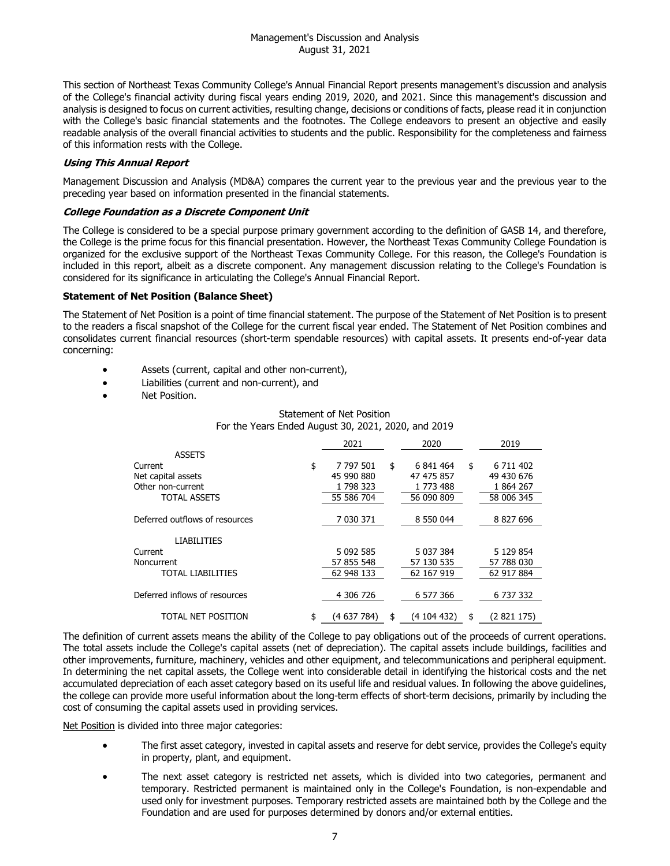This section of Northeast Texas Community College's Annual Financial Report presents management's discussion and analysis of the College's financial activity during fiscal years ending 2019, 2020, and 2021. Since this management's discussion and analysis is designed to focus on current activities, resulting change, decisions or conditions of facts, please read it in conjunction with the College's basic financial statements and the footnotes. The College endeavors to present an objective and easily readable analysis of the overall financial activities to students and the public. Responsibility for the completeness and fairness of this information rests with the College.

# **Using This Annual Report**

Management Discussion and Analysis (MD&A) compares the current year to the previous year and the previous year to the preceding year based on information presented in the financial statements.

# **College Foundation as a Discrete Component Unit**

The College is considered to be a special purpose primary government according to the definition of GASB 14, and therefore, the College is the prime focus for this financial presentation. However, the Northeast Texas Community College Foundation is organized for the exclusive support of the Northeast Texas Community College. For this reason, the College's Foundation is included in this report, albeit as a discrete component. Any management discussion relating to the College's Foundation is considered for its significance in articulating the College's Annual Financial Report.

# **Statement of Net Position (Balance Sheet)**

The Statement of Net Position is a point of time financial statement. The purpose of the Statement of Net Position is to present to the readers a fiscal snapshot of the College for the current fiscal year ended. The Statement of Net Position combines and consolidates current financial resources (short-term spendable resources) with capital assets. It presents end-of-year data concerning:

- Assets (current, capital and other non-current),
- Liabilities (current and non-current), and
- Net Position.

### Statement of Net Position For the Years Ended August 30, 2021, 2020, and 2019

|                                                                                            | 2021                                                   | 2020                                                     | 2019                                                   |
|--------------------------------------------------------------------------------------------|--------------------------------------------------------|----------------------------------------------------------|--------------------------------------------------------|
| <b>ASSETS</b><br>Current<br>Net capital assets<br>Other non-current<br><b>TOTAL ASSETS</b> | \$<br>7 797 501<br>45 990 880<br>1798323<br>55 586 704 | \$<br>6 841 464<br>47 475 857<br>1 773 488<br>56 090 809 | \$<br>6 711 402<br>49 430 676<br>1864267<br>58 006 345 |
| Deferred outflows of resources                                                             | 7 030 371                                              | 8 550 044                                                | 8 827 696                                              |
| <b>LIABILITIES</b><br>Current<br>Noncurrent<br>TOTAL LIABILITIES                           | 5 092 585<br>57 855 548<br>62 948 133                  | 5 037 384<br>57 130 535<br>62 167 919                    | 5 129 854<br>57 788 030<br>62 917 884                  |
| Deferred inflows of resources                                                              | 4 306 726                                              | 6 577 366                                                | 6 737 332                                              |
| TOTAL NET POSITION                                                                         | \$<br>(4 637 784)                                      | \$<br>(4 104 432)                                        | \$<br>(2 821 175)                                      |

The definition of current assets means the ability of the College to pay obligations out of the proceeds of current operations. The total assets include the College's capital assets (net of depreciation). The capital assets include buildings, facilities and other improvements, furniture, machinery, vehicles and other equipment, and telecommunications and peripheral equipment. In determining the net capital assets, the College went into considerable detail in identifying the historical costs and the net accumulated depreciation of each asset category based on its useful life and residual values. In following the above guidelines, the college can provide more useful information about the long-term effects of short-term decisions, primarily by including the cost of consuming the capital assets used in providing services.

Net Position is divided into three major categories:

- The first asset category, invested in capital assets and reserve for debt service, provides the College's equity in property, plant, and equipment.
- The next asset category is restricted net assets, which is divided into two categories, permanent and temporary. Restricted permanent is maintained only in the College's Foundation, is non-expendable and used only for investment purposes. Temporary restricted assets are maintained both by the College and the Foundation and are used for purposes determined by donors and/or external entities.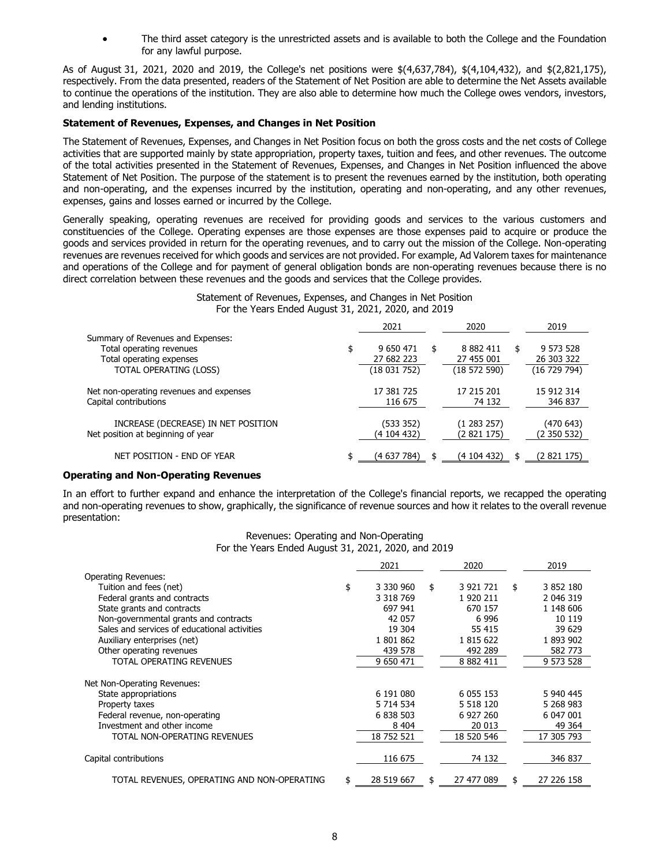• The third asset category is the unrestricted assets and is available to both the College and the Foundation for any lawful purpose.

As of August 31, 2021, 2020 and 2019, the College's net positions were \$(4,637,784), \$(4,104,432), and \$(2,821,175), respectively. From the data presented, readers of the Statement of Net Position are able to determine the Net Assets available to continue the operations of the institution. They are also able to determine how much the College owes vendors, investors, and lending institutions.

### **Statement of Revenues, Expenses, and Changes in Net Position**

The Statement of Revenues, Expenses, and Changes in Net Position focus on both the gross costs and the net costs of College activities that are supported mainly by state appropriation, property taxes, tuition and fees, and other revenues. The outcome of the total activities presented in the Statement of Revenues, Expenses, and Changes in Net Position influenced the above Statement of Net Position. The purpose of the statement is to present the revenues earned by the institution, both operating and non-operating, and the expenses incurred by the institution, operating and non-operating, and any other revenues, expenses, gains and losses earned or incurred by the College.

Generally speaking, operating revenues are received for providing goods and services to the various customers and constituencies of the College. Operating expenses are those expenses are those expenses paid to acquire or produce the goods and services provided in return for the operating revenues, and to carry out the mission of the College. Non-operating revenues are revenues received for which goods and services are not provided. For example, Ad Valorem taxes for maintenance and operations of the College and for payment of general obligation bonds are non-operating revenues because there is no direct correlation between these revenues and the goods and services that the College provides.

# Statement of Revenues, Expenses, and Changes in Net Position For the Years Ended August 31, 2021, 2020, and 2019

|                                                                                                                     | 2021                                          |    | 2020                                        | 2019                                          |
|---------------------------------------------------------------------------------------------------------------------|-----------------------------------------------|----|---------------------------------------------|-----------------------------------------------|
| Summary of Revenues and Expenses:<br>Total operating revenues<br>Total operating expenses<br>TOTAL OPERATING (LOSS) | \$<br>9 650 471<br>27 682 223<br>(18 031 752) | \$ | 8 8 8 2 4 1 1<br>27 455 001<br>(18 572 590) | \$<br>9 573 528<br>26 303 322<br>(16 729 794) |
| Net non-operating revenues and expenses<br>Capital contributions                                                    | 17 381 725<br>116 675                         |    | 17 215 201<br>74 132                        | 15 912 314<br>346 837                         |
| INCREASE (DECREASE) IN NET POSITION<br>Net position at beginning of year                                            | (533 352)<br>(4 104 432)                      |    | (1 283 257)<br>(2 821 175)                  | (470 643)<br>(2 350 532)                      |
| NET POSITION - END OF YEAR                                                                                          | (4 637 784)                                   | S  | (4 104 432)                                 | \$<br>(2821175)                               |

### **Operating and Non-Operating Revenues**

In an effort to further expand and enhance the interpretation of the College's financial reports, we recapped the operating and non-operating revenues to show, graphically, the significance of revenue sources and how it relates to the overall revenue presentation:

# Revenues: Operating and Non-Operating For the Years Ended August 31, 2021, 2020, and 2019

|                                              |    | 2021         | 2020              | 2019             |
|----------------------------------------------|----|--------------|-------------------|------------------|
| <b>Operating Revenues:</b>                   |    |              |                   |                  |
| Tuition and fees (net)                       | \$ | 3 330 960    | \$<br>3 9 21 7 21 | \$<br>3 852 180  |
| Federal grants and contracts                 |    | 3 3 18 7 6 9 | 1 920 211         | 2 046 319        |
| State grants and contracts                   |    | 697 941      | 670 157           | 1 148 606        |
| Non-governmental grants and contracts        |    | 42 057       | 6996              | 10 119           |
| Sales and services of educational activities |    | 19 304       | 55 415            | 39 629           |
| Auxiliary enterprises (net)                  |    | 1801862      | 1 815 622         | 1 893 902        |
| Other operating revenues                     |    | 439 578      | 492 289           | 582 773          |
| TOTAL OPERATING REVENUES                     |    | 9 650 471    | 8 8 8 2 4 1 1     | 9 573 528        |
| Net Non-Operating Revenues:                  |    |              |                   |                  |
| State appropriations                         |    | 6 191 080    | 6 055 153         | 5 940 445        |
| Property taxes                               |    | 5 714 534    | 5 5 18 1 20       | 5 268 983        |
| Federal revenue, non-operating               |    | 6 838 503    | 6 927 260         | 6 047 001        |
| Investment and other income                  |    | 8 4 0 4      | 20 013            | 49 364           |
| TOTAL NON-OPERATING REVENUES                 |    | 18 752 521   | 18 520 546        | 17 305 793       |
| Capital contributions                        |    | 116 675      | 74 132            | 346 837          |
| TOTAL REVENUES, OPERATING AND NON-OPERATING  | S  | 28 519 667   | \$<br>27 477 089  | \$<br>27 226 158 |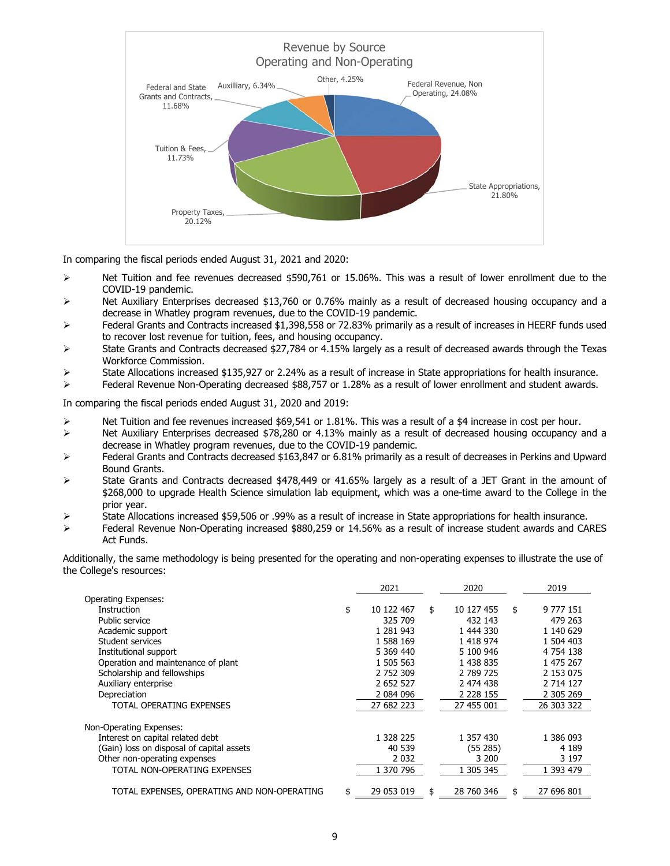

In comparing the fiscal periods ended August 31, 2021 and 2020:

- Net Tuition and fee revenues decreased \$590,761 or 15.06%. This was a result of lower enrollment due to the COVID-19 pandemic.
- Net Auxiliary Enterprises decreased \$13,760 or 0.76% mainly as a result of decreased housing occupancy and a decrease in Whatley program revenues, due to the COVID-19 pandemic.
- $\triangleright$  Federal Grants and Contracts increased \$1,398,558 or 72.83% primarily as a result of increases in HEERF funds used to recover lost revenue for tuition, fees, and housing occupancy.
- $\triangleright$  State Grants and Contracts decreased \$27,784 or 4.15% largely as a result of decreased awards through the Texas Workforce Commission.
- $\triangleright$  State Allocations increased \$135,927 or 2.24% as a result of increase in State appropriations for health insurance.
- Federal Revenue Non-Operating decreased \$88,757 or 1.28% as a result of lower enrollment and student awards.

In comparing the fiscal periods ended August 31, 2020 and 2019:

- $\triangleright$  Net Tuition and fee revenues increased \$69,541 or 1.81%. This was a result of a \$4 increase in cost per hour.
- Net Auxiliary Enterprises decreased \$78,280 or 4.13% mainly as a result of decreased housing occupancy and a decrease in Whatley program revenues, due to the COVID-19 pandemic.
- Federal Grants and Contracts decreased \$163,847 or 6.81% primarily as a result of decreases in Perkins and Upward Bound Grants.
- State Grants and Contracts decreased \$478,449 or 41.65% largely as a result of a JET Grant in the amount of \$268,000 to upgrade Health Science simulation lab equipment, which was a one-time award to the College in the prior year.
- $\triangleright$  State Allocations increased \$59,506 or .99% as a result of increase in State appropriations for health insurance.
- Federal Revenue Non-Operating increased \$880,259 or 14.56% as a result of increase student awards and CARES Act Funds.

Additionally, the same methodology is being presented for the operating and non-operating expenses to illustrate the use of the College's resources:

|                                             | 2021             | 2020             | 2019             |
|---------------------------------------------|------------------|------------------|------------------|
| <b>Operating Expenses:</b>                  |                  |                  |                  |
| Instruction                                 | \$<br>10 122 467 | \$<br>10 127 455 | \$<br>9 777 151  |
| Public service                              | 325 709          | 432 143          | 479 263          |
| Academic support                            | 1 281 943        | 1 444 330        | 1 140 629        |
| Student services                            | 1 588 169        | 1 418 974        | 1 504 403        |
| Institutional support                       | 5 369 440        | 5 100 946        | 4 754 138        |
| Operation and maintenance of plant          | 1 505 563        | 1 438 835        | 1 475 267        |
| Scholarship and fellowships                 | 2 752 309        | 2 789 725        | 2 153 075        |
| Auxiliary enterprise                        | 2 652 527        | 2 474 438        | 2 714 127        |
| Depreciation                                | 2 084 096        | 2 2 2 1 5 5      | 2 305 269        |
| TOTAL OPERATING EXPENSES                    | 27 682 223       | 27 455 001       | 26 303 322       |
| Non-Operating Expenses:                     |                  |                  |                  |
| Interest on capital related debt            | 1 328 225        | 1 357 430        | 1 386 093        |
| (Gain) loss on disposal of capital assets   | 40 539           | (55285)          | 4 1 8 9          |
| Other non-operating expenses                | 2 0 3 2          | 3 200            | 3 197            |
| TOTAL NON-OPERATING EXPENSES                | 1 370 796        | 1 305 345        | 1 393 479        |
| TOTAL EXPENSES, OPERATING AND NON-OPERATING | \$<br>29 053 019 | \$<br>28 760 346 | \$<br>27 696 801 |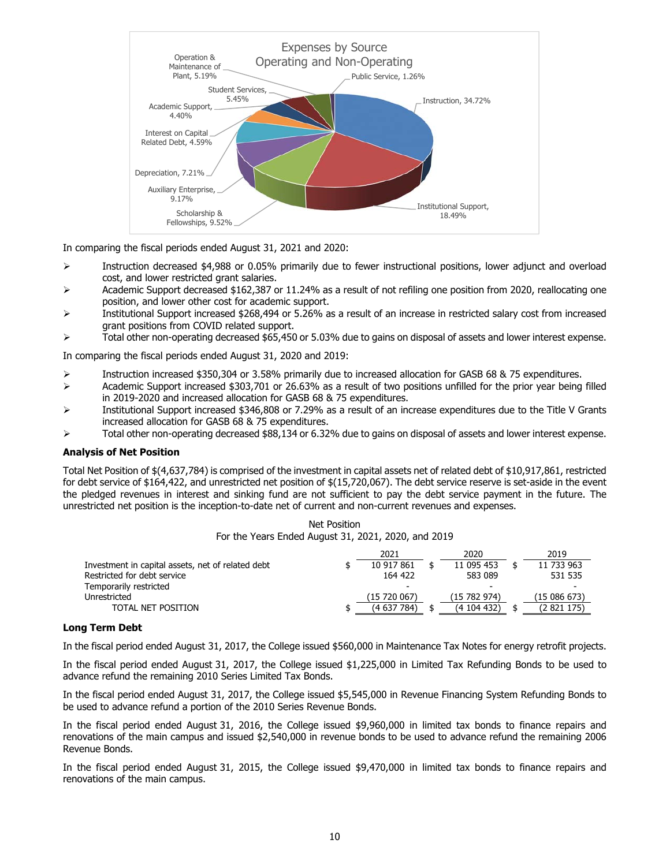

In comparing the fiscal periods ended August 31, 2021 and 2020:

- > Instruction decreased \$4,988 or 0.05% primarily due to fewer instructional positions, lower adjunct and overload cost, and lower restricted grant salaries.
- Academic Support decreased \$162,387 or 11.24% as a result of not refiling one position from 2020, reallocating one position, and lower other cost for academic support.
- $\triangleright$  Institutional Support increased \$268,494 or 5.26% as a result of an increase in restricted salary cost from increased grant positions from COVID related support.
- Total other non-operating decreased \$65,450 or 5.03% due to gains on disposal of assets and lower interest expense.

In comparing the fiscal periods ended August 31, 2020 and 2019:

- Instruction increased \$350,304 or 3.58% primarily due to increased allocation for GASB 68 & 75 expenditures.
- $\triangleright$  Academic Support increased \$303,701 or 26.63% as a result of two positions unfilled for the prior year being filled in 2019-2020 and increased allocation for GASB 68 & 75 expenditures.
- $\triangleright$  Institutional Support increased \$346,808 or 7.29% as a result of an increase expenditures due to the Title V Grants increased allocation for GASB 68 & 75 expenditures.
- Total other non-operating decreased \$88,134 or 6.32% due to gains on disposal of assets and lower interest expense.

### **Analysis of Net Position**

Total Net Position of \$(4,637,784) is comprised of the investment in capital assets net of related debt of \$10,917,861, restricted for debt service of \$164,422, and unrestricted net position of \$(15,720,067). The debt service reserve is set-aside in the event the pledged revenues in interest and sinking fund are not sufficient to pay the debt service payment in the future. The unrestricted net position is the inception-to-date net of current and non-current revenues and expenses.

Net Position For the Years Ended August 31, 2021, 2020, and 2019

|                                                   | 2021        | 2020         | 2019         |
|---------------------------------------------------|-------------|--------------|--------------|
| Investment in capital assets, net of related debt | 10 917 861  | 11 095 453   | 11 733 963   |
| Restricted for debt service                       | 164 422     | 583 089      | 531 535      |
| Temporarily restricted                            |             |              |              |
| Unrestricted                                      | (15720067)  | (15 782 974) | (15 086 673) |
| TOTAL NET POSITION                                | (4 637 784) | (4 104 432)  | (2 821 175)  |

### **Long Term Debt**

In the fiscal period ended August 31, 2017, the College issued \$560,000 in Maintenance Tax Notes for energy retrofit projects.

In the fiscal period ended August 31, 2017, the College issued \$1,225,000 in Limited Tax Refunding Bonds to be used to advance refund the remaining 2010 Series Limited Tax Bonds.

In the fiscal period ended August 31, 2017, the College issued \$5,545,000 in Revenue Financing System Refunding Bonds to be used to advance refund a portion of the 2010 Series Revenue Bonds.

In the fiscal period ended August 31, 2016, the College issued \$9,960,000 in limited tax bonds to finance repairs and renovations of the main campus and issued \$2,540,000 in revenue bonds to be used to advance refund the remaining 2006 Revenue Bonds.

In the fiscal period ended August 31, 2015, the College issued \$9,470,000 in limited tax bonds to finance repairs and renovations of the main campus.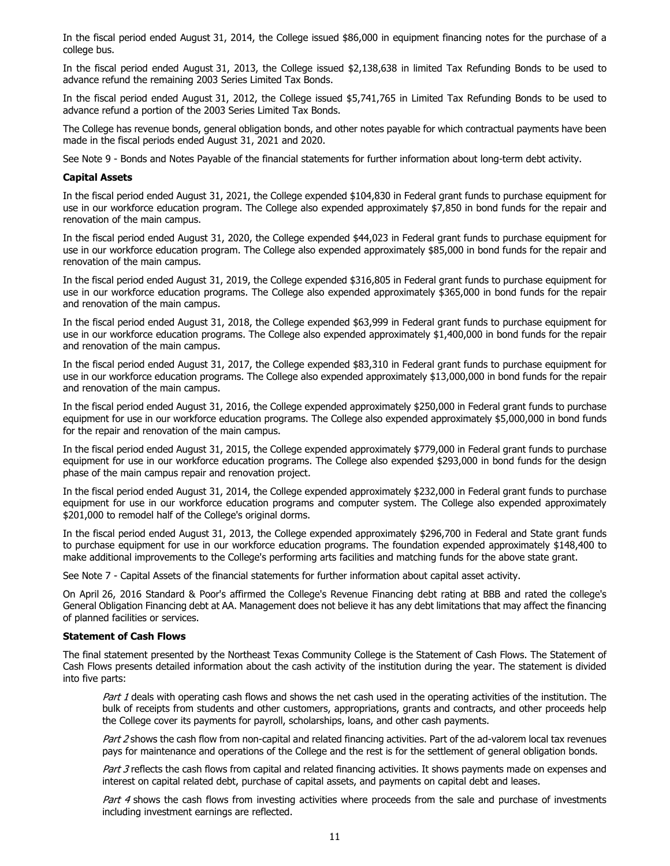In the fiscal period ended August 31, 2014, the College issued \$86,000 in equipment financing notes for the purchase of a college bus.

In the fiscal period ended August 31, 2013, the College issued \$2,138,638 in limited Tax Refunding Bonds to be used to advance refund the remaining 2003 Series Limited Tax Bonds.

In the fiscal period ended August 31, 2012, the College issued \$5,741,765 in Limited Tax Refunding Bonds to be used to advance refund a portion of the 2003 Series Limited Tax Bonds.

The College has revenue bonds, general obligation bonds, and other notes payable for which contractual payments have been made in the fiscal periods ended August 31, 2021 and 2020.

See Note 9 - Bonds and Notes Payable of the financial statements for further information about long-term debt activity.

### **Capital Assets**

In the fiscal period ended August 31, 2021, the College expended \$104,830 in Federal grant funds to purchase equipment for use in our workforce education program. The College also expended approximately \$7,850 in bond funds for the repair and renovation of the main campus.

In the fiscal period ended August 31, 2020, the College expended \$44,023 in Federal grant funds to purchase equipment for use in our workforce education program. The College also expended approximately \$85,000 in bond funds for the repair and renovation of the main campus.

In the fiscal period ended August 31, 2019, the College expended \$316,805 in Federal grant funds to purchase equipment for use in our workforce education programs. The College also expended approximately \$365,000 in bond funds for the repair and renovation of the main campus.

In the fiscal period ended August 31, 2018, the College expended \$63,999 in Federal grant funds to purchase equipment for use in our workforce education programs. The College also expended approximately \$1,400,000 in bond funds for the repair and renovation of the main campus.

In the fiscal period ended August 31, 2017, the College expended \$83,310 in Federal grant funds to purchase equipment for use in our workforce education programs. The College also expended approximately \$13,000,000 in bond funds for the repair and renovation of the main campus.

In the fiscal period ended August 31, 2016, the College expended approximately \$250,000 in Federal grant funds to purchase equipment for use in our workforce education programs. The College also expended approximately \$5,000,000 in bond funds for the repair and renovation of the main campus.

In the fiscal period ended August 31, 2015, the College expended approximately \$779,000 in Federal grant funds to purchase equipment for use in our workforce education programs. The College also expended \$293,000 in bond funds for the design phase of the main campus repair and renovation project.

In the fiscal period ended August 31, 2014, the College expended approximately \$232,000 in Federal grant funds to purchase equipment for use in our workforce education programs and computer system. The College also expended approximately \$201,000 to remodel half of the College's original dorms.

In the fiscal period ended August 31, 2013, the College expended approximately \$296,700 in Federal and State grant funds to purchase equipment for use in our workforce education programs. The foundation expended approximately \$148,400 to make additional improvements to the College's performing arts facilities and matching funds for the above state grant.

See Note 7 - Capital Assets of the financial statements for further information about capital asset activity.

On April 26, 2016 Standard & Poor's affirmed the College's Revenue Financing debt rating at BBB and rated the college's General Obligation Financing debt at AA. Management does not believe it has any debt limitations that may affect the financing of planned facilities or services.

### **Statement of Cash Flows**

The final statement presented by the Northeast Texas Community College is the Statement of Cash Flows. The Statement of Cash Flows presents detailed information about the cash activity of the institution during the year. The statement is divided into five parts:

Part 1 deals with operating cash flows and shows the net cash used in the operating activities of the institution. The bulk of receipts from students and other customers, appropriations, grants and contracts, and other proceeds help the College cover its payments for payroll, scholarships, loans, and other cash payments.

Part 2 shows the cash flow from non-capital and related financing activities. Part of the ad-valorem local tax revenues pays for maintenance and operations of the College and the rest is for the settlement of general obligation bonds.

Part 3 reflects the cash flows from capital and related financing activities. It shows payments made on expenses and interest on capital related debt, purchase of capital assets, and payments on capital debt and leases.

Part 4 shows the cash flows from investing activities where proceeds from the sale and purchase of investments including investment earnings are reflected.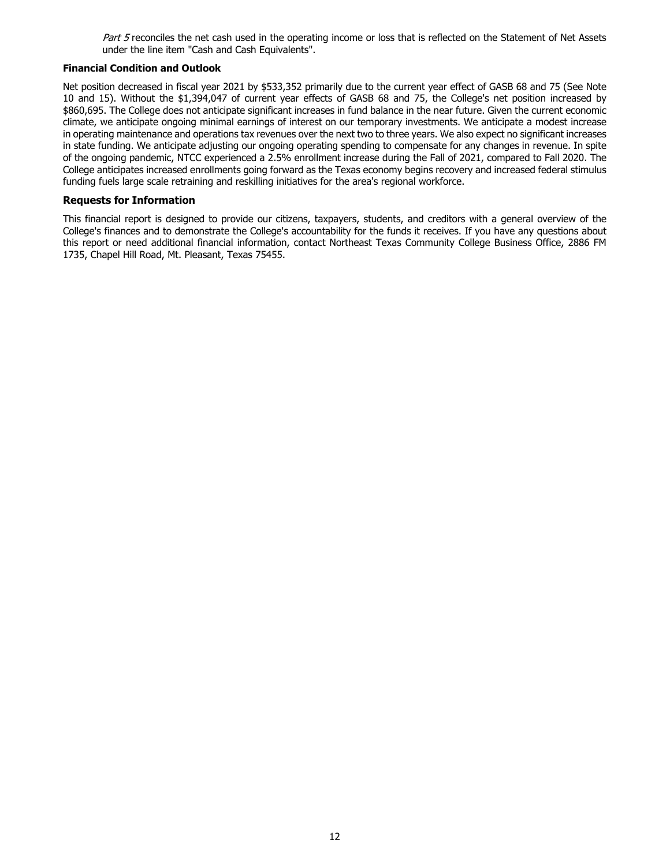Part 5 reconciles the net cash used in the operating income or loss that is reflected on the Statement of Net Assets under the line item "Cash and Cash Equivalents".

## **Financial Condition and Outlook**

Net position decreased in fiscal year 2021 by \$533,352 primarily due to the current year effect of GASB 68 and 75 (See Note 10 and 15). Without the \$1,394,047 of current year effects of GASB 68 and 75, the College's net position increased by \$860,695. The College does not anticipate significant increases in fund balance in the near future. Given the current economic climate, we anticipate ongoing minimal earnings of interest on our temporary investments. We anticipate a modest increase in operating maintenance and operations tax revenues over the next two to three years. We also expect no significant increases in state funding. We anticipate adjusting our ongoing operating spending to compensate for any changes in revenue. In spite of the ongoing pandemic, NTCC experienced a 2.5% enrollment increase during the Fall of 2021, compared to Fall 2020. The College anticipates increased enrollments going forward as the Texas economy begins recovery and increased federal stimulus funding fuels large scale retraining and reskilling initiatives for the area's regional workforce.

# **Requests for Information**

This financial report is designed to provide our citizens, taxpayers, students, and creditors with a general overview of the College's finances and to demonstrate the College's accountability for the funds it receives. If you have any questions about this report or need additional financial information, contact Northeast Texas Community College Business Office, 2886 FM 1735, Chapel Hill Road, Mt. Pleasant, Texas 75455.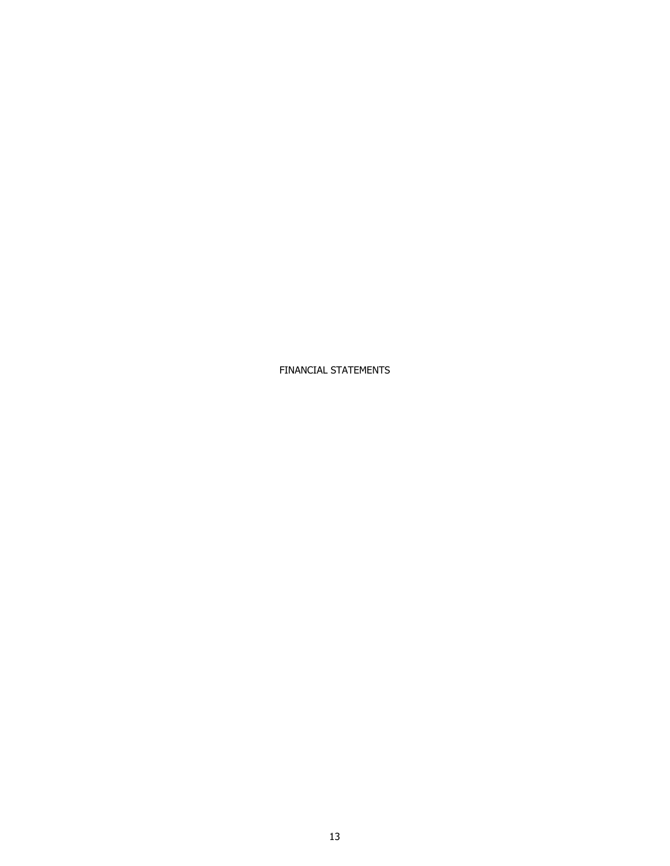FINANCIAL STATEMENTS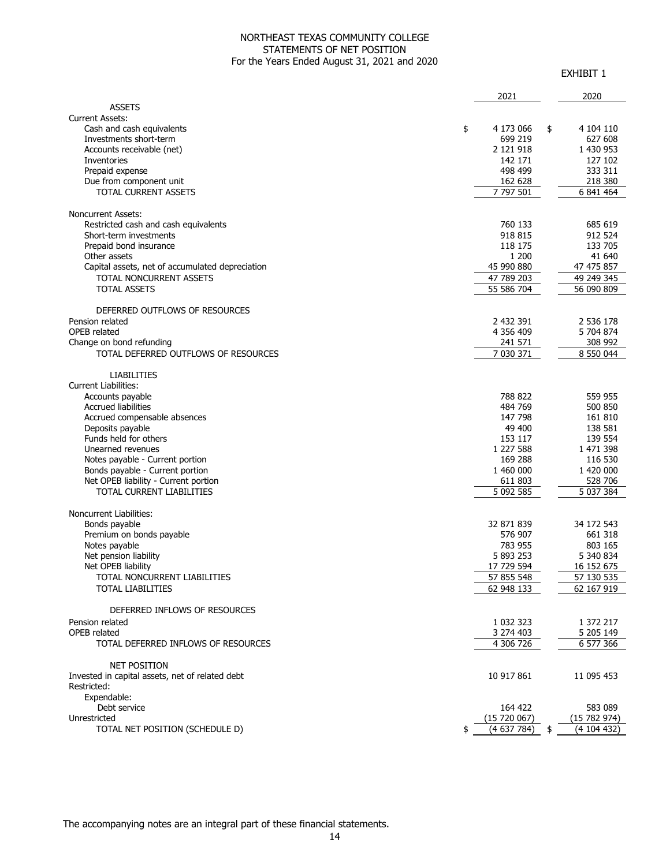# NORTHEAST TEXAS COMMUNITY COLLEGE STATEMENTS OF NET POSITION For the Years Ended August 31, 2021 and 2020

EXHIBIT 1

|                                                                         | 2021                   | 2020                   |
|-------------------------------------------------------------------------|------------------------|------------------------|
| <b>ASSETS</b>                                                           |                        |                        |
| <b>Current Assets:</b>                                                  |                        |                        |
| Cash and cash equivalents                                               | \$<br>4 173 066        | \$<br>4 104 110        |
| Investments short-term                                                  | 699 219                | 627 608                |
| Accounts receivable (net)                                               | 2 121 918              | 1 430 953              |
| Inventories<br>Prepaid expense                                          | 142 171<br>498 499     | 127 102<br>333 311     |
| Due from component unit                                                 | 162 628                | 218 380                |
| <b>TOTAL CURRENT ASSETS</b>                                             | 7 797 501              | 6 841 464              |
|                                                                         |                        |                        |
| <b>Noncurrent Assets:</b>                                               |                        |                        |
| Restricted cash and cash equivalents                                    | 760 133                | 685 619                |
| Short-term investments                                                  | 918 815                | 912 524                |
| Prepaid bond insurance                                                  | 118 175                | 133 705                |
| Other assets                                                            | 1 200                  | 41 640                 |
| Capital assets, net of accumulated depreciation                         | 45 990 880             | 47 475 857             |
| TOTAL NONCURRENT ASSETS                                                 | 47 789 203             | 49 249 345             |
| <b>TOTAL ASSETS</b>                                                     | 55 586 704             | 56 090 809             |
|                                                                         |                        |                        |
| DEFERRED OUTFLOWS OF RESOURCES                                          |                        |                        |
| Pension related<br><b>OPEB</b> related                                  | 2 432 391<br>4 356 409 | 2 536 178<br>5 704 874 |
| Change on bond refunding                                                | 241 571                | 308 992                |
| TOTAL DEFERRED OUTFLOWS OF RESOURCES                                    | 7 030 371              | 8 550 044              |
|                                                                         |                        |                        |
| <b>LIABILITIES</b>                                                      |                        |                        |
| <b>Current Liabilities:</b>                                             |                        |                        |
| Accounts payable                                                        | 788 822                | 559 955                |
| <b>Accrued liabilities</b>                                              | 484 769                | 500 850                |
| Accrued compensable absences                                            | 147 798                | 161 810                |
| Deposits payable                                                        | 49 400                 | 138 581                |
| Funds held for others                                                   | 153 117                | 139 554                |
| Unearned revenues                                                       | 1 227 588              | 1 471 398              |
| Notes payable - Current portion                                         | 169 288                | 116 530                |
| Bonds payable - Current portion<br>Net OPEB liability - Current portion | 1 460 000<br>611 803   | 1 420 000<br>528 706   |
| TOTAL CURRENT LIABILITIES                                               | 5 092 585              | 5 037 384              |
|                                                                         |                        |                        |
| Noncurrent Liabilities:                                                 |                        |                        |
| Bonds payable                                                           | 32 871 839             | 34 172 543             |
| Premium on bonds payable                                                | 576 907                | 661 318                |
| Notes payable                                                           | 783 955                | 803 165                |
| Net pension liability                                                   | 5 893 253              | 5 340 834              |
| Net OPEB liability                                                      | 17 729 594             | 16 152 675             |
| TOTAL NONCURRENT LIABILITIES                                            | 57 855 548             | 57 130 535             |
| <b>TOTAL LIABILITIES</b>                                                | 62 948 133             | 62 167 919             |
|                                                                         |                        |                        |
| DEFERRED INFLOWS OF RESOURCES                                           |                        |                        |
| Pension related                                                         | 1 032 323              | 1 372 217              |
| OPEB related                                                            | 3 274 403              | 5 205 149              |
| TOTAL DEFERRED INFLOWS OF RESOURCES                                     | 4 306 726              | 6 577 366              |
| NET POSITION                                                            |                        |                        |
| Invested in capital assets, net of related debt                         | 10 917 861             | 11 095 453             |
| Restricted:                                                             |                        |                        |
| Expendable:                                                             |                        |                        |
| Debt service                                                            | 164 422                | 583 089                |
| Unrestricted                                                            | (15720067)             | (15782974)             |
| TOTAL NET POSITION (SCHEDULE D)                                         | (4637784)              | (4104432)              |

The accompanying notes are an integral part of these financial statements.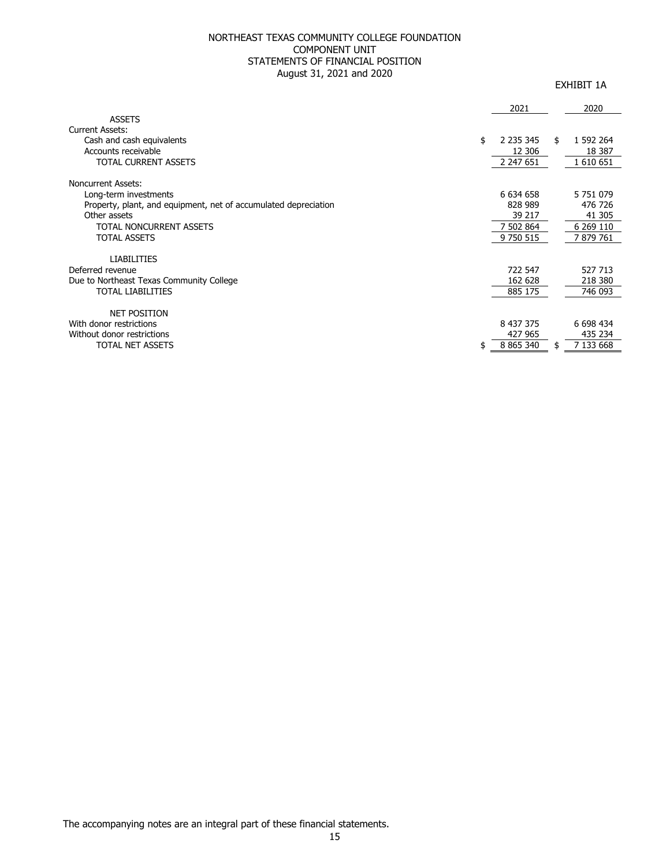# NORTHEAST TEXAS COMMUNITY COLLEGE FOUNDATION COMPONENT UNIT STATEMENTS OF FINANCIAL POSITION August 31, 2021 and 2020

| EXHIBIT 1A |
|------------|
|------------|

| <b>ASSETS</b>                                                   |    | 2021          | 2020            |
|-----------------------------------------------------------------|----|---------------|-----------------|
| <b>Current Assets:</b>                                          |    |               |                 |
| Cash and cash equivalents                                       | \$ | 2 2 3 3 4 5   | \$<br>1 592 264 |
| Accounts receivable                                             |    | 12 306        | 18 3 8 7        |
| <b>TOTAL CURRENT ASSETS</b>                                     |    | 2 247 651     | 1 610 651       |
| Noncurrent Assets:                                              |    |               |                 |
| Long-term investments                                           |    | 6 634 658     | 5 751 079       |
| Property, plant, and equipment, net of accumulated depreciation |    | 828 989       | 476 726         |
| Other assets                                                    |    | 39 217        | 41 305          |
| TOTAL NONCURRENT ASSETS                                         |    | 7 502 864     | 6 269 110       |
| <b>TOTAL ASSETS</b>                                             |    | 9 750 515     | 7879761         |
| <b>LIABILITIES</b>                                              |    |               |                 |
| Deferred revenue                                                |    | 722 547       | 527 713         |
| Due to Northeast Texas Community College                        |    | 162 628       | 218 380         |
| <b>TOTAL LIABILITIES</b>                                        |    | 885 175       | 746 093         |
|                                                                 |    |               |                 |
| <b>NET POSITION</b>                                             |    |               |                 |
| With donor restrictions                                         |    | 8 437 375     | 6 698 434       |
| Without donor restrictions                                      |    | 427 965       | 435 234         |
| TOTAL NET ASSETS                                                | S  | 8 8 6 5 3 4 0 | \$<br>7 133 668 |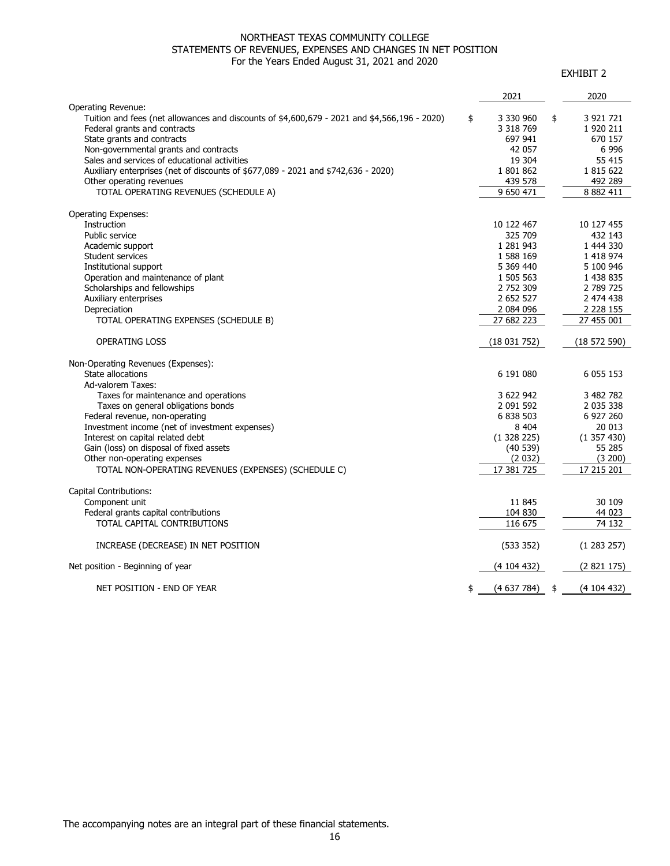### NORTHEAST TEXAS COMMUNITY COLLEGE STATEMENTS OF REVENUES, EXPENSES AND CHANGES IN NET POSITION For the Years Ended August 31, 2021 and 2020

# EXHIBIT 2

|                                                                                              | 2021            | 2020             |
|----------------------------------------------------------------------------------------------|-----------------|------------------|
| Operating Revenue:                                                                           |                 |                  |
| Tuition and fees (net allowances and discounts of \$4,600,679 - 2021 and \$4,566,196 - 2020) | \$<br>3 330 960 | \$<br>3 921 721  |
| Federal grants and contracts                                                                 | 3 3 18 7 69     | 1 920 211        |
| State grants and contracts                                                                   | 697 941         | 670 157          |
| Non-governmental grants and contracts                                                        | 42 057          | 6 9 9 6          |
| Sales and services of educational activities                                                 | 19 304          | 55 415           |
| Auxiliary enterprises (net of discounts of \$677,089 - 2021 and \$742,636 - 2020)            | 1801862         | 1 815 622        |
| Other operating revenues                                                                     | 439 578         | 492 289          |
| TOTAL OPERATING REVENUES (SCHEDULE A)                                                        | 9 650 471       | 8 8 8 2 4 1 1    |
| <b>Operating Expenses:</b>                                                                   |                 |                  |
| Instruction                                                                                  | 10 122 467      | 10 127 455       |
| Public service                                                                               | 325 709         | 432 143          |
| Academic support                                                                             | 1 281 943       | 1 444 330        |
| Student services                                                                             | 1 588 169       | 1 418 974        |
| Institutional support                                                                        | 5 369 440       | 5 100 946        |
| Operation and maintenance of plant                                                           | 1 505 563       | 1 438 835        |
| Scholarships and fellowships                                                                 | 2 752 309       | 2 789 725        |
| Auxiliary enterprises                                                                        | 2 652 527       | 2 474 438        |
| Depreciation                                                                                 | 2 084 096       | 2 2 2 1 5 5      |
| TOTAL OPERATING EXPENSES (SCHEDULE B)                                                        | 27 682 223      | 27 455 001       |
|                                                                                              |                 |                  |
| <b>OPERATING LOSS</b>                                                                        | (18031752)      | (18 572 590)     |
| Non-Operating Revenues (Expenses):                                                           |                 |                  |
| State allocations                                                                            | 6 191 080       | 6 055 153        |
| Ad-valorem Taxes:                                                                            |                 |                  |
| Taxes for maintenance and operations                                                         | 3 622 942       | 3 482 782        |
| Taxes on general obligations bonds                                                           | 2 091 592       | 2 035 338        |
| Federal revenue, non-operating                                                               | 6 838 503       | 6 927 260        |
| Investment income (net of investment expenses)                                               | 8 4 0 4         | 20 013           |
| Interest on capital related debt                                                             | (1328225)       | (1357430)        |
| Gain (loss) on disposal of fixed assets                                                      | (40539)         | 55 285           |
| Other non-operating expenses                                                                 | (2 032)         | (3 200)          |
| TOTAL NON-OPERATING REVENUES (EXPENSES) (SCHEDULE C)                                         | 17 381 725      | 17 215 201       |
|                                                                                              |                 |                  |
| Capital Contributions:                                                                       | 11 845          |                  |
| Component unit                                                                               |                 | 30 109<br>44 023 |
| Federal grants capital contributions                                                         | 104 830         |                  |
| TOTAL CAPITAL CONTRIBUTIONS                                                                  | 116 675         | 74 132           |
| INCREASE (DECREASE) IN NET POSITION                                                          | (533 352)       | (1283257)        |
| Net position - Beginning of year                                                             | (4104432)       | (2821175)        |
| NET POSITION - END OF YEAR                                                                   | \$<br>(4637784) | \$<br>(4104432)  |

The accompanying notes are an integral part of these financial statements.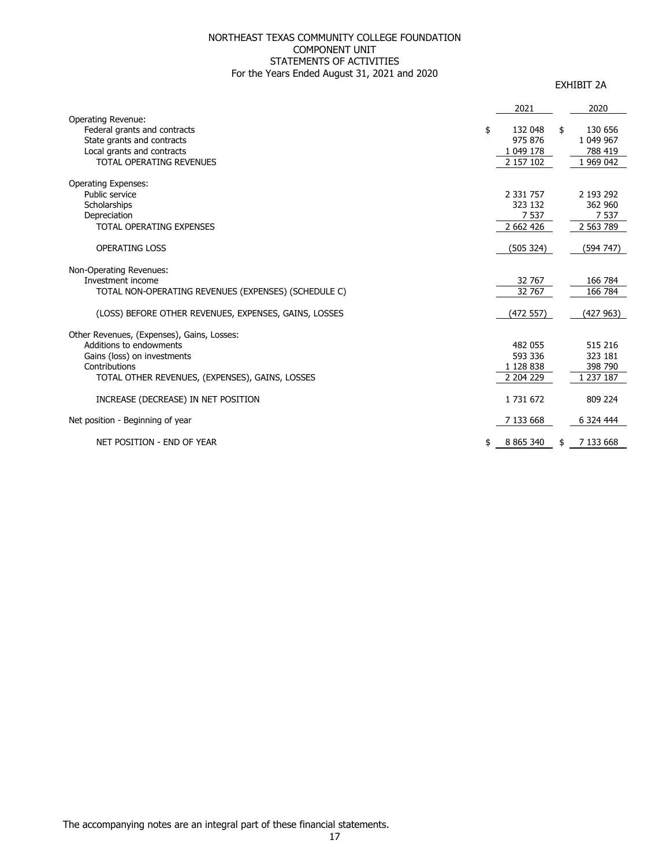# NORTHEAST TEXAS COMMUNITY COLLEGE FOUNDATION COMPONENT UNIT STATEMENTS OF ACTIVITIES For the Years Ended August 31, 2021 and 2020

EXHIBIT 2A

|                                                       | 2021                | 2020            |
|-------------------------------------------------------|---------------------|-----------------|
| Operating Revenue:                                    |                     |                 |
| Federal grants and contracts                          | \$<br>132 048       | \$<br>130 656   |
| State grants and contracts                            | 975 876             | 1 049 967       |
| Local grants and contracts                            | 1 049 178           | 788 419         |
| <b>TOTAL OPERATING REVENUES</b>                       | 2 157 102           | 1 969 042       |
| <b>Operating Expenses:</b>                            |                     |                 |
| Public service                                        | 2 3 3 1 7 5 7       | 2 193 292       |
| Scholarships                                          | 323 132             | 362 960         |
| Depreciation                                          | 7 537               | 7 5 3 7         |
| <b>TOTAL OPERATING EXPENSES</b>                       | 2 662 426           | 2 5 63 7 89     |
| <b>OPERATING LOSS</b>                                 | (505 324)           | (594 747)       |
|                                                       |                     |                 |
| Non-Operating Revenues:                               |                     |                 |
| Investment income                                     | 32 767              | 166 784         |
| TOTAL NON-OPERATING REVENUES (EXPENSES) (SCHEDULE C)  | 32 767              | 166 784         |
| (LOSS) BEFORE OTHER REVENUES, EXPENSES, GAINS, LOSSES | (472 557)           | (427963)        |
| Other Revenues, (Expenses), Gains, Losses:            |                     |                 |
| Additions to endowments                               | 482 055             | 515 216         |
| Gains (loss) on investments                           | 593 336             | 323 181         |
| Contributions                                         | 1 128 838           | 398 790         |
| TOTAL OTHER REVENUES, (EXPENSES), GAINS, LOSSES       | 2 204 229           | 1 237 187       |
|                                                       |                     |                 |
| INCREASE (DECREASE) IN NET POSITION                   | 1 731 672           | 809 224         |
| Net position - Beginning of year                      | 7 133 668           | 6 324 444       |
| NET POSITION - END OF YEAR                            | \$<br>8 8 6 5 3 4 0 | \$<br>7 133 668 |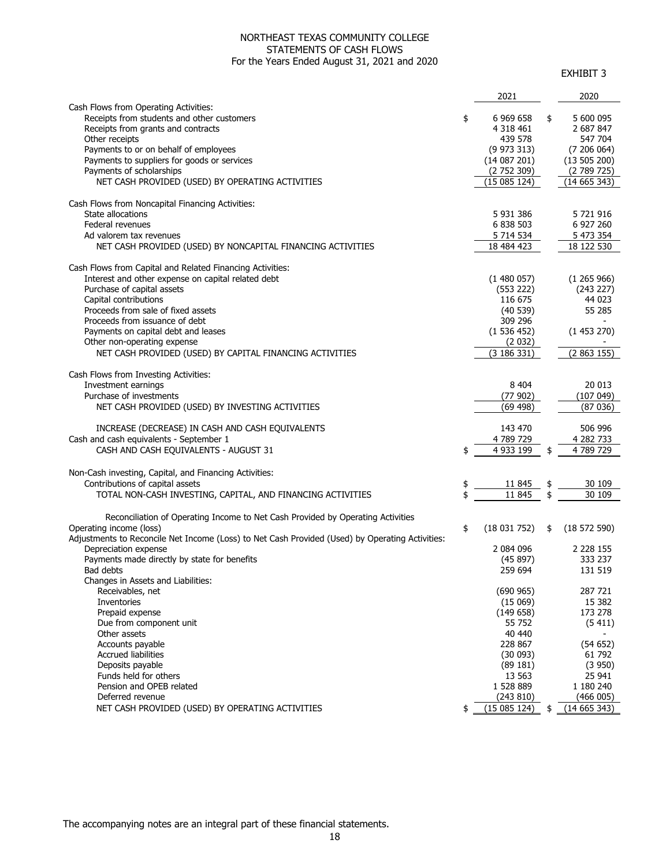# NORTHEAST TEXAS COMMUNITY COLLEGE STATEMENTS OF CASH FLOWS For the Years Ended August 31, 2021 and 2020

EXHIBIT 3

|                                                                                                                 | 2021                | 2020             |
|-----------------------------------------------------------------------------------------------------------------|---------------------|------------------|
| Cash Flows from Operating Activities:                                                                           |                     |                  |
| Receipts from students and other customers                                                                      | \$<br>6 969 658     | \$<br>5 600 095  |
| Receipts from grants and contracts                                                                              | 4 318 461           | 2 687 847        |
| Other receipts                                                                                                  | 439 578             | 547 704          |
| Payments to or on behalf of employees                                                                           | (9973313)           | (7206064)        |
| Payments to suppliers for goods or services                                                                     | (14087201)          | (13505200)       |
| Payments of scholarships                                                                                        | (2752309)           | (2789725)        |
| NET CASH PROVIDED (USED) BY OPERATING ACTIVITIES                                                                | (15085124)          | (14665343)       |
| Cash Flows from Noncapital Financing Activities:                                                                |                     |                  |
| State allocations                                                                                               | 5 931 386           | 5 721 916        |
| Federal revenues                                                                                                | 6 838 503           | 6 927 260        |
| Ad valorem tax revenues                                                                                         | 5 714 534           | 5 473 354        |
| NET CASH PROVIDED (USED) BY NONCAPITAL FINANCING ACTIVITIES                                                     | 18 484 423          | 18 122 530       |
|                                                                                                                 |                     |                  |
| Cash Flows from Capital and Related Financing Activities:<br>Interest and other expense on capital related debt | (1480057)           | (1265966)        |
|                                                                                                                 |                     |                  |
| Purchase of capital assets                                                                                      | (553 222)           | (243 227)        |
| Capital contributions<br>Proceeds from sale of fixed assets                                                     | 116 675<br>(40539)  | 44 023<br>55 285 |
| Proceeds from issuance of debt                                                                                  | 309 296             |                  |
| Payments on capital debt and leases                                                                             | (1536452)           | (1453270)        |
| Other non-operating expense                                                                                     | (2 032)             |                  |
| NET CASH PROVIDED (USED) BY CAPITAL FINANCING ACTIVITIES                                                        | (3186331)           | (2863155)        |
|                                                                                                                 |                     |                  |
| Cash Flows from Investing Activities:                                                                           |                     |                  |
| Investment earnings                                                                                             | 8 4 0 4             | 20 013           |
| Purchase of investments                                                                                         | (77902)             | (107049)         |
| NET CASH PROVIDED (USED) BY INVESTING ACTIVITIES                                                                | (69 498)            | (87036)          |
| INCREASE (DECREASE) IN CASH AND CASH EQUIVALENTS                                                                | 143 470             | 506 996          |
| Cash and cash equivalents - September 1                                                                         | 4 789 729           | 4 282 733        |
| CASH AND CASH EQUIVALENTS - AUGUST 31                                                                           | 4 933 199           | 4 789 729        |
|                                                                                                                 |                     |                  |
| Non-Cash investing, Capital, and Financing Activities:                                                          |                     |                  |
| Contributions of capital assets                                                                                 | \$<br>11 845        | 30 109           |
| TOTAL NON-CASH INVESTING, CAPITAL, AND FINANCING ACTIVITIES                                                     | \$<br>11 845        | 30 109           |
| Reconciliation of Operating Income to Net Cash Provided by Operating Activities                                 |                     |                  |
| Operating income (loss)                                                                                         | \$<br>(18031752)    | \$<br>(18572590) |
| Adjustments to Reconcile Net Income (Loss) to Net Cash Provided (Used) by Operating Activities:                 |                     |                  |
| Depreciation expense                                                                                            | 2 084 096           | 2 2 2 8 1 5 5    |
| Payments made directly by state for benefits                                                                    | (45897)             | 333 237          |
| Bad debts<br>Changes in Assets and Liabilities:                                                                 | 259 694             | 131 519          |
| Receivables, net                                                                                                | (690965)            | 287 721          |
| Inventories                                                                                                     |                     | 15 382           |
| Prepaid expense                                                                                                 | (15069)<br>(149658) | 173 278          |
| Due from component unit                                                                                         | 55 752              | (5411)           |
| Other assets                                                                                                    | 40 440              |                  |
| Accounts payable                                                                                                | 228 867             | (54652)          |
| <b>Accrued liabilities</b>                                                                                      | (30093)             | 61 792           |
| Deposits payable                                                                                                | (89181)             | (3950)           |
| Funds held for others                                                                                           | 13 563              | 25 941           |
| Pension and OPEB related                                                                                        | 1 528 889           | 1 180 240        |
| Deferred revenue                                                                                                | (243 810)           | (466005)         |
| NET CASH PROVIDED (USED) BY OPERATING ACTIVITIES                                                                | \$<br>(15085124)    | \$<br>(14665343) |

The accompanying notes are an integral part of these financial statements.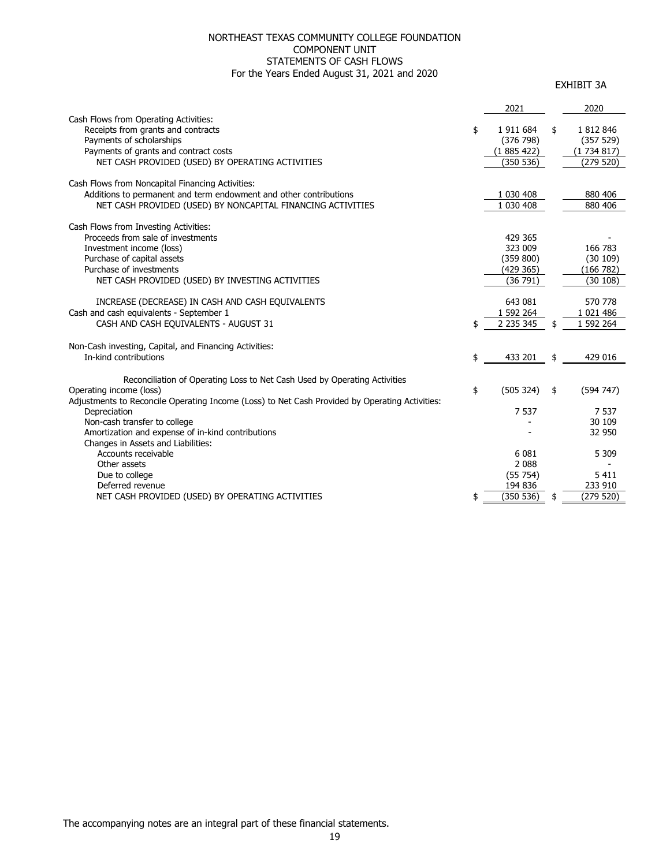# NORTHEAST TEXAS COMMUNITY COLLEGE FOUNDATION COMPONENT UNIT STATEMENTS OF CASH FLOWS For the Years Ended August 31, 2021 and 2020

EXHIBIT 3A

|                                                                                                | 2021              | 2020            |
|------------------------------------------------------------------------------------------------|-------------------|-----------------|
| Cash Flows from Operating Activities:<br>Receipts from grants and contracts                    | \$<br>1 911 684   | \$<br>1812846   |
| Payments of scholarships                                                                       | (376 798)         | (357 529)       |
| Payments of grants and contract costs                                                          | (1885422)         | (1734817)       |
| NET CASH PROVIDED (USED) BY OPERATING ACTIVITIES                                               | (350 536)         | (279520)        |
| Cash Flows from Noncapital Financing Activities:                                               |                   |                 |
| Additions to permanent and term endowment and other contributions                              | 1 030 408         | 880 406         |
| NET CASH PROVIDED (USED) BY NONCAPITAL FINANCING ACTIVITIES                                    | 1 030 408         | 880 406         |
| Cash Flows from Investing Activities:                                                          |                   |                 |
| Proceeds from sale of investments                                                              | 429 365           |                 |
| Investment income (loss)                                                                       | 323 009           | 166 783         |
| Purchase of capital assets                                                                     | (359 800)         | (30109)         |
| Purchase of investments                                                                        | (429 365)         | (166 782)       |
| NET CASH PROVIDED (USED) BY INVESTING ACTIVITIES                                               | (36791)           | (30108)         |
| INCREASE (DECREASE) IN CASH AND CASH EQUIVALENTS                                               | 643 081           | 570 778         |
| Cash and cash equivalents - September 1                                                        | 1 592 264         | 1 021 486       |
| CASH AND CASH EQUIVALENTS - AUGUST 31                                                          | \$<br>2 2 3 3 4 5 | \$<br>1 592 264 |
| Non-Cash investing, Capital, and Financing Activities:                                         |                   |                 |
| In-kind contributions                                                                          | \$<br>433 201     | \$<br>429 016   |
| Reconciliation of Operating Loss to Net Cash Used by Operating Activities                      |                   |                 |
| Operating income (loss)                                                                        | \$<br>(505 324)   | \$<br>(594 747) |
| Adjustments to Reconcile Operating Income (Loss) to Net Cash Provided by Operating Activities: |                   |                 |
| Depreciation                                                                                   | 7 5 3 7           | 7 5 3 7         |
| Non-cash transfer to college                                                                   |                   | 30 109          |
| Amortization and expense of in-kind contributions                                              |                   | 32 950          |
| Changes in Assets and Liabilities:                                                             |                   |                 |
| Accounts receivable                                                                            | 6 0 8 1           | 5 3 0 9         |
| Other assets                                                                                   | 2 0 8 8           |                 |
| Due to college                                                                                 | (55754)           | 5 4 1 1         |
| Deferred revenue                                                                               | 194 836           | 233 910         |
| NET CASH PROVIDED (USED) BY OPERATING ACTIVITIES                                               | \$<br>(350 536)   | \$<br>(279520)  |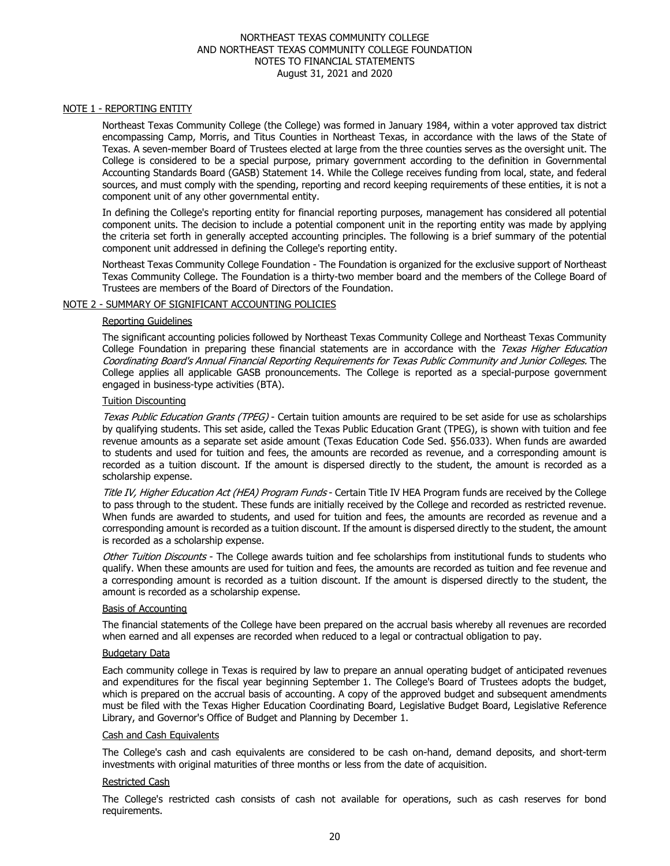### NOTE 1 - REPORTING ENTITY

Northeast Texas Community College (the College) was formed in January 1984, within a voter approved tax district encompassing Camp, Morris, and Titus Counties in Northeast Texas, in accordance with the laws of the State of Texas. A seven-member Board of Trustees elected at large from the three counties serves as the oversight unit. The College is considered to be a special purpose, primary government according to the definition in Governmental Accounting Standards Board (GASB) Statement 14. While the College receives funding from local, state, and federal sources, and must comply with the spending, reporting and record keeping requirements of these entities, it is not a component unit of any other governmental entity.

In defining the College's reporting entity for financial reporting purposes, management has considered all potential component units. The decision to include a potential component unit in the reporting entity was made by applying the criteria set forth in generally accepted accounting principles. The following is a brief summary of the potential component unit addressed in defining the College's reporting entity.

Northeast Texas Community College Foundation - The Foundation is organized for the exclusive support of Northeast Texas Community College. The Foundation is a thirty-two member board and the members of the College Board of Trustees are members of the Board of Directors of the Foundation.

### NOTE 2 - SUMMARY OF SIGNIFICANT ACCOUNTING POLICIES

#### Reporting Guidelines

The significant accounting policies followed by Northeast Texas Community College and Northeast Texas Community College Foundation in preparing these financial statements are in accordance with the Texas Higher Education Coordinating Board's Annual Financial Reporting Requirements for Texas Public Community and Junior Colleges. The College applies all applicable GASB pronouncements. The College is reported as a special-purpose government engaged in business-type activities (BTA).

#### Tuition Discounting

Texas Public Education Grants (TPEG) - Certain tuition amounts are required to be set aside for use as scholarships by qualifying students. This set aside, called the Texas Public Education Grant (TPEG), is shown with tuition and fee revenue amounts as a separate set aside amount (Texas Education Code Sed. §56.033). When funds are awarded to students and used for tuition and fees, the amounts are recorded as revenue, and a corresponding amount is recorded as a tuition discount. If the amount is dispersed directly to the student, the amount is recorded as a scholarship expense.

Title IV, Higher Education Act (HEA) Program Funds - Certain Title IV HEA Program funds are received by the College to pass through to the student. These funds are initially received by the College and recorded as restricted revenue. When funds are awarded to students, and used for tuition and fees, the amounts are recorded as revenue and a corresponding amount is recorded as a tuition discount. If the amount is dispersed directly to the student, the amount is recorded as a scholarship expense.

Other Tuition Discounts - The College awards tuition and fee scholarships from institutional funds to students who qualify. When these amounts are used for tuition and fees, the amounts are recorded as tuition and fee revenue and a corresponding amount is recorded as a tuition discount. If the amount is dispersed directly to the student, the amount is recorded as a scholarship expense.

#### Basis of Accounting

The financial statements of the College have been prepared on the accrual basis whereby all revenues are recorded when earned and all expenses are recorded when reduced to a legal or contractual obligation to pay.

#### Budgetary Data

Each community college in Texas is required by law to prepare an annual operating budget of anticipated revenues and expenditures for the fiscal year beginning September 1. The College's Board of Trustees adopts the budget, which is prepared on the accrual basis of accounting. A copy of the approved budget and subsequent amendments must be filed with the Texas Higher Education Coordinating Board, Legislative Budget Board, Legislative Reference Library, and Governor's Office of Budget and Planning by December 1.

### Cash and Cash Equivalents

The College's cash and cash equivalents are considered to be cash on-hand, demand deposits, and short-term investments with original maturities of three months or less from the date of acquisition.

#### Restricted Cash

The College's restricted cash consists of cash not available for operations, such as cash reserves for bond requirements.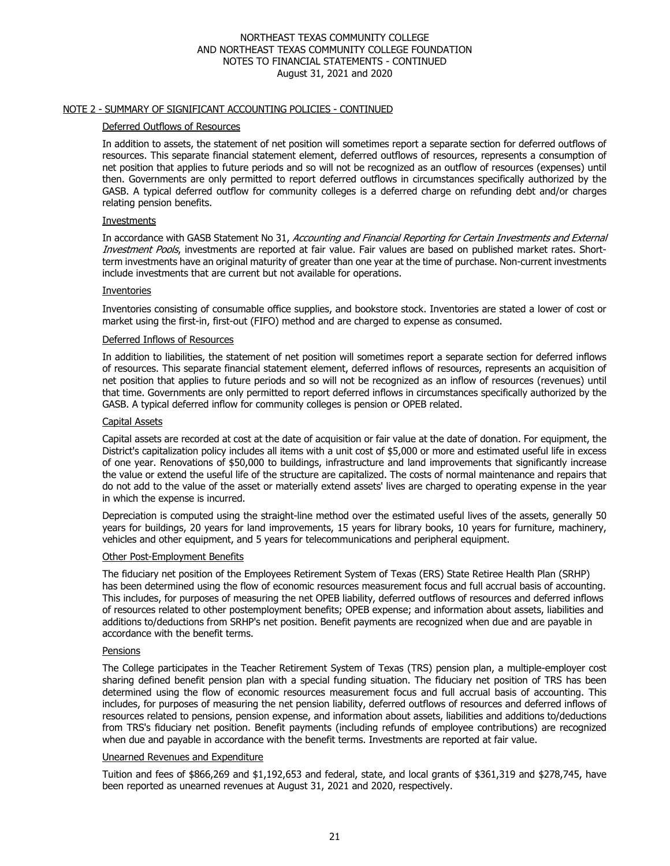### NOTE 2 - SUMMARY OF SIGNIFICANT ACCOUNTING POLICIES - CONTINUED

#### Deferred Outflows of Resources

In addition to assets, the statement of net position will sometimes report a separate section for deferred outflows of resources. This separate financial statement element, deferred outflows of resources, represents a consumption of net position that applies to future periods and so will not be recognized as an outflow of resources (expenses) until then. Governments are only permitted to report deferred outflows in circumstances specifically authorized by the GASB. A typical deferred outflow for community colleges is a deferred charge on refunding debt and/or charges relating pension benefits.

### Investments

In accordance with GASB Statement No 31, Accounting and Financial Reporting for Certain Investments and External Investment Pools, investments are reported at fair value. Fair values are based on published market rates. Shortterm investments have an original maturity of greater than one year at the time of purchase. Non-current investments include investments that are current but not available for operations.

### Inventories

Inventories consisting of consumable office supplies, and bookstore stock. Inventories are stated a lower of cost or market using the first-in, first-out (FIFO) method and are charged to expense as consumed.

### Deferred Inflows of Resources

In addition to liabilities, the statement of net position will sometimes report a separate section for deferred inflows of resources. This separate financial statement element, deferred inflows of resources, represents an acquisition of net position that applies to future periods and so will not be recognized as an inflow of resources (revenues) until that time. Governments are only permitted to report deferred inflows in circumstances specifically authorized by the GASB. A typical deferred inflow for community colleges is pension or OPEB related.

#### Capital Assets

Capital assets are recorded at cost at the date of acquisition or fair value at the date of donation. For equipment, the District's capitalization policy includes all items with a unit cost of \$5,000 or more and estimated useful life in excess of one year. Renovations of \$50,000 to buildings, infrastructure and land improvements that significantly increase the value or extend the useful life of the structure are capitalized. The costs of normal maintenance and repairs that do not add to the value of the asset or materially extend assets' lives are charged to operating expense in the year in which the expense is incurred.

Depreciation is computed using the straight-line method over the estimated useful lives of the assets, generally 50 years for buildings, 20 years for land improvements, 15 years for library books, 10 years for furniture, machinery, vehicles and other equipment, and 5 years for telecommunications and peripheral equipment.

#### Other Post-Employment Benefits

The fiduciary net position of the Employees Retirement System of Texas (ERS) State Retiree Health Plan (SRHP) has been determined using the flow of economic resources measurement focus and full accrual basis of accounting. This includes, for purposes of measuring the net OPEB liability, deferred outflows of resources and deferred inflows of resources related to other postemployment benefits; OPEB expense; and information about assets, liabilities and additions to/deductions from SRHP's net position. Benefit payments are recognized when due and are payable in accordance with the benefit terms.

#### Pensions

The College participates in the Teacher Retirement System of Texas (TRS) pension plan, a multiple-employer cost sharing defined benefit pension plan with a special funding situation. The fiduciary net position of TRS has been determined using the flow of economic resources measurement focus and full accrual basis of accounting. This includes, for purposes of measuring the net pension liability, deferred outflows of resources and deferred inflows of resources related to pensions, pension expense, and information about assets, liabilities and additions to/deductions from TRS's fiduciary net position. Benefit payments (including refunds of employee contributions) are recognized when due and payable in accordance with the benefit terms. Investments are reported at fair value.

#### Unearned Revenues and Expenditure

Tuition and fees of \$866,269 and \$1,192,653 and federal, state, and local grants of \$361,319 and \$278,745, have been reported as unearned revenues at August 31, 2021 and 2020, respectively.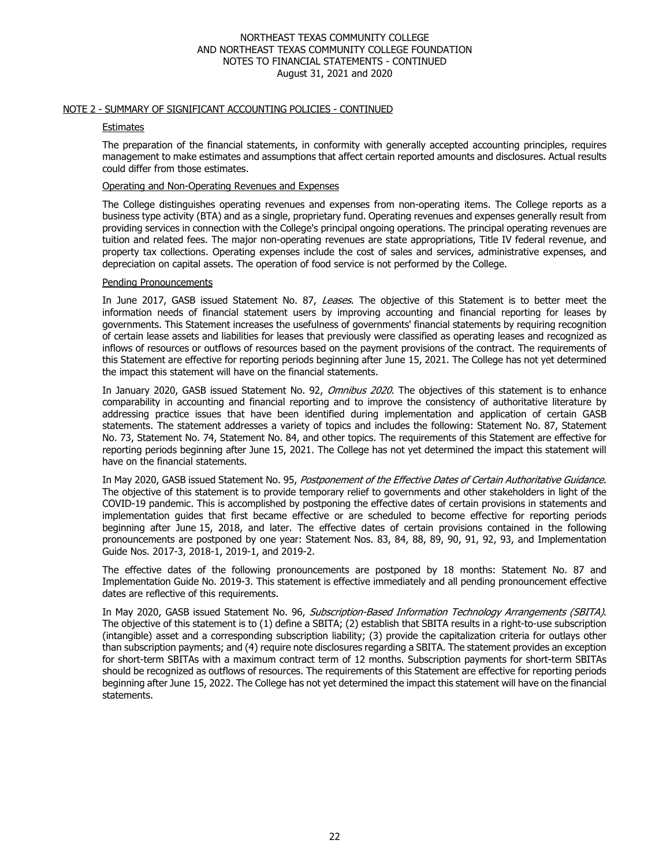### NOTE 2 - SUMMARY OF SIGNIFICANT ACCOUNTING POLICIES - CONTINUED

### **Estimates**

The preparation of the financial statements, in conformity with generally accepted accounting principles, requires management to make estimates and assumptions that affect certain reported amounts and disclosures. Actual results could differ from those estimates.

### Operating and Non-Operating Revenues and Expenses

The College distinguishes operating revenues and expenses from non-operating items. The College reports as a business type activity (BTA) and as a single, proprietary fund. Operating revenues and expenses generally result from providing services in connection with the College's principal ongoing operations. The principal operating revenues are tuition and related fees. The major non-operating revenues are state appropriations, Title IV federal revenue, and property tax collections. Operating expenses include the cost of sales and services, administrative expenses, and depreciation on capital assets. The operation of food service is not performed by the College.

### Pending Pronouncements

In June 2017, GASB issued Statement No. 87, Leases. The objective of this Statement is to better meet the information needs of financial statement users by improving accounting and financial reporting for leases by governments. This Statement increases the usefulness of governments' financial statements by requiring recognition of certain lease assets and liabilities for leases that previously were classified as operating leases and recognized as inflows of resources or outflows of resources based on the payment provisions of the contract. The requirements of this Statement are effective for reporting periods beginning after June 15, 2021. The College has not yet determined the impact this statement will have on the financial statements.

In January 2020, GASB issued Statement No. 92, *Omnibus 2020*. The objectives of this statement is to enhance comparability in accounting and financial reporting and to improve the consistency of authoritative literature by addressing practice issues that have been identified during implementation and application of certain GASB statements. The statement addresses a variety of topics and includes the following: Statement No. 87, Statement No. 73, Statement No. 74, Statement No. 84, and other topics. The requirements of this Statement are effective for reporting periods beginning after June 15, 2021. The College has not yet determined the impact this statement will have on the financial statements.

In May 2020, GASB issued Statement No. 95, Postponement of the Effective Dates of Certain Authoritative Guidance. The objective of this statement is to provide temporary relief to governments and other stakeholders in light of the COVID-19 pandemic. This is accomplished by postponing the effective dates of certain provisions in statements and implementation guides that first became effective or are scheduled to become effective for reporting periods beginning after June 15, 2018, and later. The effective dates of certain provisions contained in the following pronouncements are postponed by one year: Statement Nos. 83, 84, 88, 89, 90, 91, 92, 93, and Implementation Guide Nos. 2017-3, 2018-1, 2019-1, and 2019-2.

The effective dates of the following pronouncements are postponed by 18 months: Statement No. 87 and Implementation Guide No. 2019-3. This statement is effective immediately and all pending pronouncement effective dates are reflective of this requirements.

In May 2020, GASB issued Statement No. 96, Subscription-Based Information Technology Arrangements (SBITA). The objective of this statement is to (1) define a SBITA; (2) establish that SBITA results in a right-to-use subscription (intangible) asset and a corresponding subscription liability; (3) provide the capitalization criteria for outlays other than subscription payments; and (4) require note disclosures regarding a SBITA. The statement provides an exception for short-term SBITAs with a maximum contract term of 12 months. Subscription payments for short-term SBITAs should be recognized as outflows of resources. The requirements of this Statement are effective for reporting periods beginning after June 15, 2022. The College has not yet determined the impact this statement will have on the financial statements.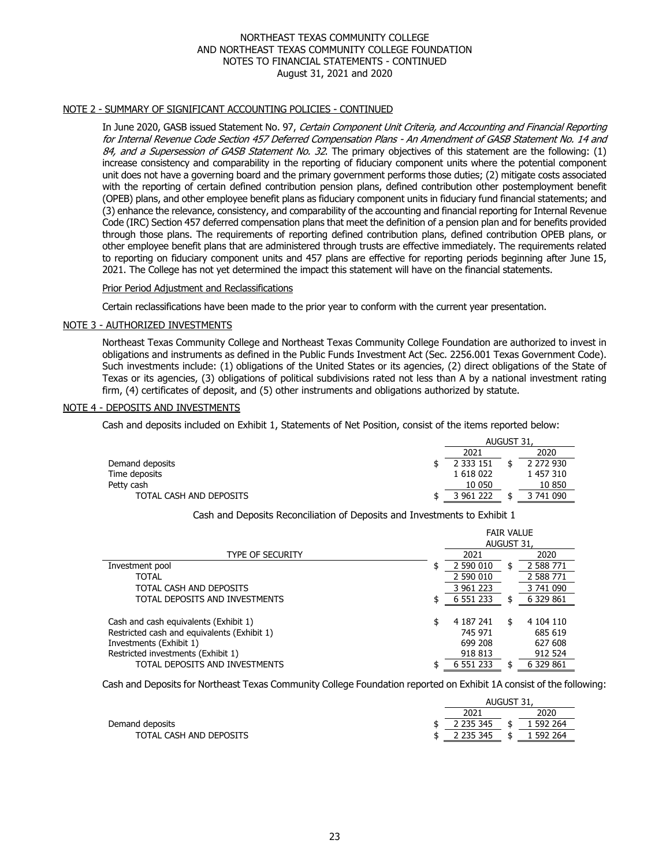# NOTE 2 - SUMMARY OF SIGNIFICANT ACCOUNTING POLICIES - CONTINUED

In June 2020, GASB issued Statement No. 97, Certain Component Unit Criteria, and Accounting and Financial Reporting for Internal Revenue Code Section 457 Deferred Compensation Plans - An Amendment of GASB Statement No. 14 and 84, and a Supersession of GASB Statement No. 32. The primary objectives of this statement are the following: (1) increase consistency and comparability in the reporting of fiduciary component units where the potential component unit does not have a governing board and the primary government performs those duties; (2) mitigate costs associated with the reporting of certain defined contribution pension plans, defined contribution other postemployment benefit (OPEB) plans, and other employee benefit plans as fiduciary component units in fiduciary fund financial statements; and (3) enhance the relevance, consistency, and comparability of the accounting and financial reporting for Internal Revenue Code (IRC) Section 457 deferred compensation plans that meet the definition of a pension plan and for benefits provided through those plans. The requirements of reporting defined contribution plans, defined contribution OPEB plans, or other employee benefit plans that are administered through trusts are effective immediately. The requirements related to reporting on fiduciary component units and 457 plans are effective for reporting periods beginning after June 15, 2021. The College has not yet determined the impact this statement will have on the financial statements.

### Prior Period Adjustment and Reclassifications

Certain reclassifications have been made to the prior year to conform with the current year presentation.

### NOTE 3 - AUTHORIZED INVESTMENTS

Northeast Texas Community College and Northeast Texas Community College Foundation are authorized to invest in obligations and instruments as defined in the Public Funds Investment Act (Sec. 2256.001 Texas Government Code). Such investments include: (1) obligations of the United States or its agencies, (2) direct obligations of the State of Texas or its agencies, (3) obligations of political subdivisions rated not less than A by a national investment rating firm, (4) certificates of deposit, and (5) other instruments and obligations authorized by statute.

### NOTE 4 - DEPOSITS AND INVESTMENTS

Cash and deposits included on Exhibit 1, Statements of Net Position, consist of the items reported below:

|                         |             | AUGUST 31, |           |  |  |
|-------------------------|-------------|------------|-----------|--|--|
|                         | 2021        |            | 2020      |  |  |
| Demand deposits         | 2 3 3 1 5 1 |            | 2 272 930 |  |  |
| Time deposits           | 1 618 022   |            | 1 457 310 |  |  |
| Petty cash              | 10 050      |            | 10 850    |  |  |
| TOTAL CASH AND DEPOSITS | 3 961 222   |            | 3 741 090 |  |  |

Cash and Deposits Reconciliation of Deposits and Investments to Exhibit 1

|                                             | <b>FAIR VALUE</b><br>AUGUST 31. |           |    |           |
|---------------------------------------------|---------------------------------|-----------|----|-----------|
|                                             |                                 |           |    |           |
| <b>TYPE OF SECURITY</b>                     |                                 | 2021      |    | 2020      |
| Investment pool                             | \$                              | 2 590 010 | \$ | 2 588 771 |
| <b>TOTAL</b>                                |                                 | 2 590 010 |    | 2 588 771 |
| TOTAL CASH AND DEPOSITS                     |                                 | 3 961 223 |    | 3 741 090 |
| TOTAL DEPOSITS AND INVESTMENTS              |                                 | 6 551 233 | S  | 6 329 861 |
|                                             |                                 |           |    |           |
| Cash and cash equivalents (Exhibit 1)       | \$                              | 4 187 241 | \$ | 4 104 110 |
| Restricted cash and equivalents (Exhibit 1) |                                 | 745 971   |    | 685 619   |
| Investments (Exhibit 1)                     |                                 | 699 208   |    | 627 608   |
| Restricted investments (Exhibit 1)          |                                 | 918 813   |    | 912 524   |
| TOTAL DEPOSITS AND INVESTMENTS              |                                 | 6 551 233 | £. | 6 329 861 |

Cash and Deposits for Northeast Texas Community College Foundation reported on Exhibit 1A consist of the following:

|                         | AUGUST 31, |           |
|-------------------------|------------|-----------|
|                         | 2021       | 2020      |
| Demand deposits         | 2 235 345  | 1 592 264 |
| TOTAL CASH AND DEPOSITS | 2 235 345  | . 592 264 |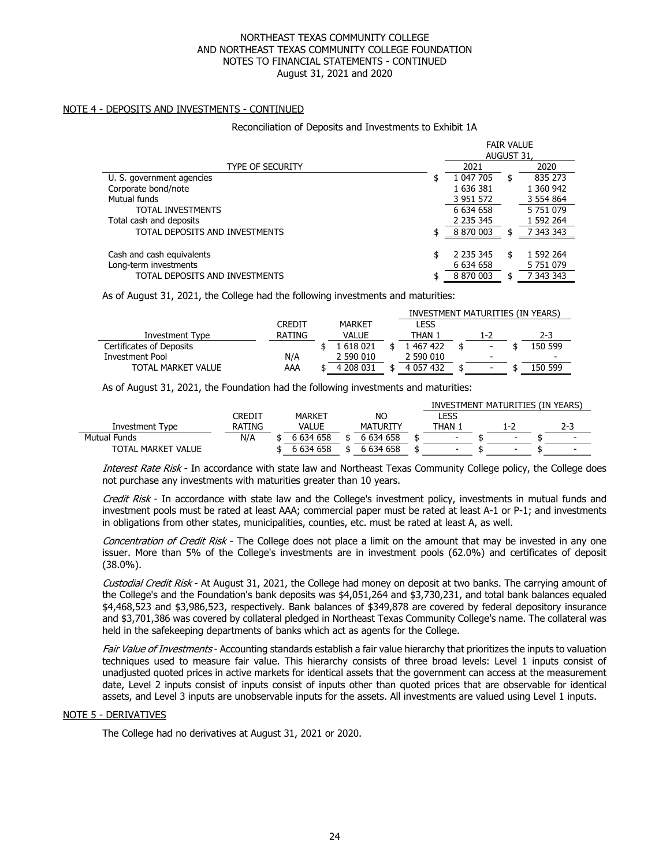### NOTE 4 - DEPOSITS AND INVESTMENTS - CONTINUED

|                                |                   | <b>FAIR VALUE</b><br>AUGUST 31, |           |
|--------------------------------|-------------------|---------------------------------|-----------|
| <b>TYPE OF SECURITY</b>        | 2021              |                                 | 2020      |
| U. S. government agencies      | \$<br>1 047 705   | \$                              | 835 273   |
| Corporate bond/note            | 1 636 381         |                                 | 1 360 942 |
| Mutual funds                   | 3 951 572         |                                 | 3 554 864 |
| TOTAL INVESTMENTS              | 6 634 658         |                                 | 5 751 079 |
| Total cash and deposits        | 2 2 3 3 4 5       |                                 | 1 592 264 |
| TOTAL DEPOSITS AND INVESTMENTS | 8 870 003         | \$                              | 7 343 343 |
|                                |                   |                                 |           |
| Cash and cash equivalents      | \$<br>2 2 3 3 4 5 | \$                              | 1 592 264 |
| Long-term investments          | 6 634 658         |                                 | 5 751 079 |
| TOTAL DEPOSITS AND INVESTMENTS | 8 870 003         | \$                              | 7 343 343 |

### Reconciliation of Deposits and Investments to Exhibit 1A

As of August 31, 2021, the College had the following investments and maturities:

|                          |        |               | INVESTMENT MATURITIES (IN YEARS) |  |                          |  |                          |  |  |
|--------------------------|--------|---------------|----------------------------------|--|--------------------------|--|--------------------------|--|--|
|                          | CREDIT | <b>MARKET</b> | LESS                             |  |                          |  |                          |  |  |
| Investment Type          | RATING | VALUE         | THAN 1                           |  | 1-2                      |  | 2-3                      |  |  |
| Certificates of Deposits |        | 1 618 021     | 1 467 422                        |  | ٠                        |  | 150 599                  |  |  |
| Investment Pool          | N/A    | 2 590 010     | 2 590 010                        |  | -                        |  | $\overline{\phantom{0}}$ |  |  |
| TOTAL MARKET VALUE       | AAA    | 4 208 031     | 4 057 432                        |  | $\overline{\phantom{0}}$ |  | 150 599                  |  |  |

As of August 31, 2021, the Foundation had the following investments and maturities:

|                     |        |               |                 | INVESTMENT MATURITIES (IN YEARS) |       |  |                          |
|---------------------|--------|---------------|-----------------|----------------------------------|-------|--|--------------------------|
|                     | CREDIT | <b>MARKET</b> | NO              | LESS                             |       |  |                          |
| Investment Type     | RATING | VALUE         | <b>MATURITY</b> | THAN 1                           | ے - ا |  | 2-3                      |
| <b>Mutual Funds</b> | N/A    | 6 634 658     | 6 634 658       | -                                | -     |  | -                        |
| TOTAL MARKET VALUE  |        | 6 634 658     | 6 634 658       | ٠                                | -     |  | $\overline{\phantom{0}}$ |

Interest Rate Risk - In accordance with state law and Northeast Texas Community College policy, the College does not purchase any investments with maturities greater than 10 years.

Credit Risk - In accordance with state law and the College's investment policy, investments in mutual funds and investment pools must be rated at least AAA; commercial paper must be rated at least A-1 or P-1; and investments in obligations from other states, municipalities, counties, etc. must be rated at least A, as well.

Concentration of Credit Risk - The College does not place a limit on the amount that may be invested in any one issuer. More than 5% of the College's investments are in investment pools (62.0%) and certificates of deposit (38.0%).

Custodial Credit Risk - At August 31, 2021, the College had money on deposit at two banks. The carrying amount of the College's and the Foundation's bank deposits was \$4,051,264 and \$3,730,231, and total bank balances equaled \$4,468,523 and \$3,986,523, respectively. Bank balances of \$349,878 are covered by federal depository insurance and \$3,701,386 was covered by collateral pledged in Northeast Texas Community College's name. The collateral was held in the safekeeping departments of banks which act as agents for the College.

Fair Value of Investments - Accounting standards establish a fair value hierarchy that prioritizes the inputs to valuation techniques used to measure fair value. This hierarchy consists of three broad levels: Level 1 inputs consist of unadjusted quoted prices in active markets for identical assets that the government can access at the measurement date, Level 2 inputs consist of inputs consist of inputs other than quoted prices that are observable for identical assets, and Level 3 inputs are unobservable inputs for the assets. All investments are valued using Level 1 inputs.

### NOTE 5 - DERIVATIVES

The College had no derivatives at August 31, 2021 or 2020.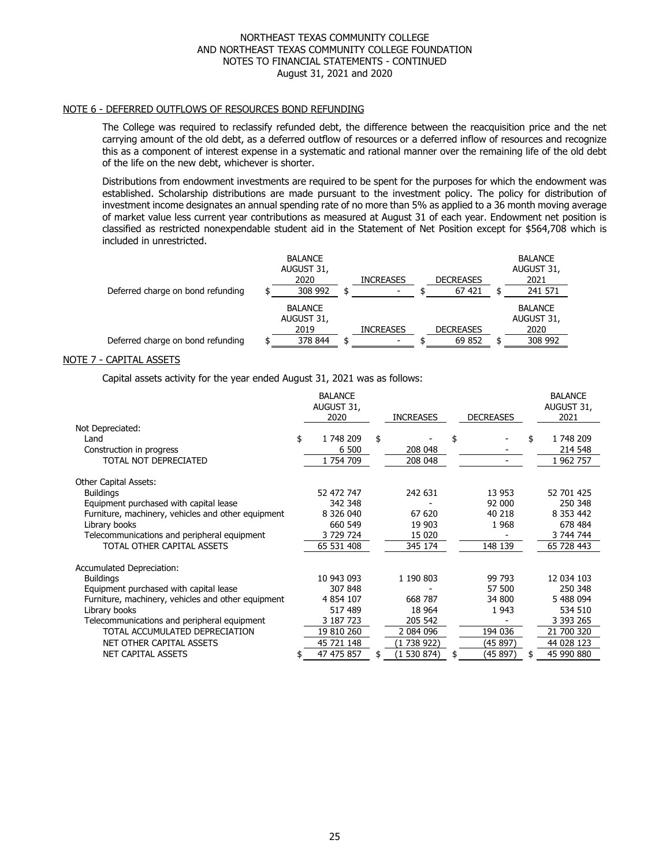# NOTE 6 - DEFERRED OUTFLOWS OF RESOURCES BOND REFUNDING

The College was required to reclassify refunded debt, the difference between the reacquisition price and the net carrying amount of the old debt, as a deferred outflow of resources or a deferred inflow of resources and recognize this as a component of interest expense in a systematic and rational manner over the remaining life of the old debt of the life on the new debt, whichever is shorter.

Distributions from endowment investments are required to be spent for the purposes for which the endowment was established. Scholarship distributions are made pursuant to the investment policy. The policy for distribution of investment income designates an annual spending rate of no more than 5% as applied to a 36 month moving average of market value less current year contributions as measured at August 31 of each year. Endowment net position is classified as restricted nonexpendable student aid in the Statement of Net Position except for \$564,708 which is included in unrestricted.

|                                   | <b>BALANCE</b><br>AUGUST 31,<br>2020 | <b>INCREASES</b>         | <b>DECREASES</b> | <b>BALANCE</b><br>AUGUST 31,<br>2021 |
|-----------------------------------|--------------------------------------|--------------------------|------------------|--------------------------------------|
| Deferred charge on bond refunding | 308 992                              | $\overline{\phantom{a}}$ | 67 421           | 241 571                              |
|                                   | <b>BALANCE</b><br>AUGUST 31,<br>2019 | <b>INCREASES</b>         | <b>DECREASES</b> | <b>BALANCE</b><br>AUGUST 31,<br>2020 |
| Deferred charge on bond refunding | 378 844                              | -                        | 69 852           | 308 992                              |

# NOTE 7 - CAPITAL ASSETS

Capital assets activity for the year ended August 31, 2021 was as follows:

|                                                    | <b>BALANCE</b><br>AUGUST 31,<br>2020 | <b>INCREASES</b> | <b>DECREASES</b> | <b>BALANCE</b><br>AUGUST 31,<br>2021 |
|----------------------------------------------------|--------------------------------------|------------------|------------------|--------------------------------------|
| Not Depreciated:                                   |                                      |                  |                  |                                      |
| Land                                               | \$<br>1 748 209                      | \$               | \$               | \$<br>1 748 209                      |
| Construction in progress                           | 6 500                                | 208 048          |                  | 214 548                              |
| TOTAL NOT DEPRECIATED                              | 1 754 709                            | 208 048          |                  | 1962757                              |
| <b>Other Capital Assets:</b>                       |                                      |                  |                  |                                      |
| <b>Buildings</b>                                   | 52 472 747                           | 242 631          | 13 953           | 52 701 425                           |
| Equipment purchased with capital lease             | 342 348                              |                  | 92 000           | 250 348                              |
| Furniture, machinery, vehicles and other equipment | 8 326 040                            | 67 620           | 40 218           | 8 3 5 3 4 4 2                        |
| Library books                                      | 660 549                              | 19 903           | 1968             | 678 484                              |
| Telecommunications and peripheral equipment        | 3 729 724                            | 15 0 20          |                  | 3 744 744                            |
| TOTAL OTHER CAPITAL ASSETS                         | 65 531 408                           | 345 174          | 148 139          | 65 728 443                           |
| Accumulated Depreciation:                          |                                      |                  |                  |                                      |
| <b>Buildings</b>                                   | 10 943 093                           | 1 190 803        | 99 793           | 12 034 103                           |
| Equipment purchased with capital lease             | 307 848                              |                  | 57 500           | 250 348                              |
| Furniture, machinery, vehicles and other equipment | 4 854 107                            | 668 787          | 34 800           | 5 488 094                            |
| Library books                                      | 517 489                              | 18 9 64          | 1943             | 534 510                              |
| Telecommunications and peripheral equipment        | 3 187 723                            | 205 542          |                  | 3 393 265                            |
| TOTAL ACCUMULATED DEPRECIATION                     | 19 810 260                           | 2 084 096        | 194 036          | 21 700 320                           |
| NET OTHER CAPITAL ASSETS                           | 45 721 148                           | (1738922)        | (45 897)         | 44 028 123                           |
| <b>NET CAPITAL ASSETS</b>                          | 47 475 857                           | \$<br>(1530874)  | \$<br>(45 897)   | \$<br>45 990 880                     |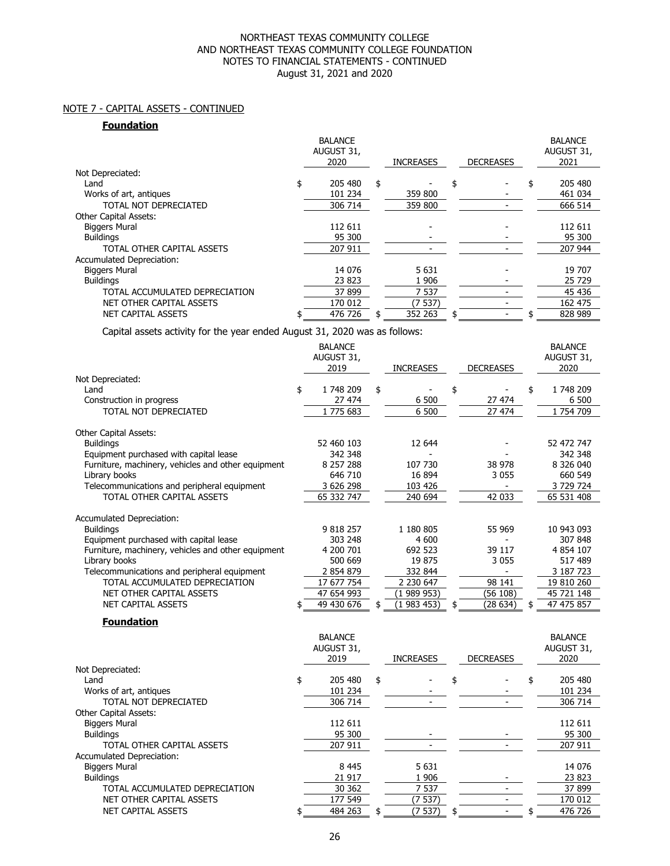# NOTE 7 - CAPITAL ASSETS - CONTINUED

# **Foundation**

|                                | <b>BALANCE</b> |                  |                  | <b>BALANCE</b> |
|--------------------------------|----------------|------------------|------------------|----------------|
|                                | AUGUST 31,     |                  |                  | AUGUST 31,     |
|                                | 2020           | <b>INCREASES</b> | <b>DECREASES</b> | 2021           |
| Not Depreciated:               |                |                  |                  |                |
| Land                           | \$<br>205 480  | \$               | \$               | 205 480        |
| Works of art, antiques         | 101 234        | 359 800          |                  | 461 034        |
| TOTAL NOT DEPRECIATED          | 306 714        | 359 800          |                  | 666 514        |
| Other Capital Assets:          |                |                  |                  |                |
| <b>Biggers Mural</b>           | 112 611        |                  |                  | 112 611        |
| <b>Buildings</b>               | 95 300         |                  |                  | 95 300         |
| TOTAL OTHER CAPITAL ASSETS     | 207 911        |                  |                  | 207 944        |
| Accumulated Depreciation:      |                |                  |                  |                |
| <b>Biggers Mural</b>           | 14 0 76        | 5 6 3 1          |                  | 19 707         |
| <b>Buildings</b>               | 23 823         | 1 906            |                  | 25 7 29        |
| TOTAL ACCUMULATED DEPRECIATION | 37 899         | 7 5 3 7          |                  | 45 436         |
| NET OTHER CAPITAL ASSETS       | 170 012        | (7 537)          |                  | 162 475        |
| NET CAPITAL ASSETS             | 476 726        | 352 263          | \$               | 828 989        |

Capital assets activity for the year ended August 31, 2020 was as follows:

|                                                    | <b>BALANCE</b>  |                          |                          | <b>BALANCE</b>   |
|----------------------------------------------------|-----------------|--------------------------|--------------------------|------------------|
|                                                    | AUGUST 31,      |                          |                          | AUGUST 31,       |
|                                                    | 2019            | <b>INCREASES</b>         | <b>DECREASES</b>         | 2020             |
| Not Depreciated:                                   |                 |                          |                          |                  |
| Land                                               | \$<br>1 748 209 | \$                       | \$                       | \$<br>1 748 209  |
| Construction in progress                           | 27 474          | 6 500                    | 27 474                   | 6 500            |
| TOTAL NOT DEPRECIATED                              | 1 775 683       | 6 500                    | 27 474                   | 1754709          |
|                                                    |                 |                          |                          |                  |
| Other Capital Assets:                              |                 |                          |                          |                  |
| <b>Buildings</b>                                   | 52 460 103      | 12 644                   |                          | 52 472 747       |
| Equipment purchased with capital lease             | 342 348         |                          |                          | 342 348          |
| Furniture, machinery, vehicles and other equipment | 8 257 288       | 107 730                  | 38 978                   | 8 326 040        |
| Library books                                      | 646 710         | 16 894                   | 3 0 5 5                  | 660 549          |
| Telecommunications and peripheral equipment        | 3 626 298       | 103 426                  |                          | 3 729 724        |
| TOTAL OTHER CAPITAL ASSETS                         | 65 332 747      | 240 694                  | 42 033                   | 65 531 408       |
|                                                    |                 |                          |                          |                  |
| Accumulated Depreciation:                          |                 |                          |                          |                  |
| <b>Buildings</b>                                   | 9 818 257       | 1 180 805                | 55 969                   | 10 943 093       |
| Equipment purchased with capital lease             | 303 248         | 4 600                    |                          | 307 848          |
| Furniture, machinery, vehicles and other equipment | 4 200 701       | 692 523                  | 39 117                   | 4 8 5 4 1 0 7    |
| Library books                                      | 500 669         | 19875                    | 3 0 5 5                  | 517 489          |
| Telecommunications and peripheral equipment        | 2 854 879       | 332 844                  |                          | 3 187 723        |
| TOTAL ACCUMULATED DEPRECIATION                     | 17 677 754      | 2 230 647                | 98 141                   | 19 810 260       |
| NET OTHER CAPITAL ASSETS                           | 47 654 993      | (1989953)                | (56 108)                 | 45 721 148       |
| <b>NET CAPITAL ASSETS</b>                          | 49 430 676      | \$<br>(1983453)          | \$<br>(28634)            | \$<br>47 475 857 |
|                                                    |                 |                          |                          |                  |
| <b>Foundation</b>                                  |                 |                          |                          |                  |
|                                                    | <b>BALANCE</b>  |                          |                          | <b>BALANCE</b>   |
|                                                    | AUGUST 31,      |                          |                          | AUGUST 31,       |
|                                                    | 2019            | <b>INCREASES</b>         | <b>DECREASES</b>         | 2020             |
| Not Depreciated:                                   |                 |                          |                          |                  |
| Land                                               | \$<br>205 480   | \$                       | \$                       | \$<br>205 480    |
| Works of art, antiques                             | 101 234         | $\overline{\phantom{0}}$ |                          | 101 234          |
| TOTAL NOT DEPRECIATED                              | 306 714         | ÷,                       |                          | 306 714          |
| Other Capital Assets:                              |                 |                          |                          |                  |
| <b>Biggers Mural</b>                               | 112 611         |                          |                          | 112 611          |
| <b>Buildings</b>                                   | 95 300          | $\overline{\phantom{0}}$ |                          | 95 300           |
| TOTAL OTHER CAPITAL ASSETS                         | 207 911         | ÷                        |                          | 207 911          |
| Accumulated Depreciation:                          |                 |                          |                          |                  |
| <b>Biggers Mural</b>                               | 8 4 4 5         | 5 6 3 1                  |                          | 14 0 76          |
| <b>Buildings</b>                                   | 21 917          | 1 9 0 6                  |                          | 23 823           |
| TOTAL ACCUMULATED DEPRECIATION                     | 30 362          | 7 5 3 7                  | $\overline{\phantom{a}}$ | 37 899           |
| NET OTHER CAPITAL ASSETS                           | 177 549         | (7537)                   |                          | 170 012          |

NET CAPITAL ASSETS  $\frac{1}{2}$   $\frac{484\,263}{2}$   $\frac{1}{2}$   $\frac{1}{2}$   $\frac{1}{2}$   $\frac{1}{2}$   $\frac{1}{2}$   $\frac{1}{2}$   $\frac{1}{2}$   $\frac{1}{2}$   $\frac{1}{2}$   $\frac{1}{2}$   $\frac{1}{2}$   $\frac{1}{2}$   $\frac{1}{2}$   $\frac{1}{2}$   $\frac{1}{2}$   $\frac{1}{2}$   $\frac{1}{2}$   $\frac{1$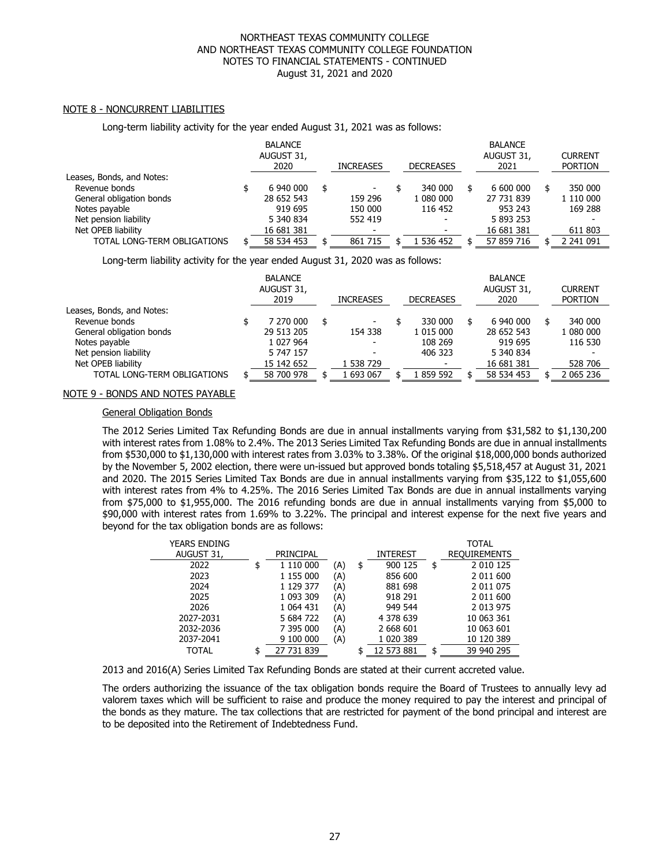# NOTE 8 - NONCURRENT LIABILITIES

### Long-term liability activity for the year ended August 31, 2021 was as follows:

|                             | <b>BALANCE</b><br>AUGUST 31,<br>2020 | <b>INCREASES</b>         | <b>DECREASES</b>         | <b>BALANCE</b><br>AUGUST 31,<br>2021 | <b>CURRENT</b><br><b>PORTION</b> |
|-----------------------------|--------------------------------------|--------------------------|--------------------------|--------------------------------------|----------------------------------|
| Leases, Bonds, and Notes:   |                                      |                          |                          |                                      |                                  |
| Revenue bonds               | 6 940 000                            | $\overline{\phantom{0}}$ | 340 000                  | 6 600 000                            | 350 000                          |
| General obligation bonds    | 28 652 543                           | 159 296                  | 1 080 000                | 27 731 839                           | 1 110 000                        |
| Notes payable               | 919 695                              | 150 000                  | 116 452                  | 953 243                              | 169 288                          |
| Net pension liability       | 5 340 834                            | 552 419                  | $\overline{\phantom{a}}$ | 5 893 253                            |                                  |
| Net OPEB liability          | 16 681 381                           | $\overline{\phantom{a}}$ | $\overline{\phantom{0}}$ | 16 681 381                           | 611 803                          |
| TOTAL LONG-TERM OBLIGATIONS | 58 534 453                           | 861 715                  | 536 452                  | 57 859 716                           | 2 241 091                        |

Long-term liability activity for the year ended August 31, 2020 was as follows:

|                             | <b>BALANCE</b><br>AUGUST 31,<br>2019 | <b>INCREASES</b>               | <b>DECREASES</b>         | <b>BALANCE</b><br>AUGUST 31,<br>2020 | <b>CURRENT</b><br><b>PORTION</b> |
|-----------------------------|--------------------------------------|--------------------------------|--------------------------|--------------------------------------|----------------------------------|
| Leases, Bonds, and Notes:   |                                      |                                |                          |                                      |                                  |
| Revenue bonds               | 7 270 000                            | \$<br>$\overline{\phantom{a}}$ | 330 000                  | 6 940 000                            | 340 000                          |
| General obligation bonds    | 29 513 205                           | 154 338                        | 1 015 000                | 28 652 543                           | 1 080 000                        |
| Notes payable               | 1 027 964                            | $\overline{\phantom{a}}$       | 108 269                  | 919 695                              | 116 530                          |
| Net pension liability       | 5 747 157                            | $\overline{\phantom{a}}$       | 406 323                  | 5 340 834                            |                                  |
| Net OPEB liability          | 15 142 652                           | 1 538 729                      | $\overline{\phantom{0}}$ | 16 681 381                           | 528 706                          |
| TOTAL LONG-TERM OBLIGATIONS | 58 700 978                           | . 693 067                      | 859 592                  | 58 534 453                           | 2 065 236                        |

### NOTE 9 - BONDS AND NOTES PAYABLE

#### General Obligation Bonds

The 2012 Series Limited Tax Refunding Bonds are due in annual installments varying from \$31,582 to \$1,130,200 with interest rates from 1.08% to 2.4%. The 2013 Series Limited Tax Refunding Bonds are due in annual installments from \$530,000 to \$1,130,000 with interest rates from 3.03% to 3.38%. Of the original \$18,000,000 bonds authorized by the November 5, 2002 election, there were un-issued but approved bonds totaling \$5,518,457 at August 31, 2021 and 2020. The 2015 Series Limited Tax Bonds are due in annual installments varying from \$35,122 to \$1,055,600 with interest rates from 4% to 4.25%. The 2016 Series Limited Tax Bonds are due in annual installments varying from \$75,000 to \$1,955,000. The 2016 refunding bonds are due in annual installments varying from \$5,000 to \$90,000 with interest rates from 1.69% to 3.22%. The principal and interest expense for the next five years and beyond for the tax obligation bonds are as follows:

| <b>YEARS ENDING</b> |    |            |     |                 | <b>TOTAL</b>        |
|---------------------|----|------------|-----|-----------------|---------------------|
| AUGUST 31,          |    | PRINCIPAL  |     | <b>INTEREST</b> | <b>REOUIREMENTS</b> |
| 2022                | \$ | 1 110 000  | A)  | \$<br>900 125   | \$<br>2 010 125     |
| 2023                |    | 1 155 000  | (A) | 856 600         | 2 011 600           |
| 2024                |    | 1 129 377  | (A) | 881 698         | 2 011 075           |
| 2025                |    | 1 093 309  | (A) | 918 291         | 2 011 600           |
| 2026                |    | 1 064 431  | (A) | 949 544         | 2 013 975           |
| 2027-2031           |    | 5 684 722  | (A) | 4 378 639       | 10 063 361          |
| 2032-2036           |    | 7 395 000  | (A) | 2 668 601       | 10 063 601          |
| 2037-2041           |    | 9 100 000  | (A) | 1 020 389       | 10 120 389          |
| TOTAL               | ß. | 27 731 839 |     | 12 573 881      | 39 940 295          |

2013 and 2016(A) Series Limited Tax Refunding Bonds are stated at their current accreted value.

The orders authorizing the issuance of the tax obligation bonds require the Board of Trustees to annually levy ad valorem taxes which will be sufficient to raise and produce the money required to pay the interest and principal of the bonds as they mature. The tax collections that are restricted for payment of the bond principal and interest are to be deposited into the Retirement of Indebtedness Fund.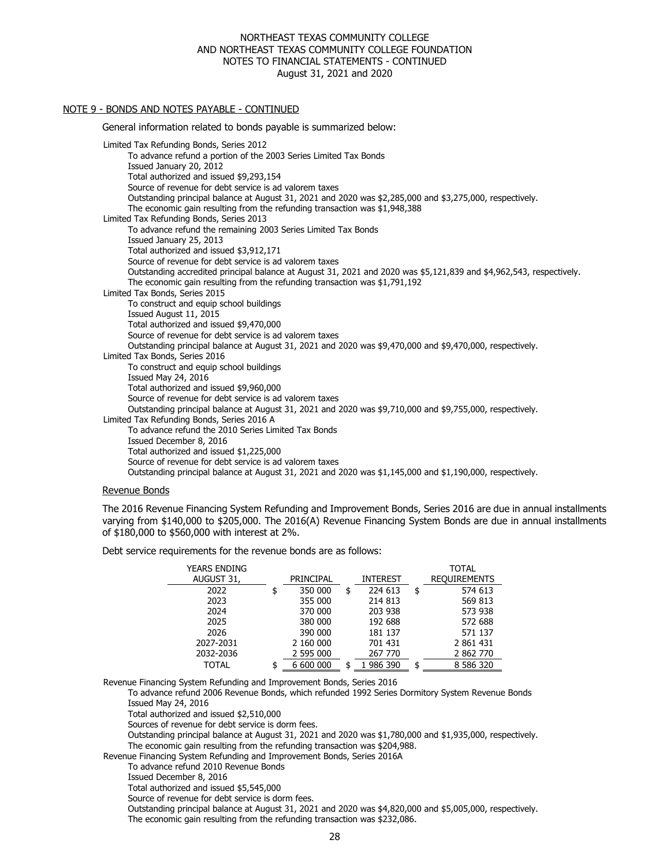### NOTE 9 - BONDS AND NOTES PAYABLE - CONTINUED

General information related to bonds payable is summarized below: Limited Tax Refunding Bonds, Series 2012 To advance refund a portion of the 2003 Series Limited Tax Bonds Issued January 20, 2012 Total authorized and issued \$9,293,154 Source of revenue for debt service is ad valorem taxes Outstanding principal balance at August 31, 2021 and 2020 was \$2,285,000 and \$3,275,000, respectively. The economic gain resulting from the refunding transaction was \$1,948,388 Limited Tax Refunding Bonds, Series 2013 To advance refund the remaining 2003 Series Limited Tax Bonds Issued January 25, 2013 Total authorized and issued \$3,912,171 Source of revenue for debt service is ad valorem taxes Outstanding accredited principal balance at August 31, 2021 and 2020 was \$5,121,839 and \$4,962,543, respectively. The economic gain resulting from the refunding transaction was \$1,791,192 Limited Tax Bonds, Series 2015 To construct and equip school buildings Issued August 11, 2015 Total authorized and issued \$9,470,000 Source of revenue for debt service is ad valorem taxes Outstanding principal balance at August 31, 2021 and 2020 was \$9,470,000 and \$9,470,000, respectively. Limited Tax Bonds, Series 2016 To construct and equip school buildings Issued May 24, 2016 Total authorized and issued \$9,960,000 Source of revenue for debt service is ad valorem taxes Outstanding principal balance at August 31, 2021 and 2020 was \$9,710,000 and \$9,755,000, respectively. Limited Tax Refunding Bonds, Series 2016 A To advance refund the 2010 Series Limited Tax Bonds Issued December 8, 2016 Total authorized and issued \$1,225,000 Source of revenue for debt service is ad valorem taxes Outstanding principal balance at August 31, 2021 and 2020 was \$1,145,000 and \$1,190,000, respectively.

#### Revenue Bonds

The 2016 Revenue Financing System Refunding and Improvement Bonds, Series 2016 are due in annual installments varying from \$140,000 to \$205,000. The 2016(A) Revenue Financing System Bonds are due in annual installments of \$180,000 to \$560,000 with interest at 2%.

Debt service requirements for the revenue bonds are as follows:

| YEARS ENDING<br>AUGUST 31, | PRINCIPAL     | <b>INTEREST</b> | <b>TOTAL</b><br><b>REQUIREMENTS</b> |
|----------------------------|---------------|-----------------|-------------------------------------|
| 2022                       | \$<br>350 000 | \$<br>224 613   | \$<br>574 613                       |
| 2023                       | 355 000       | 214 813         | 569 813                             |
| 2024                       | 370 000       | 203 938         | 573 938                             |
| 2025                       | 380 000       | 192 688         | 572 688                             |
| 2026                       | 390 000       | 181 137         | 571 137                             |
| 2027-2031                  | 2 160 000     | 701 431         | 2 861 431                           |
| 2032-2036                  | 2 595 000     | 267 770         | 2 862 770                           |
| TOTAL                      | 6 600 000     | 1986 390        | \$<br>8 586 320                     |

Revenue Financing System Refunding and Improvement Bonds, Series 2016

 To advance refund 2006 Revenue Bonds, which refunded 1992 Series Dormitory System Revenue Bonds Issued May 24, 2016

Total authorized and issued \$2,510,000

Sources of revenue for debt service is dorm fees.

 Outstanding principal balance at August 31, 2021 and 2020 was \$1,780,000 and \$1,935,000, respectively. The economic gain resulting from the refunding transaction was \$204,988.

Revenue Financing System Refunding and Improvement Bonds, Series 2016A

To advance refund 2010 Revenue Bonds

Issued December 8, 2016

Total authorized and issued \$5,545,000

Source of revenue for debt service is dorm fees.

 Outstanding principal balance at August 31, 2021 and 2020 was \$4,820,000 and \$5,005,000, respectively. The economic gain resulting from the refunding transaction was \$232,086.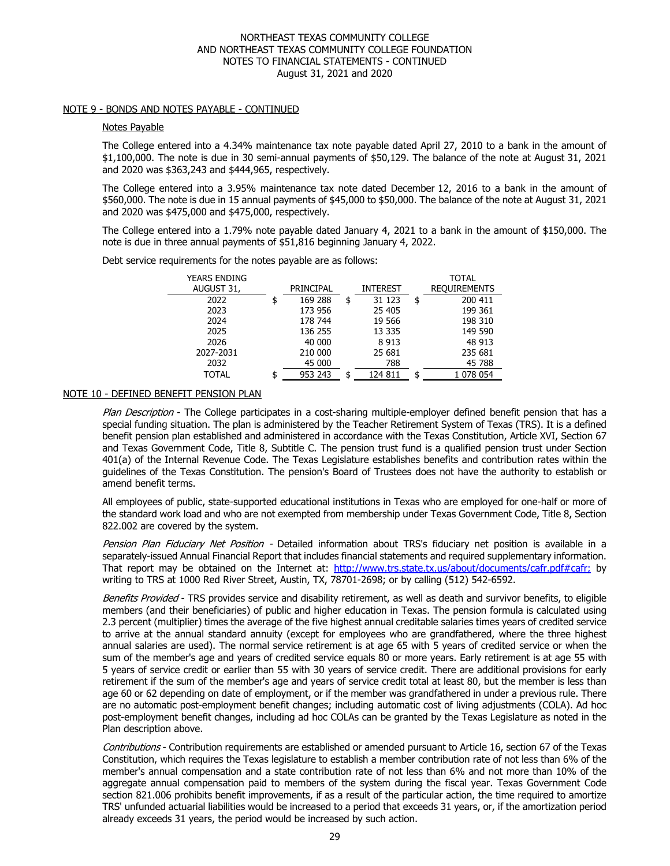### NOTE 9 - BONDS AND NOTES PAYABLE - CONTINUED

# Notes Payable

The College entered into a 4.34% maintenance tax note payable dated April 27, 2010 to a bank in the amount of \$1,100,000. The note is due in 30 semi-annual payments of \$50,129. The balance of the note at August 31, 2021 and 2020 was \$363,243 and \$444,965, respectively.

The College entered into a 3.95% maintenance tax note dated December 12, 2016 to a bank in the amount of \$560,000. The note is due in 15 annual payments of \$45,000 to \$50,000. The balance of the note at August 31, 2021 and 2020 was \$475,000 and \$475,000, respectively.

The College entered into a 1.79% note payable dated January 4, 2021 to a bank in the amount of \$150,000. The note is due in three annual payments of \$51,816 beginning January 4, 2022.

Debt service requirements for the notes payable are as follows:

| <b>YEARS ENDING</b> |               |                 | <b>TOTAL</b>        |
|---------------------|---------------|-----------------|---------------------|
| AUGUST 31,          | PRINCIPAL     | <b>INTEREST</b> | <b>REOUIREMENTS</b> |
| 2022                | \$<br>169 288 | \$<br>31 1 23   | \$<br>200 411       |
| 2023                | 173 956       | 25 405          | 199 361             |
| 2024                | 178 744       | 19 566          | 198 310             |
| 2025                | 136 255       | 13 335          | 149 590             |
| 2026                | 40 000        | 8913            | 48 913              |
| 2027-2031           | 210 000       | 25 681          | 235 681             |
| 2032                | 45 000        | 788             | 45 788              |
| TOTAL               | \$<br>953 243 | \$<br>124 811   | \$<br>1 078 054     |

### NOTE 10 - DEFINED BENEFIT PENSION PLAN

Plan Description - The College participates in a cost-sharing multiple-employer defined benefit pension that has a special funding situation. The plan is administered by the Teacher Retirement System of Texas (TRS). It is a defined benefit pension plan established and administered in accordance with the Texas Constitution, Article XVI, Section 67 and Texas Government Code, Title 8, Subtitle C. The pension trust fund is a qualified pension trust under Section 401(a) of the Internal Revenue Code. The Texas Legislature establishes benefits and contribution rates within the guidelines of the Texas Constitution. The pension's Board of Trustees does not have the authority to establish or amend benefit terms.

All employees of public, state-supported educational institutions in Texas who are employed for one-half or more of the standard work load and who are not exempted from membership under Texas Government Code, Title 8, Section 822.002 are covered by the system.

Pension Plan Fiduciary Net Position - Detailed information about TRS's fiduciary net position is available in a separately-issued Annual Financial Report that includes financial statements and required supplementary information. That report may be obtained on the Internet at: http://www.trs.state.tx.us/about/documents/cafr.pdf#cafr; by writing to TRS at 1000 Red River Street, Austin, TX, 78701-2698; or by calling (512) 542-6592.

Benefits Provided - TRS provides service and disability retirement, as well as death and survivor benefits, to eligible members (and their beneficiaries) of public and higher education in Texas. The pension formula is calculated using 2.3 percent (multiplier) times the average of the five highest annual creditable salaries times years of credited service to arrive at the annual standard annuity (except for employees who are grandfathered, where the three highest annual salaries are used). The normal service retirement is at age 65 with 5 years of credited service or when the sum of the member's age and years of credited service equals 80 or more years. Early retirement is at age 55 with 5 years of service credit or earlier than 55 with 30 years of service credit. There are additional provisions for early retirement if the sum of the member's age and years of service credit total at least 80, but the member is less than age 60 or 62 depending on date of employment, or if the member was grandfathered in under a previous rule. There are no automatic post-employment benefit changes; including automatic cost of living adjustments (COLA). Ad hoc post-employment benefit changes, including ad hoc COLAs can be granted by the Texas Legislature as noted in the Plan description above.

Contributions - Contribution requirements are established or amended pursuant to Article 16, section 67 of the Texas Constitution, which requires the Texas legislature to establish a member contribution rate of not less than 6% of the member's annual compensation and a state contribution rate of not less than 6% and not more than 10% of the aggregate annual compensation paid to members of the system during the fiscal year. Texas Government Code section 821.006 prohibits benefit improvements, if as a result of the particular action, the time required to amortize TRS' unfunded actuarial liabilities would be increased to a period that exceeds 31 years, or, if the amortization period already exceeds 31 years, the period would be increased by such action.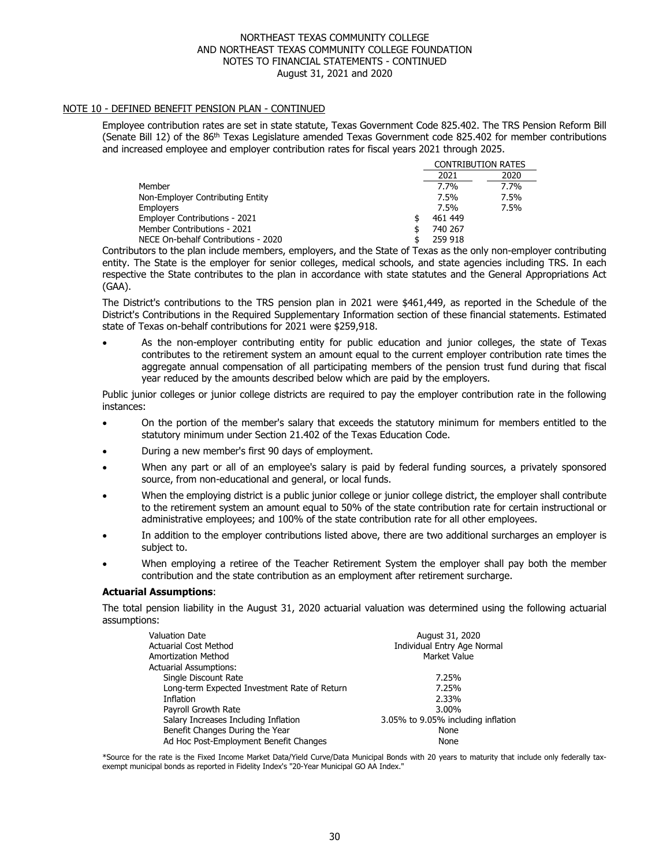### NOTE 10 - DEFINED BENEFIT PENSION PLAN - CONTINUED

Employee contribution rates are set in state statute, Texas Government Code 825.402. The TRS Pension Reform Bill (Senate Bill 12) of the 86th Texas Legislature amended Texas Government code 825.402 for member contributions and increased employee and employer contribution rates for fiscal years 2021 through 2025.

|                                     | <b>CONTRIBUTION RATES</b> |      |  |  |
|-------------------------------------|---------------------------|------|--|--|
|                                     | 2021                      | 2020 |  |  |
| Member                              | 7.7%                      | 7.7% |  |  |
| Non-Employer Contributing Entity    | 7.5%                      | 7.5% |  |  |
| <b>Employers</b>                    | 7.5%                      | 7.5% |  |  |
| Employer Contributions - 2021       | 461 449                   |      |  |  |
| Member Contributions - 2021         | 740 267                   |      |  |  |
| NECE On-behalf Contributions - 2020 | 259 918                   |      |  |  |

Contributors to the plan include members, employers, and the State of Texas as the only non-employer contributing entity. The State is the employer for senior colleges, medical schools, and state agencies including TRS. In each respective the State contributes to the plan in accordance with state statutes and the General Appropriations Act (GAA).

The District's contributions to the TRS pension plan in 2021 were \$461,449, as reported in the Schedule of the District's Contributions in the Required Supplementary Information section of these financial statements. Estimated state of Texas on-behalf contributions for 2021 were \$259,918.

 As the non-employer contributing entity for public education and junior colleges, the state of Texas contributes to the retirement system an amount equal to the current employer contribution rate times the aggregate annual compensation of all participating members of the pension trust fund during that fiscal year reduced by the amounts described below which are paid by the employers.

Public junior colleges or junior college districts are required to pay the employer contribution rate in the following instances:

- On the portion of the member's salary that exceeds the statutory minimum for members entitled to the statutory minimum under Section 21.402 of the Texas Education Code.
- During a new member's first 90 days of employment.
- When any part or all of an employee's salary is paid by federal funding sources, a privately sponsored source, from non-educational and general, or local funds.
- When the employing district is a public junior college or junior college district, the employer shall contribute to the retirement system an amount equal to 50% of the state contribution rate for certain instructional or administrative employees; and 100% of the state contribution rate for all other employees.
- In addition to the employer contributions listed above, there are two additional surcharges an employer is subject to.
- When employing a retiree of the Teacher Retirement System the employer shall pay both the member contribution and the state contribution as an employment after retirement surcharge.

### **Actuarial Assumptions**:

The total pension liability in the August 31, 2020 actuarial valuation was determined using the following actuarial assumptions:

| <b>Valuation Date</b>                        | August 31, 2020                    |
|----------------------------------------------|------------------------------------|
| <b>Actuarial Cost Method</b>                 | Individual Entry Age Normal        |
| Amortization Method                          | Market Value                       |
| <b>Actuarial Assumptions:</b>                |                                    |
| Single Discount Rate                         | 7.25%                              |
| Long-term Expected Investment Rate of Return | 7.25%                              |
| Inflation                                    | 2.33%                              |
| Payroll Growth Rate                          | 3.00%                              |
| Salary Increases Including Inflation         | 3.05% to 9.05% including inflation |
| Benefit Changes During the Year              | None                               |
| Ad Hoc Post-Employment Benefit Changes       | None                               |

\*Source for the rate is the Fixed Income Market Data/Yield Curve/Data Municipal Bonds with 20 years to maturity that include only federally taxexempt municipal bonds as reported in Fidelity Index's "20-Year Municipal GO AA Index."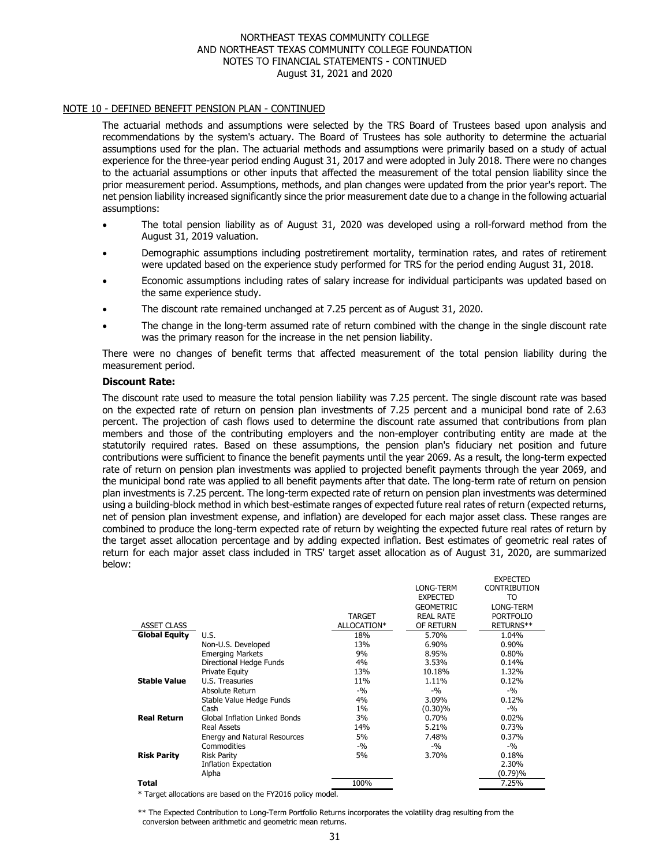### NOTE 10 - DEFINED BENEFIT PENSION PLAN - CONTINUED

The actuarial methods and assumptions were selected by the TRS Board of Trustees based upon analysis and recommendations by the system's actuary. The Board of Trustees has sole authority to determine the actuarial assumptions used for the plan. The actuarial methods and assumptions were primarily based on a study of actual experience for the three-year period ending August 31, 2017 and were adopted in July 2018. There were no changes to the actuarial assumptions or other inputs that affected the measurement of the total pension liability since the prior measurement period. Assumptions, methods, and plan changes were updated from the prior year's report. The net pension liability increased significantly since the prior measurement date due to a change in the following actuarial assumptions:

- The total pension liability as of August 31, 2020 was developed using a roll-forward method from the August 31, 2019 valuation.
- Demographic assumptions including postretirement mortality, termination rates, and rates of retirement were updated based on the experience study performed for TRS for the period ending August 31, 2018.
- Economic assumptions including rates of salary increase for individual participants was updated based on the same experience study.
- The discount rate remained unchanged at 7.25 percent as of August 31, 2020.
- The change in the long-term assumed rate of return combined with the change in the single discount rate was the primary reason for the increase in the net pension liability.

There were no changes of benefit terms that affected measurement of the total pension liability during the measurement period.

### **Discount Rate:**

The discount rate used to measure the total pension liability was 7.25 percent. The single discount rate was based on the expected rate of return on pension plan investments of 7.25 percent and a municipal bond rate of 2.63 percent. The projection of cash flows used to determine the discount rate assumed that contributions from plan members and those of the contributing employers and the non-employer contributing entity are made at the statutorily required rates. Based on these assumptions, the pension plan's fiduciary net position and future contributions were sufficient to finance the benefit payments until the year 2069. As a result, the long-term expected rate of return on pension plan investments was applied to projected benefit payments through the year 2069, and the municipal bond rate was applied to all benefit payments after that date. The long-term rate of return on pension plan investments is 7.25 percent. The long-term expected rate of return on pension plan investments was determined using a building-block method in which best-estimate ranges of expected future real rates of return (expected returns, net of pension plan investment expense, and inflation) are developed for each major asset class. These ranges are combined to produce the long-term expected rate of return by weighting the expected future real rates of return by the target asset allocation percentage and by adding expected inflation. Best estimates of geometric real rates of return for each major asset class included in TRS' target asset allocation as of August 31, 2020, are summarized below:

|                      |                                                           |               |                  | <b>EXPECTED</b>     |
|----------------------|-----------------------------------------------------------|---------------|------------------|---------------------|
|                      |                                                           |               | LONG-TERM        | <b>CONTRIBUTION</b> |
|                      |                                                           |               | <b>EXPECTED</b>  | TO                  |
|                      |                                                           |               | <b>GEOMETRIC</b> | LONG-TERM           |
|                      |                                                           | <b>TARGET</b> | <b>REAL RATE</b> | <b>PORTFOLIO</b>    |
| <b>ASSET CLASS</b>   |                                                           | ALLOCATION*   | OF RETURN        | RETURNS**           |
| <b>Global Equity</b> | U.S.                                                      | 18%           | 5.70%            | 1.04%               |
|                      | Non-U.S. Developed                                        | 13%           | 6.90%            | $0.90\%$            |
|                      | <b>Emerging Markets</b>                                   | 9%            | 8.95%            | $0.80\%$            |
|                      | Directional Hedge Funds                                   | 4%            | 3.53%            | 0.14%               |
|                      | Private Equity                                            | 13%           | 10.18%           | 1.32%               |
| <b>Stable Value</b>  | U.S. Treasuries                                           | 11%           | 1.11%            | 0.12%               |
|                      | Absolute Return                                           | $-9/0$        | $-9/0$           | $-9/0$              |
|                      | Stable Value Hedge Funds                                  | 4%            | 3.09%            | 0.12%               |
|                      | Cash                                                      | $1\%$         | (0.30)%          | $-9/0$              |
| <b>Real Return</b>   | Global Inflation Linked Bonds                             | 3%            | 0.70%            | 0.02%               |
|                      | <b>Real Assets</b>                                        | 14%           | 5.21%            | 0.73%               |
|                      | Energy and Natural Resources                              | 5%            | 7.48%            | 0.37%               |
|                      | Commodities                                               | $-9/6$        | $-9/0$           | $-9/0$              |
| <b>Risk Parity</b>   | <b>Risk Parity</b>                                        | 5%            | 3.70%            | 0.18%               |
|                      | <b>Inflation Expectation</b>                              |               |                  | 2.30%               |
|                      | Alpha                                                     |               |                  | (0.79)%             |
| <b>Total</b>         |                                                           | 100%          |                  | 7.25%               |
|                      | * Target allocations are based on the EV2016 policy model |               |                  |                     |

\* Target allocations are based on the FY2016 policy model.

\*\* The Expected Contribution to Long-Term Portfolio Returns incorporates the volatility drag resulting from the conversion between arithmetic and geometric mean returns.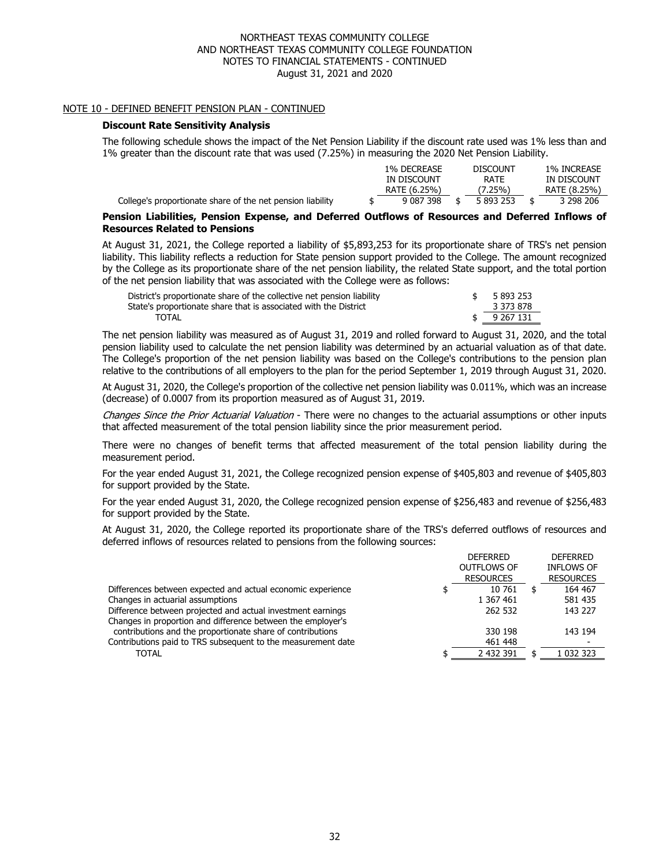# NOTE 10 - DEFINED BENEFIT PENSION PLAN - CONTINUED

### **Discount Rate Sensitivity Analysis**

The following schedule shows the impact of the Net Pension Liability if the discount rate used was 1% less than and 1% greater than the discount rate that was used (7.25%) in measuring the 2020 Net Pension Liability.

|                                                            | 1% DECREASE  | DISCOUNT    | 1% INCREASE  |
|------------------------------------------------------------|--------------|-------------|--------------|
|                                                            | IN DISCOUNT  | <b>RATE</b> | IN DISCOUNT  |
|                                                            | RATE (6.25%) | 7.25%)      | RATE (8.25%) |
| College's proportionate share of the net pension liability | 9 087 398    | 5 893 253   | 3 298 206    |

### **Pension Liabilities, Pension Expense, and Deferred Outflows of Resources and Deferred Inflows of Resources Related to Pensions**

At August 31, 2021, the College reported a liability of \$5,893,253 for its proportionate share of TRS's net pension liability. This liability reflects a reduction for State pension support provided to the College. The amount recognized by the College as its proportionate share of the net pension liability, the related State support, and the total portion of the net pension liability that was associated with the College were as follows:

| District's proportionate share of the collective net pension liability | \$5893253 |
|------------------------------------------------------------------------|-----------|
| State's proportionate share that is associated with the District       | 3 373 878 |
| TOTAL                                                                  | \$9267131 |

The net pension liability was measured as of August 31, 2019 and rolled forward to August 31, 2020, and the total pension liability used to calculate the net pension liability was determined by an actuarial valuation as of that date. The College's proportion of the net pension liability was based on the College's contributions to the pension plan relative to the contributions of all employers to the plan for the period September 1, 2019 through August 31, 2020.

At August 31, 2020, the College's proportion of the collective net pension liability was 0.011%, which was an increase (decrease) of 0.0007 from its proportion measured as of August 31, 2019.

Changes Since the Prior Actuarial Valuation - There were no changes to the actuarial assumptions or other inputs that affected measurement of the total pension liability since the prior measurement period.

There were no changes of benefit terms that affected measurement of the total pension liability during the measurement period.

For the year ended August 31, 2021, the College recognized pension expense of \$405,803 and revenue of \$405,803 for support provided by the State.

For the year ended August 31, 2020, the College recognized pension expense of \$256,483 and revenue of \$256,483 for support provided by the State.

At August 31, 2020, the College reported its proportionate share of the TRS's deferred outflows of resources and deferred inflows of resources related to pensions from the following sources:

|                                                              | <b>DEFERRED</b><br><b>OUTFLOWS OF</b><br><b>RESOURCES</b> | <b>DEFERRED</b><br><b>INFLOWS OF</b><br><b>RESOURCES</b> |
|--------------------------------------------------------------|-----------------------------------------------------------|----------------------------------------------------------|
| Differences between expected and actual economic experience  | 10 761                                                    | \$<br>164 467                                            |
| Changes in actuarial assumptions                             | 1 367 461                                                 | 581 435                                                  |
| Difference between projected and actual investment earnings  | 262 532                                                   | 143 227                                                  |
| Changes in proportion and difference between the employer's  |                                                           |                                                          |
| contributions and the proportionate share of contributions   | 330 198                                                   | 143 194                                                  |
| Contributions paid to TRS subsequent to the measurement date | 461 448                                                   |                                                          |
| TOTAL                                                        | 2 432 391                                                 | 1 032 323                                                |
|                                                              |                                                           |                                                          |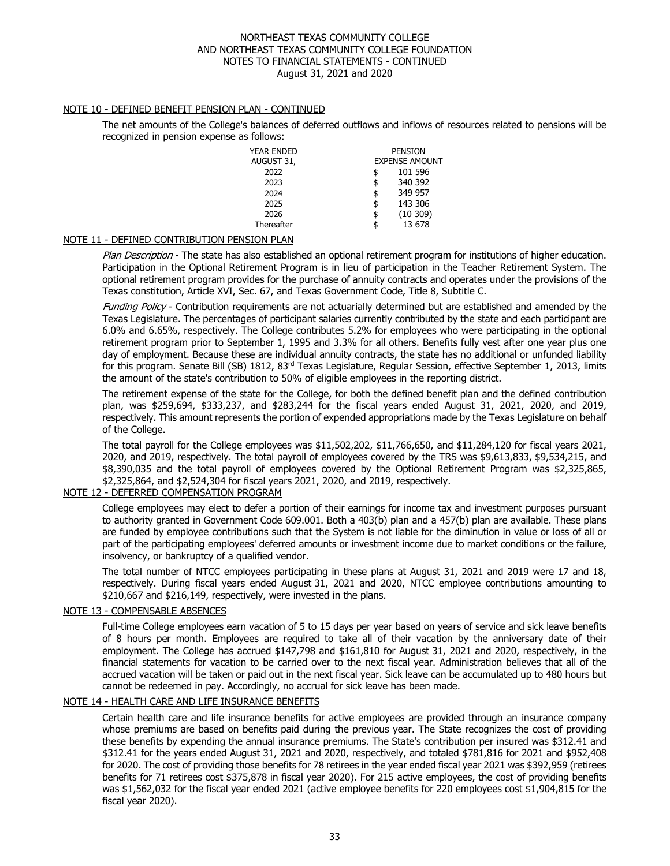# NOTE 10 - DEFINED BENEFIT PENSION PLAN - CONTINUED

The net amounts of the College's balances of deferred outflows and inflows of resources related to pensions will be recognized in pension expense as follows:

| <b>YEAR ENDED</b><br>AUGUST 31, | <b>PENSION</b><br><b>EXPENSE AMOUNT</b> |
|---------------------------------|-----------------------------------------|
| 2022                            | 101 596<br>S                            |
| 2023                            | 340 392<br>\$                           |
| 2024                            | 349 957<br>\$                           |
| 2025                            | 143 306<br>\$                           |
| 2026                            | (10309)<br>\$                           |
| Thereafter                      | 13 678                                  |

### NOTE 11 - DEFINED CONTRIBUTION PENSION PLAN

Plan Description - The state has also established an optional retirement program for institutions of higher education. Participation in the Optional Retirement Program is in lieu of participation in the Teacher Retirement System. The optional retirement program provides for the purchase of annuity contracts and operates under the provisions of the Texas constitution, Article XVI, Sec. 67, and Texas Government Code, Title 8, Subtitle C.

Funding Policy - Contribution requirements are not actuarially determined but are established and amended by the Texas Legislature. The percentages of participant salaries currently contributed by the state and each participant are 6.0% and 6.65%, respectively. The College contributes 5.2% for employees who were participating in the optional retirement program prior to September 1, 1995 and 3.3% for all others. Benefits fully vest after one year plus one day of employment. Because these are individual annuity contracts, the state has no additional or unfunded liability for this program. Senate Bill (SB) 1812, 83<sup>rd</sup> Texas Legislature, Regular Session, effective September 1, 2013, limits the amount of the state's contribution to 50% of eligible employees in the reporting district.

The retirement expense of the state for the College, for both the defined benefit plan and the defined contribution plan, was \$259,694, \$333,237, and \$283,244 for the fiscal years ended August 31, 2021, 2020, and 2019, respectively. This amount represents the portion of expended appropriations made by the Texas Legislature on behalf of the College.

The total payroll for the College employees was \$11,502,202, \$11,766,650, and \$11,284,120 for fiscal years 2021, 2020, and 2019, respectively. The total payroll of employees covered by the TRS was \$9,613,833, \$9,534,215, and \$8,390,035 and the total payroll of employees covered by the Optional Retirement Program was \$2,325,865, \$2,325,864, and \$2,524,304 for fiscal years 2021, 2020, and 2019, respectively.

# NOTE 12 - DEFERRED COMPENSATION PROGRAM

College employees may elect to defer a portion of their earnings for income tax and investment purposes pursuant to authority granted in Government Code 609.001. Both a 403(b) plan and a 457(b) plan are available. These plans are funded by employee contributions such that the System is not liable for the diminution in value or loss of all or part of the participating employees' deferred amounts or investment income due to market conditions or the failure, insolvency, or bankruptcy of a qualified vendor.

The total number of NTCC employees participating in these plans at August 31, 2021 and 2019 were 17 and 18, respectively. During fiscal years ended August 31, 2021 and 2020, NTCC employee contributions amounting to \$210,667 and \$216,149, respectively, were invested in the plans.

# NOTE 13 - COMPENSABLE ABSENCES

Full-time College employees earn vacation of 5 to 15 days per year based on years of service and sick leave benefits of 8 hours per month. Employees are required to take all of their vacation by the anniversary date of their employment. The College has accrued \$147,798 and \$161,810 for August 31, 2021 and 2020, respectively, in the financial statements for vacation to be carried over to the next fiscal year. Administration believes that all of the accrued vacation will be taken or paid out in the next fiscal year. Sick leave can be accumulated up to 480 hours but cannot be redeemed in pay. Accordingly, no accrual for sick leave has been made.

# NOTE 14 - HEALTH CARE AND LIFE INSURANCE BENEFITS

Certain health care and life insurance benefits for active employees are provided through an insurance company whose premiums are based on benefits paid during the previous year. The State recognizes the cost of providing these benefits by expending the annual insurance premiums. The State's contribution per insured was \$312.41 and \$312.41 for the years ended August 31, 2021 and 2020, respectively, and totaled \$781,816 for 2021 and \$952,408 for 2020. The cost of providing those benefits for 78 retirees in the year ended fiscal year 2021 was \$392,959 (retirees benefits for 71 retirees cost \$375,878 in fiscal year 2020). For 215 active employees, the cost of providing benefits was \$1,562,032 for the fiscal year ended 2021 (active employee benefits for 220 employees cost \$1,904,815 for the fiscal year 2020).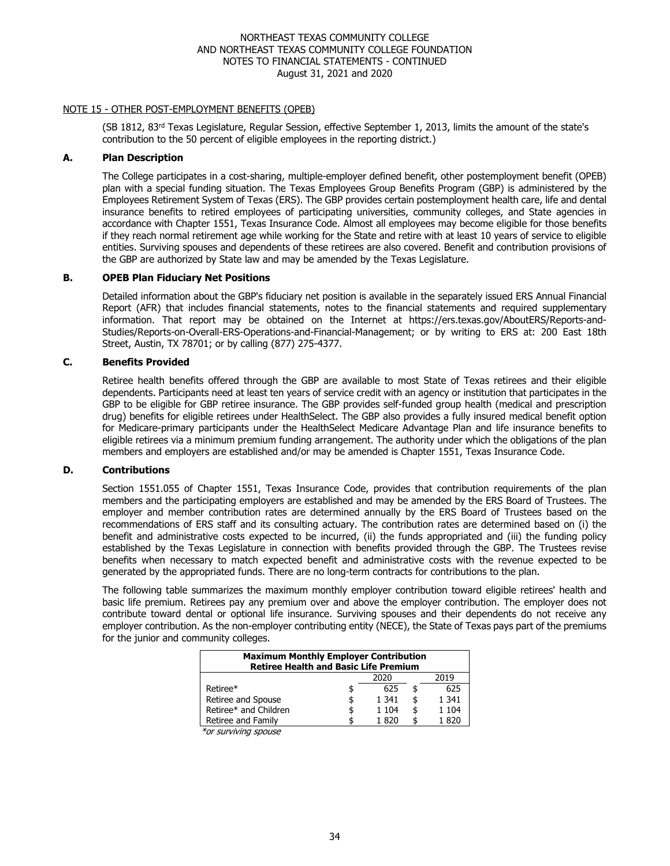# NOTE 15 - OTHER POST-EMPLOYMENT BENEFITS (OPEB)

(SB 1812, 83<sup>rd</sup> Texas Legislature, Regular Session, effective September 1, 2013, limits the amount of the state's contribution to the 50 percent of eligible employees in the reporting district.)

# **A. Plan Description**

The College participates in a cost-sharing, multiple-employer defined benefit, other postemployment benefit (OPEB) plan with a special funding situation. The Texas Employees Group Benefits Program (GBP) is administered by the Employees Retirement System of Texas (ERS). The GBP provides certain postemployment health care, life and dental insurance benefits to retired employees of participating universities, community colleges, and State agencies in accordance with Chapter 1551, Texas Insurance Code. Almost all employees may become eligible for those benefits if they reach normal retirement age while working for the State and retire with at least 10 years of service to eligible entities. Surviving spouses and dependents of these retirees are also covered. Benefit and contribution provisions of the GBP are authorized by State law and may be amended by the Texas Legislature.

# **B. OPEB Plan Fiduciary Net Positions**

Detailed information about the GBP's fiduciary net position is available in the separately issued ERS Annual Financial Report (AFR) that includes financial statements, notes to the financial statements and required supplementary information. That report may be obtained on the Internet at https://ers.texas.gov/AboutERS/Reports-and-Studies/Reports-on-Overall-ERS-Operations-and-Financial-Management; or by writing to ERS at: 200 East 18th Street, Austin, TX 78701; or by calling (877) 275-4377.

# **C. Benefits Provided**

Retiree health benefits offered through the GBP are available to most State of Texas retirees and their eligible dependents. Participants need at least ten years of service credit with an agency or institution that participates in the GBP to be eligible for GBP retiree insurance. The GBP provides self-funded group health (medical and prescription drug) benefits for eligible retirees under HealthSelect. The GBP also provides a fully insured medical benefit option for Medicare-primary participants under the HealthSelect Medicare Advantage Plan and life insurance benefits to eligible retirees via a minimum premium funding arrangement. The authority under which the obligations of the plan members and employers are established and/or may be amended is Chapter 1551, Texas Insurance Code.

### **D. Contributions**

Section 1551.055 of Chapter 1551, Texas Insurance Code, provides that contribution requirements of the plan members and the participating employers are established and may be amended by the ERS Board of Trustees. The employer and member contribution rates are determined annually by the ERS Board of Trustees based on the recommendations of ERS staff and its consulting actuary. The contribution rates are determined based on (i) the benefit and administrative costs expected to be incurred, (ii) the funds appropriated and (iii) the funding policy established by the Texas Legislature in connection with benefits provided through the GBP. The Trustees revise benefits when necessary to match expected benefit and administrative costs with the revenue expected to be generated by the appropriated funds. There are no long-term contracts for contributions to the plan.

The following table summarizes the maximum monthly employer contribution toward eligible retirees' health and basic life premium. Retirees pay any premium over and above the employer contribution. The employer does not contribute toward dental or optional life insurance. Surviving spouses and their dependents do not receive any employer contribution. As the non-employer contributing entity (NECE), the State of Texas pays part of the premiums for the junior and community colleges.

| <b>Maximum Monthly Employer Contribution</b><br><b>Retiree Health and Basic Life Premium</b> |  |         |  |         |  |  |  |  |  |
|----------------------------------------------------------------------------------------------|--|---------|--|---------|--|--|--|--|--|
| 2019<br>2020                                                                                 |  |         |  |         |  |  |  |  |  |
| Retiree*                                                                                     |  | 625     |  | 625     |  |  |  |  |  |
| Retiree and Spouse                                                                           |  | 1 341   |  | 1 3 4 1 |  |  |  |  |  |
| Retiree* and Children                                                                        |  | 1 1 0 4 |  | 1 104   |  |  |  |  |  |
| Retiree and Family                                                                           |  | 1820    |  | 1 820   |  |  |  |  |  |
| $*$ ar cun $\ddot{\eta}$ ing chouce                                                          |  |         |  |         |  |  |  |  |  |

<sup>\*</sup>or surviving spouse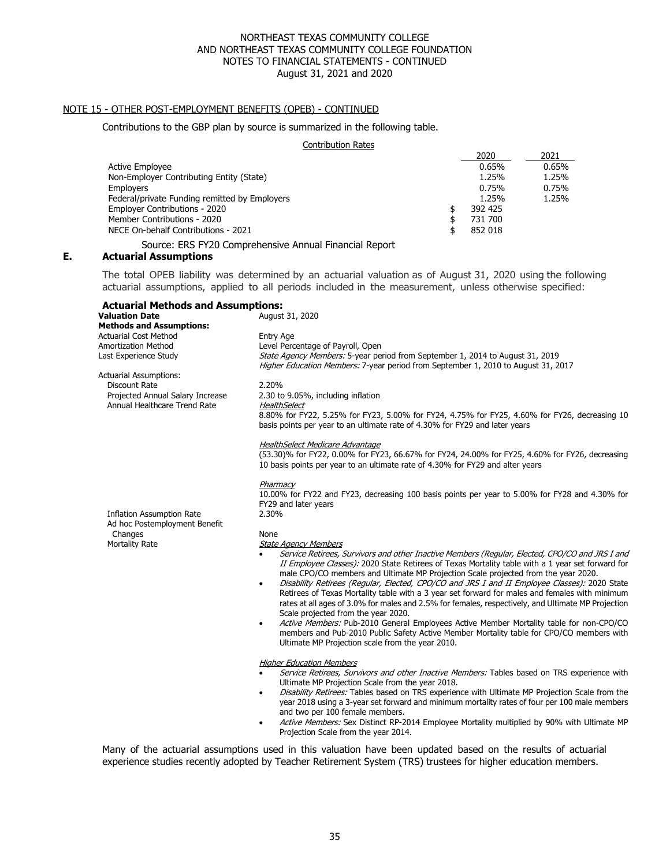# NOTE 15 - OTHER POST-EMPLOYMENT BENEFITS (OPEB) - CONTINUED

### Contributions to the GBP plan by source is summarized in the following table.

#### Contribution Rates

|                                               | 2020    | 2021  |
|-----------------------------------------------|---------|-------|
| <b>Active Employee</b>                        | 0.65%   | 0.65% |
| Non-Employer Contributing Entity (State)      | 1.25%   | 1.25% |
| Employers                                     | 0.75%   | 0.75% |
| Federal/private Funding remitted by Employers | 1.25%   | 1.25% |
| Employer Contributions - 2020                 | 392 425 |       |
| Member Contributions - 2020                   | 731 700 |       |
| NECE On-behalf Contributions - 2021           | 852 018 |       |
|                                               |         |       |

Source: ERS FY20 Comprehensive Annual Financial Report

# **E. Actuarial Assumptions**

The total OPEB liability was determined by an actuarial valuation as of August 31, 2020 using the following actuarial assumptions, applied to all periods included in the measurement, unless otherwise specified:

| <b>Actuarial Methods and Assumptions:</b>                        |                                                                                                                                                                                                                                                                                                       |
|------------------------------------------------------------------|-------------------------------------------------------------------------------------------------------------------------------------------------------------------------------------------------------------------------------------------------------------------------------------------------------|
| <b>Valuation Date</b>                                            | August 31, 2020                                                                                                                                                                                                                                                                                       |
| <b>Methods and Assumptions:</b>                                  |                                                                                                                                                                                                                                                                                                       |
| <b>Actuarial Cost Method</b>                                     | <b>Entry Age</b>                                                                                                                                                                                                                                                                                      |
| <b>Amortization Method</b>                                       | Level Percentage of Payroll, Open                                                                                                                                                                                                                                                                     |
| Last Experience Study                                            | State Agency Members: 5-year period from September 1, 2014 to August 31, 2019<br>Higher Education Members: 7-year period from September 1, 2010 to August 31, 2017                                                                                                                                    |
| <b>Actuarial Assumptions:</b>                                    |                                                                                                                                                                                                                                                                                                       |
| Discount Rate                                                    | 2.20%                                                                                                                                                                                                                                                                                                 |
| Projected Annual Salary Increase<br>Annual Healthcare Trend Rate | 2.30 to 9.05%, including inflation<br>HealthSelect                                                                                                                                                                                                                                                    |
|                                                                  | 8.80% for FY22, 5.25% for FY23, 5.00% for FY24, 4.75% for FY25, 4.60% for FY26, decreasing 10<br>basis points per year to an ultimate rate of 4.30% for FY29 and later years                                                                                                                          |
|                                                                  | HealthSelect Medicare Advantage<br>(53.30)% for FY22, 0.00% for FY23, 66.67% for FY24, 24.00% for FY25, 4.60% for FY26, decreasing                                                                                                                                                                    |
|                                                                  | 10 basis points per year to an ultimate rate of 4.30% for FY29 and alter years                                                                                                                                                                                                                        |
|                                                                  | Pharmacy                                                                                                                                                                                                                                                                                              |
|                                                                  | 10.00% for FY22 and FY23, decreasing 100 basis points per year to 5.00% for FY28 and 4.30% for<br>FY29 and later years                                                                                                                                                                                |
| <b>Inflation Assumption Rate</b>                                 | 2.30%                                                                                                                                                                                                                                                                                                 |
| Ad hoc Postemployment Benefit                                    |                                                                                                                                                                                                                                                                                                       |
| Changes                                                          | None                                                                                                                                                                                                                                                                                                  |
| Mortality Rate                                                   | <b>State Agency Members</b>                                                                                                                                                                                                                                                                           |
|                                                                  | Service Retirees, Survivors and other Inactive Members (Regular, Elected, CPO/CO and JRS I and<br>$\bullet$<br>II Employee Classes): 2020 State Retirees of Texas Mortality table with a 1 year set forward for<br>male CPO/CO members and Ultimate MP Projection Scale projected from the year 2020. |
|                                                                  | Disability Retirees (Regular, Elected, CPO/CO and JRS I and II Employee Classes): 2020 State<br>$\bullet$<br>Retirees of Texas Mortality table with a 3 year set forward for males and females with minimum                                                                                           |
|                                                                  | rates at all ages of 3.0% for males and 2.5% for females, respectively, and Ultimate MP Projection<br>Scale projected from the year 2020.                                                                                                                                                             |
|                                                                  | Active Members: Pub-2010 General Employees Active Member Mortality table for non-CPO/CO<br>$\bullet$                                                                                                                                                                                                  |
|                                                                  | members and Pub-2010 Public Safety Active Member Mortality table for CPO/CO members with<br>Ultimate MP Projection scale from the year 2010.                                                                                                                                                          |
|                                                                  | <b>Higher Education Members</b>                                                                                                                                                                                                                                                                       |
|                                                                  | Service Retirees, Survivors and other Inactive Members: Tables based on TRS experience with                                                                                                                                                                                                           |

- Ultimate MP Projection Scale from the year 2018.
- Disability Retirees: Tables based on TRS experience with Ultimate MP Projection Scale from the year 2018 using a 3-year set forward and minimum mortality rates of four per 100 male members and two per 100 female members.
- Active Members: Sex Distinct RP-2014 Employee Mortality multiplied by 90% with Ultimate MP Projection Scale from the year 2014.

Many of the actuarial assumptions used in this valuation have been updated based on the results of actuarial experience studies recently adopted by Teacher Retirement System (TRS) trustees for higher education members.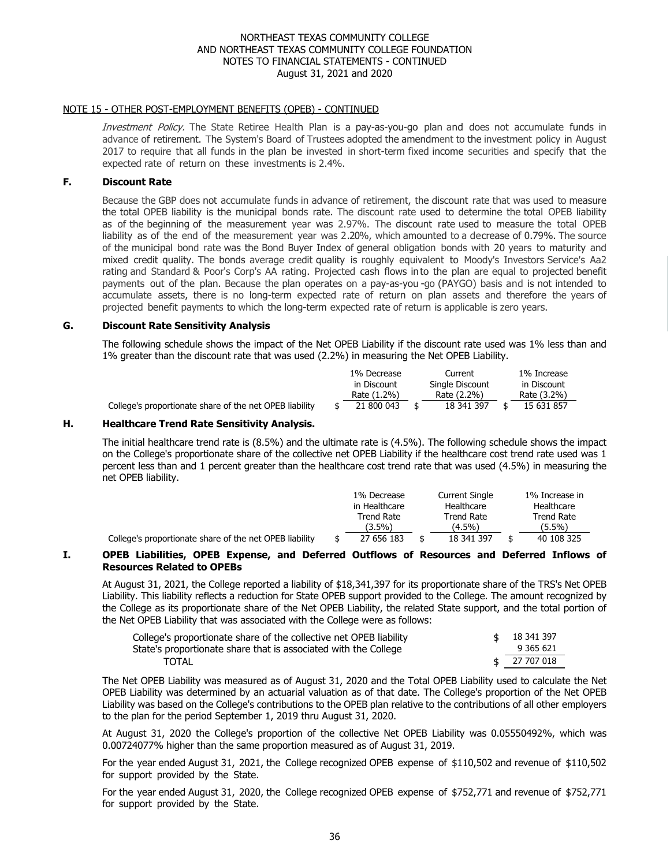### NOTE 15 - OTHER POST-EMPLOYMENT BENEFITS (OPEB) - CONTINUED

Investment Policy. The State Retiree Health Plan is a pay-as-you-go plan and does not accumulate funds in advance of retirement. The System's Board of Trustees adopted the amendment to the investment policy in August 2017 to require that all funds in the plan be invested in short-term fixed income securities and specify that the expected rate of return on these investments is 2.4%.

# **F. Discount Rate**

Because the GBP does not accumulate funds in advance of retirement, the discount rate that was used to measure the total OPEB liability is the municipal bonds rate. The discount rate used to determine the total OPEB liability as of the beginning of the measurement year was 2.97%. The discount rate used to measure the total OPEB liability as of the end of the measurement year was 2.20%, which amounted to a decrease of 0.79%. The source of the municipal bond rate was the Bond Buyer Index of general obligation bonds with 20 years to maturity and mixed credit quality. The bonds average credit quality is roughly equivalent to Moody's Investors Service's Aa2 rating and Standard & Poor's Corp's AA rating. Projected cash flows in to the plan are equal to projected benefit payments out of the plan. Because the plan operates on a pay-as-you -go (PAYGO) basis and is not intended to accumulate assets, there is no long-term expected rate of return on plan assets and therefore the years of projected benefit payments to which the long-term expected rate of return is applicable is zero years.

### **G. Discount Rate Sensitivity Analysis**

The following schedule shows the impact of the Net OPEB Liability if the discount rate used was 1% less than and 1% greater than the discount rate that was used (2.2%) in measuring the Net OPEB Liability.

|                                                         | 1% Decrease | Current         | 1% Increase |
|---------------------------------------------------------|-------------|-----------------|-------------|
|                                                         | in Discount | Single Discount | in Discount |
|                                                         | Rate (1.2%) | Rate (2.2%)     | Rate (3.2%) |
| College's proportionate share of the net OPEB liability | 21 800 043  | 18 341 397      | 15 631 857  |

### **H. Healthcare Trend Rate Sensitivity Analysis.**

The initial healthcare trend rate is (8.5%) and the ultimate rate is (4.5%). The following schedule shows the impact on the College's proportionate share of the collective net OPEB Liability if the healthcare cost trend rate used was 1 percent less than and 1 percent greater than the healthcare cost trend rate that was used (4.5%) in measuring the net OPEB liability.

|                                                         | 1% Decrease   | Current Single | 1% Increase in |
|---------------------------------------------------------|---------------|----------------|----------------|
|                                                         | in Healthcare | Healthcare     | Healthcare     |
|                                                         | Trend Rate    | Trend Rate     | Trend Rate     |
|                                                         | $(3.5\%)$     | (4.5%)         | (5.5%)         |
| College's proportionate share of the net OPEB liability | 27 656 183    | 18 341 397     | 40 108 325     |

### **I. OPEB Liabilities, OPEB Expense, and Deferred Outflows of Resources and Deferred Inflows of Resources Related to OPEBs**

At August 31, 2021, the College reported a liability of \$18,341,397 for its proportionate share of the TRS's Net OPEB Liability. This liability reflects a reduction for State OPEB support provided to the College. The amount recognized by the College as its proportionate share of the Net OPEB Liability, the related State support, and the total portion of the Net OPEB Liability that was associated with the College were as follows:

| College's proportionate share of the collective net OPEB liability | $\frac{1}{3}$ 18 341 397 |
|--------------------------------------------------------------------|--------------------------|
| State's proportionate share that is associated with the College    | 9 3 6 5 6 2 1            |
| TOTAL                                                              | $$27\,707\,018$          |

The Net OPEB Liability was measured as of August 31, 2020 and the Total OPEB Liability used to calculate the Net OPEB Liability was determined by an actuarial valuation as of that date. The College's proportion of the Net OPEB Liability was based on the College's contributions to the OPEB plan relative to the contributions of all other employers to the plan for the period September 1, 2019 thru August 31, 2020.

At August 31, 2020 the College's proportion of the collective Net OPEB Liability was 0.05550492%, which was 0.00724077% higher than the same proportion measured as of August 31, 2019.

For the year ended August 31, 2021, the College recognized OPEB expense of \$110,502 and revenue of \$110,502 for support provided by the State.

For the year ended August 31, 2020, the College recognized OPEB expense of \$752,771 and revenue of \$752,771 for support provided by the State.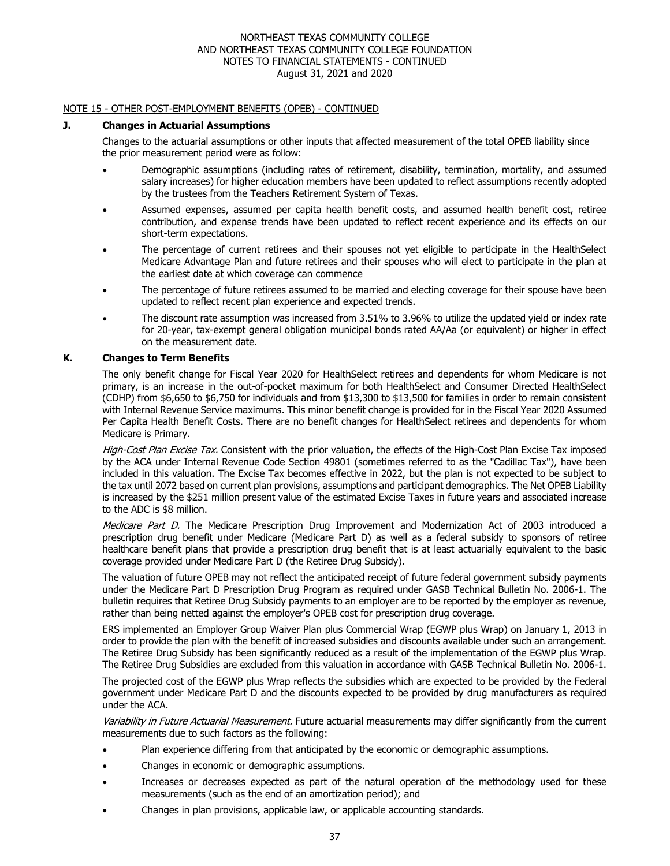### NOTE 15 - OTHER POST-EMPLOYMENT BENEFITS (OPEB) - CONTINUED

# **J. Changes in Actuarial Assumptions**

Changes to the actuarial assumptions or other inputs that affected measurement of the total OPEB liability since the prior measurement period were as follow:

- Demographic assumptions (including rates of retirement, disability, termination, mortality, and assumed salary increases) for higher education members have been updated to reflect assumptions recently adopted by the trustees from the Teachers Retirement System of Texas.
- Assumed expenses, assumed per capita health benefit costs, and assumed health benefit cost, retiree contribution, and expense trends have been updated to reflect recent experience and its effects on our short-term expectations.
- The percentage of current retirees and their spouses not yet eligible to participate in the HealthSelect Medicare Advantage Plan and future retirees and their spouses who will elect to participate in the plan at the earliest date at which coverage can commence
- The percentage of future retirees assumed to be married and electing coverage for their spouse have been updated to reflect recent plan experience and expected trends.
- The discount rate assumption was increased from 3.51% to 3.96% to utilize the updated yield or index rate for 20-year, tax-exempt general obligation municipal bonds rated AA/Aa (or equivalent) or higher in effect on the measurement date.

# **K. Changes to Term Benefits**

The only benefit change for Fiscal Year 2020 for HealthSelect retirees and dependents for whom Medicare is not primary, is an increase in the out-of-pocket maximum for both HealthSelect and Consumer Directed HealthSelect (CDHP) from \$6,650 to \$6,750 for individuals and from \$13,300 to \$13,500 for families in order to remain consistent with Internal Revenue Service maximums. This minor benefit change is provided for in the Fiscal Year 2020 Assumed Per Capita Health Benefit Costs. There are no benefit changes for HealthSelect retirees and dependents for whom Medicare is Primary.

High-Cost Plan Excise Tax. Consistent with the prior valuation, the effects of the High-Cost Plan Excise Tax imposed by the ACA under Internal Revenue Code Section 49801 (sometimes referred to as the "Cadillac Tax"), have been included in this valuation. The Excise Tax becomes effective in 2022, but the plan is not expected to be subject to the tax until 2072 based on current plan provisions, assumptions and participant demographics. The Net OPEB Liability is increased by the \$251 million present value of the estimated Excise Taxes in future years and associated increase to the ADC is \$8 million.

Medicare Part D. The Medicare Prescription Drug Improvement and Modernization Act of 2003 introduced a prescription drug benefit under Medicare (Medicare Part D) as well as a federal subsidy to sponsors of retiree healthcare benefit plans that provide a prescription drug benefit that is at least actuarially equivalent to the basic coverage provided under Medicare Part D (the Retiree Drug Subsidy).

The valuation of future OPEB may not reflect the anticipated receipt of future federal government subsidy payments under the Medicare Part D Prescription Drug Program as required under GASB Technical Bulletin No. 2006-1. The bulletin requires that Retiree Drug Subsidy payments to an employer are to be reported by the employer as revenue, rather than being netted against the employer's OPEB cost for prescription drug coverage.

ERS implemented an Employer Group Waiver Plan plus Commercial Wrap (EGWP plus Wrap) on January 1, 2013 in order to provide the plan with the benefit of increased subsidies and discounts available under such an arrangement. The Retiree Drug Subsidy has been significantly reduced as a result of the implementation of the EGWP plus Wrap. The Retiree Drug Subsidies are excluded from this valuation in accordance with GASB Technical Bulletin No. 2006-1.

The projected cost of the EGWP plus Wrap reflects the subsidies which are expected to be provided by the Federal government under Medicare Part D and the discounts expected to be provided by drug manufacturers as required under the ACA.

Variability in Future Actuarial Measurement. Future actuarial measurements may differ significantly from the current measurements due to such factors as the following:

- Plan experience differing from that anticipated by the economic or demographic assumptions.
- Changes in economic or demographic assumptions.
- Increases or decreases expected as part of the natural operation of the methodology used for these measurements (such as the end of an amortization period); and
- Changes in plan provisions, applicable law, or applicable accounting standards.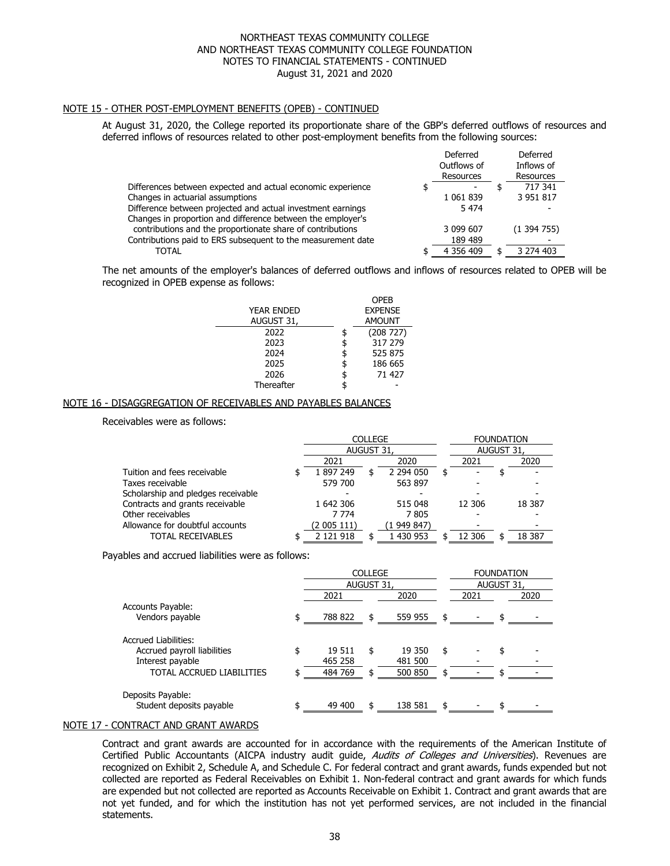### NOTE 15 - OTHER POST-EMPLOYMENT BENEFITS (OPEB) - CONTINUED

At August 31, 2020, the College reported its proportionate share of the GBP's deferred outflows of resources and deferred inflows of resources related to other post-employment benefits from the following sources:

|                                                              | Deferred<br>Outflows of<br>Resources | Deferred<br>Inflows of<br>Resources |
|--------------------------------------------------------------|--------------------------------------|-------------------------------------|
| Differences between expected and actual economic experience  |                                      | 717 341                             |
| Changes in actuarial assumptions                             | 1 061 839                            | 3 951 817                           |
| Difference between projected and actual investment earnings  | 5474                                 |                                     |
| Changes in proportion and difference between the employer's  |                                      |                                     |
| contributions and the proportionate share of contributions   | 3 099 607                            | (139475)                            |
| Contributions paid to ERS subsequent to the measurement date | 189 489                              |                                     |
| TOTAL                                                        | 4 356 409                            | 3 274 403                           |

The net amounts of the employer's balances of deferred outflows and inflows of resources related to OPEB will be recognized in OPEB expense as follows:

|            |   | <b>OPEB</b>    |
|------------|---|----------------|
| YEAR ENDED |   | <b>EXPENSE</b> |
| AUGUST 31, |   | <b>AMOUNT</b>  |
| 2022       |   | (208 727)      |
| 2023       | S | 317 279        |
| 2024       |   | 525 875        |
| 2025       |   | 186 665        |
| 2026       | S | 71 427         |
| Thereafter |   |                |

### NOTE 16 - DISAGGREGATION OF RECEIVABLES AND PAYABLES BALANCES

Receivables were as follows:

|                                    | <b>COLLEGE</b> |  |            | <b>FOUNDATION</b> |        |            |        |
|------------------------------------|----------------|--|------------|-------------------|--------|------------|--------|
|                                    | AUGUST 31.     |  |            |                   |        | AUGUST 31. |        |
|                                    | 2021           |  | 2020       |                   | 2021   |            | 2020   |
| Tuition and fees receivable        | 1 897 249      |  | 2 294 050  | S                 |        |            |        |
| Taxes receivable                   | 579 700        |  | 563 897    |                   |        |            |        |
| Scholarship and pledges receivable |                |  |            |                   |        |            |        |
| Contracts and grants receivable    | 1 642 306      |  | 515 048    |                   | 12 306 |            | 18 387 |
| Other receivables                  | 7 774          |  | 7805       |                   |        |            |        |
| Allowance for doubtful accounts    | (2 005 111)    |  | (1949 847) |                   |        |            |        |
| <b>TOTAL RECEIVABLES</b>           | 2 121 918      |  | 1 430 953  |                   | 12 306 |            | 18 387 |

Payables and accrued liabilities were as follows:

|                             | <b>COLLEGE</b> |    |         |    | <b>FOUNDATION</b> |    |      |
|-----------------------------|----------------|----|---------|----|-------------------|----|------|
|                             | AUGUST 31,     |    |         |    | AUGUST 31,        |    |      |
|                             | 2021           |    | 2020    |    | 2021              |    | 2020 |
| Accounts Payable:           |                |    |         |    |                   |    |      |
| Vendors payable             | 788 822        | \$ | 559 955 | \$ |                   | \$ |      |
|                             |                |    |         |    |                   |    |      |
| Accrued Liabilities:        |                |    |         |    |                   |    |      |
| Accrued payroll liabilities | \$<br>19 511   | \$ | 19 350  | \$ |                   | \$ |      |
| Interest payable            | 465 258        |    | 481 500 |    |                   |    |      |
| TOTAL ACCRUED LIABILITIES   | \$<br>484 769  | \$ | 500 850 | \$ |                   | \$ |      |
|                             |                |    |         |    |                   |    |      |
| Deposits Payable:           |                |    |         |    |                   |    |      |
| Student deposits payable    | 49 400         | \$ | 138 581 | \$ |                   | \$ |      |
|                             |                |    |         |    |                   |    |      |

#### NOTE 17 - CONTRACT AND GRANT AWARDS

Contract and grant awards are accounted for in accordance with the requirements of the American Institute of Certified Public Accountants (AICPA industry audit guide, Audits of Colleges and Universities). Revenues are recognized on Exhibit 2, Schedule A, and Schedule C. For federal contract and grant awards, funds expended but not collected are reported as Federal Receivables on Exhibit 1. Non-federal contract and grant awards for which funds are expended but not collected are reported as Accounts Receivable on Exhibit 1. Contract and grant awards that are not yet funded, and for which the institution has not yet performed services, are not included in the financial statements.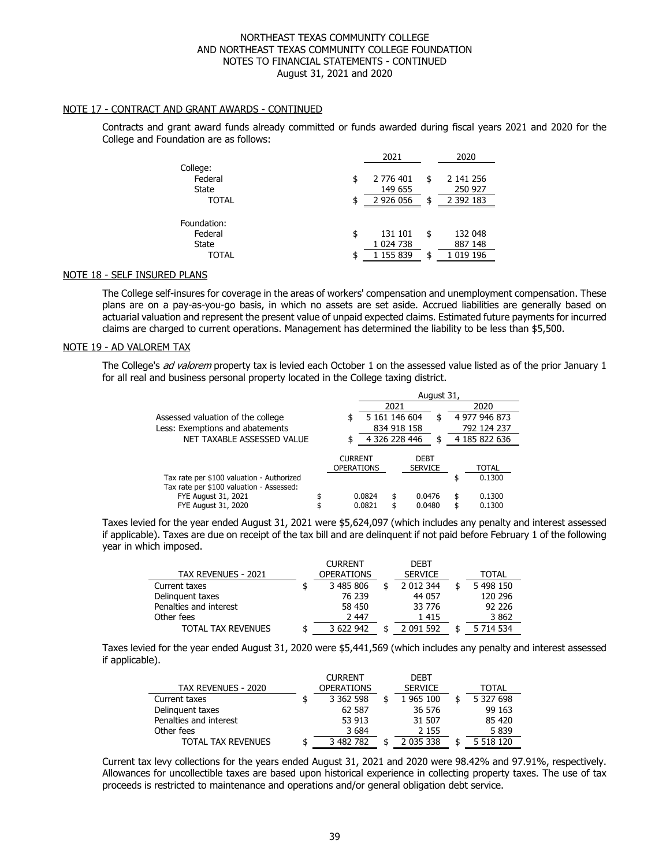### NOTE 17 - CONTRACT AND GRANT AWARDS - CONTINUED

Contracts and grant award funds already committed or funds awarded during fiscal years 2021 and 2020 for the College and Foundation are as follows:

|              | 2021            | 2020            |
|--------------|-----------------|-----------------|
| College:     |                 |                 |
| Federal      | \$<br>2 776 401 | \$<br>2 141 256 |
| <b>State</b> | 149 655         | 250 927         |
| <b>TOTAL</b> | \$<br>2 926 056 | \$<br>2 392 183 |
|              |                 |                 |
| Foundation:  |                 |                 |
| Federal      | \$<br>131 101   | \$<br>132 048   |
| State        | 1 024 738       | 887 148         |
| TOTAL        | \$<br>1 155 839 | \$<br>1 019 196 |
|              |                 |                 |

#### NOTE 18 - SELF INSURED PLANS

The College self-insures for coverage in the areas of workers' compensation and unemployment compensation. These plans are on a pay-as-you-go basis, in which no assets are set aside. Accrued liabilities are generally based on actuarial valuation and represent the present value of unpaid expected claims. Estimated future payments for incurred claims are charged to current operations. Management has determined the liability to be less than \$5,500.

#### NOTE 19 - AD VALOREM TAX

The College's ad valorem property tax is levied each October 1 on the assessed value listed as of the prior January 1 for all real and business personal property located in the College taxing district.

|                                                                                       |                                     |                  |          |                               | August 31, |                        |  |
|---------------------------------------------------------------------------------------|-------------------------------------|------------------|----------|-------------------------------|------------|------------------------|--|
|                                                                                       |                                     |                  | 2021     |                               |            | 2020                   |  |
| Assessed valuation of the college                                                     |                                     | 5 161 146 604    |          |                               | \$         | 4 977 946 873          |  |
| Less: Exemptions and abatements                                                       |                                     |                  |          | 834 918 158                   |            | 792 124 237            |  |
| NET TAXABLE ASSESSED VALUE                                                            | \$                                  | 4 326 228 446    |          |                               | \$         | 4 185 822 636          |  |
|                                                                                       | <b>CURRENT</b><br><b>OPERATIONS</b> |                  |          | <b>DEBT</b><br><b>SERVICE</b> |            | TOTAL                  |  |
| Tax rate per \$100 valuation - Authorized<br>Tax rate per \$100 valuation - Assessed: |                                     |                  |          |                               |            | \$<br>0.1300           |  |
| FYE August 31, 2021<br>FYE August 31, 2020                                            |                                     | 0.0824<br>0.0821 | \$<br>\$ | 0.0476<br>0.0480              |            | \$<br>0.1300<br>0.1300 |  |

Taxes levied for the year ended August 31, 2021 were \$5,624,097 (which includes any penalty and interest assessed if applicable). Taxes are due on receipt of the tax bill and are delinquent if not paid before February 1 of the following year in which imposed.

|                        | <b>CURRENT</b>    | <b>DFBT</b>    |              |
|------------------------|-------------------|----------------|--------------|
| TAX REVENUES - 2021    | <b>OPERATIONS</b> | <b>SERVICE</b> | <b>TOTAL</b> |
| Current taxes          | 3 485 806         | 2 012 344      | 5 498 150    |
| Delinguent taxes       | 76 239            | 44 057         | 120 296      |
| Penalties and interest | 58 450            | 33 776         | 92 2 2 6     |
| Other fees             | 2 4 4 7           | 1415           | 3 8 6 2      |
| TOTAL TAX REVENUES     | 3 622 942         | 2 091 592      | 5 714 534    |

Taxes levied for the year ended August 31, 2020 were \$5,441,569 (which includes any penalty and interest assessed if applicable).

|                           | <b>CURRENT</b>    | <b>DEBT</b>    |             |
|---------------------------|-------------------|----------------|-------------|
| TAX REVENUES - 2020       | <b>OPERATIONS</b> | <b>SERVICE</b> | TOTAL       |
| Current taxes             | 3 3 6 2 5 9 8     | 1 965 100      | 5 327 698   |
| Delinguent taxes          | 62 587            | 36 576         | 99 163      |
| Penalties and interest    | 53 913            | 31 507         | 85 420      |
| Other fees                | 3684              | 2 1 5 5        | 5 8 3 9     |
| <b>TOTAL TAX REVENUES</b> | 3 482 782         | 2 035 338      | 5 5 18 1 20 |

Current tax levy collections for the years ended August 31, 2021 and 2020 were 98.42% and 97.91%, respectively. Allowances for uncollectible taxes are based upon historical experience in collecting property taxes. The use of tax proceeds is restricted to maintenance and operations and/or general obligation debt service.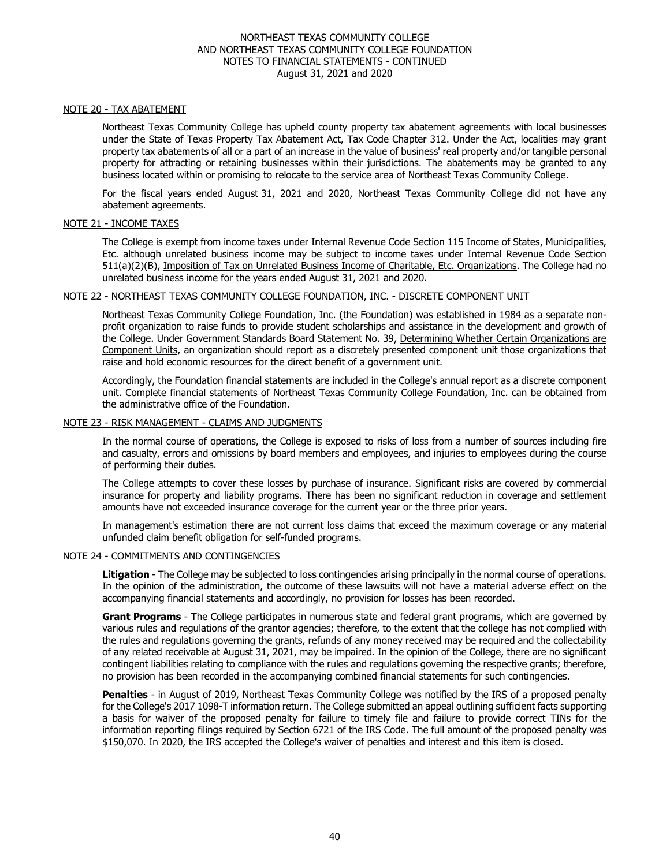### NOTE 20 - TAX ABATEMENT

Northeast Texas Community College has upheld county property tax abatement agreements with local businesses under the State of Texas Property Tax Abatement Act, Tax Code Chapter 312. Under the Act, localities may grant property tax abatements of all or a part of an increase in the value of business' real property and/or tangible personal property for attracting or retaining businesses within their jurisdictions. The abatements may be granted to any business located within or promising to relocate to the service area of Northeast Texas Community College.

For the fiscal years ended August 31, 2021 and 2020, Northeast Texas Community College did not have any abatement agreements.

# NOTE 21 - INCOME TAXES

The College is exempt from income taxes under Internal Revenue Code Section 115 Income of States, Municipalities, Etc. although unrelated business income may be subject to income taxes under Internal Revenue Code Section 511(a)(2)(B), Imposition of Tax on Unrelated Business Income of Charitable, Etc. Organizations. The College had no unrelated business income for the years ended August 31, 2021 and 2020.

#### NOTE 22 - NORTHEAST TEXAS COMMUNITY COLLEGE FOUNDATION, INC. - DISCRETE COMPONENT UNIT

Northeast Texas Community College Foundation, Inc. (the Foundation) was established in 1984 as a separate nonprofit organization to raise funds to provide student scholarships and assistance in the development and growth of the College. Under Government Standards Board Statement No. 39, Determining Whether Certain Organizations are Component Units, an organization should report as a discretely presented component unit those organizations that raise and hold economic resources for the direct benefit of a government unit.

Accordingly, the Foundation financial statements are included in the College's annual report as a discrete component unit. Complete financial statements of Northeast Texas Community College Foundation, Inc. can be obtained from the administrative office of the Foundation.

### NOTE 23 - RISK MANAGEMENT - CLAIMS AND JUDGMENTS

In the normal course of operations, the College is exposed to risks of loss from a number of sources including fire and casualty, errors and omissions by board members and employees, and injuries to employees during the course of performing their duties.

The College attempts to cover these losses by purchase of insurance. Significant risks are covered by commercial insurance for property and liability programs. There has been no significant reduction in coverage and settlement amounts have not exceeded insurance coverage for the current year or the three prior years.

In management's estimation there are not current loss claims that exceed the maximum coverage or any material unfunded claim benefit obligation for self-funded programs.

### NOTE 24 - COMMITMENTS AND CONTINGENCIES

**Litigation** - The College may be subjected to loss contingencies arising principally in the normal course of operations. In the opinion of the administration, the outcome of these lawsuits will not have a material adverse effect on the accompanying financial statements and accordingly, no provision for losses has been recorded.

**Grant Programs** - The College participates in numerous state and federal grant programs, which are governed by various rules and regulations of the grantor agencies; therefore, to the extent that the college has not complied with the rules and regulations governing the grants, refunds of any money received may be required and the collectability of any related receivable at August 31, 2021, may be impaired. In the opinion of the College, there are no significant contingent liabilities relating to compliance with the rules and regulations governing the respective grants; therefore, no provision has been recorded in the accompanying combined financial statements for such contingencies.

**Penalties** - in August of 2019, Northeast Texas Community College was notified by the IRS of a proposed penalty for the College's 2017 1098-T information return. The College submitted an appeal outlining sufficient facts supporting a basis for waiver of the proposed penalty for failure to timely file and failure to provide correct TINs for the information reporting filings required by Section 6721 of the IRS Code. The full amount of the proposed penalty was \$150,070. In 2020, the IRS accepted the College's waiver of penalties and interest and this item is closed.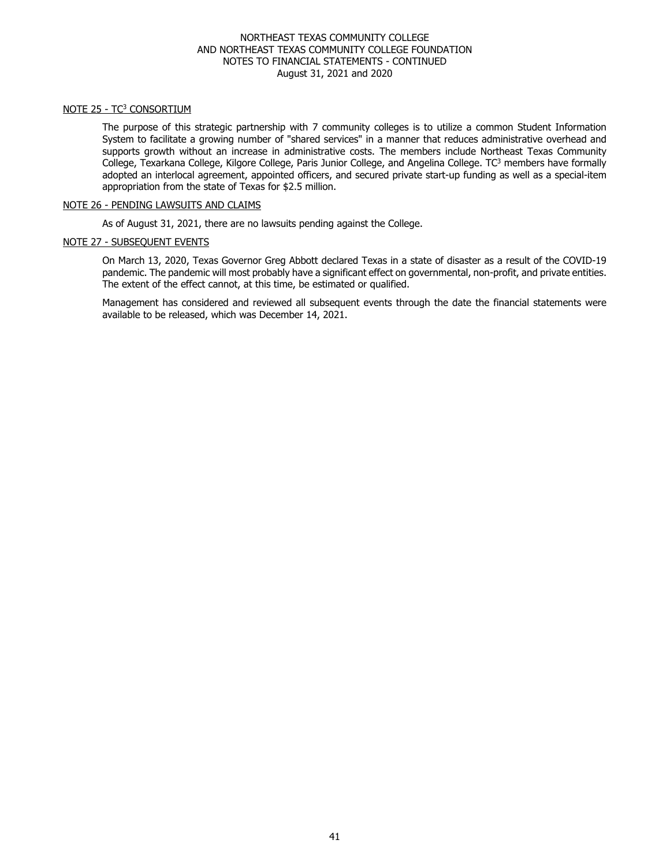# NOTE 25 - TC3 CONSORTIUM

The purpose of this strategic partnership with 7 community colleges is to utilize a common Student Information System to facilitate a growing number of "shared services" in a manner that reduces administrative overhead and supports growth without an increase in administrative costs. The members include Northeast Texas Community College, Texarkana College, Kilgore College, Paris Junior College, and Angelina College. TC<sup>3</sup> members have formally adopted an interlocal agreement, appointed officers, and secured private start-up funding as well as a special-item appropriation from the state of Texas for \$2.5 million.

### NOTE 26 - PENDING LAWSUITS AND CLAIMS

As of August 31, 2021, there are no lawsuits pending against the College.

### NOTE 27 - SUBSEQUENT EVENTS

On March 13, 2020, Texas Governor Greg Abbott declared Texas in a state of disaster as a result of the COVID-19 pandemic. The pandemic will most probably have a significant effect on governmental, non-profit, and private entities. The extent of the effect cannot, at this time, be estimated or qualified.

Management has considered and reviewed all subsequent events through the date the financial statements were available to be released, which was December 14, 2021.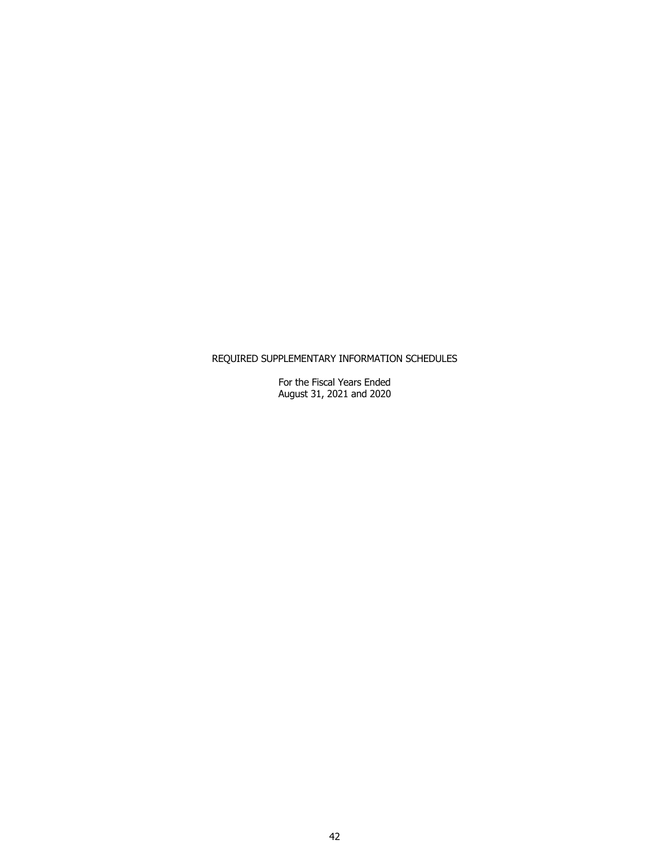# REQUIRED SUPPLEMENTARY INFORMATION SCHEDULES

For the Fiscal Years Ended August 31, 2021 and 2020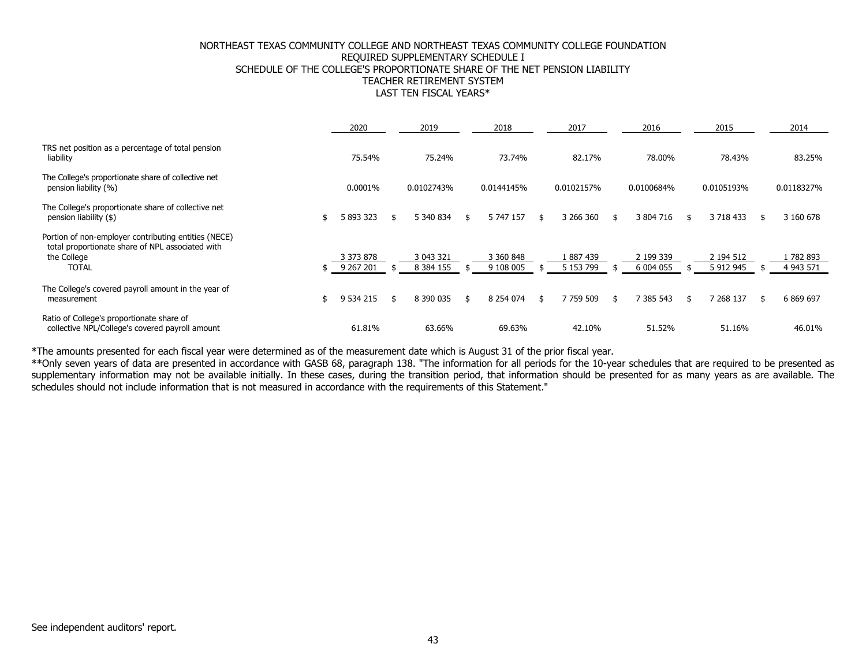### NORTHEAST TEXAS COMMUNITY COLLEGE AND NORTHEAST TEXAS COMMUNITY COLLEGE FOUNDATION REQUIRED SUPPLEMENTARY SCHEDULE I SCHEDULE OF THE COLLEGE'S PROPORTIONATE SHARE OF THE NET PENSION LIABILITY TEACHER RETIREMENT SYSTEM LAST TEN FISCAL YEARS\*

|                                                                                                                                         | 2020                   |      | 2019                       |      | 2018                   | 2017                 |      | 2016                   | 2015                   |      | 2014                 |
|-----------------------------------------------------------------------------------------------------------------------------------------|------------------------|------|----------------------------|------|------------------------|----------------------|------|------------------------|------------------------|------|----------------------|
| TRS net position as a percentage of total pension<br>liability                                                                          | 75.54%                 |      | 75.24%                     |      | 73.74%                 | 82.17%               |      | 78.00%                 | 78.43%                 |      | 83.25%               |
| The College's proportionate share of collective net<br>pension liability (%)                                                            | 0.0001%                |      | 0.0102743%                 |      | 0.0144145%             | 0.0102157%           |      | 0.0100684%             | 0.0105193%             |      | 0.0118327%           |
| The College's proportionate share of collective net<br>pension liability (\$)                                                           | \$<br>5 893 323        | - \$ | 5 340 834                  | - \$ | 5 747 157              | 3 266 360            | - \$ | 3 804 716              | 3 718 433              |      | 3 160 678            |
| Portion of non-employer contributing entities (NECE)<br>total proportionate share of NPL associated with<br>the College<br><b>TOTAL</b> | 3 373 878<br>9 267 201 |      | 3 043 321<br>8 3 8 4 1 5 5 |      | 3 360 848<br>9 108 005 | 1887439<br>5 153 799 |      | 2 199 339<br>6 004 055 | 2 194 512<br>5 912 945 |      | 1782893<br>4 943 571 |
| The College's covered payroll amount in the year of<br>measurement                                                                      | 9 534 215              | -\$  | 8 390 035                  | -\$  | 8 254 074              | 7 759 509            | - \$ | 7 385 543              | 7 268 137              | - \$ | 6 869 697            |
| Ratio of College's proportionate share of<br>collective NPL/College's covered payroll amount                                            | 61.81%                 |      | 63.66%                     |      | 69.63%                 | 42.10%               |      | 51.52%                 | 51.16%                 |      | 46.01%               |

\*The amounts presented for each fiscal year were determined as of the measurement date which is August 31 of the prior fiscal year.

\*\*Only seven years of data are presented in accordance with GASB 68, paragraph 138. "The information for all periods for the 10-year schedules that are required to be presented as supplementary information may not be available initially. In these cases, during the transition period, that information should be presented for as many years as are available. The schedules should not include information that is not measured in accordance with the requirements of this Statement."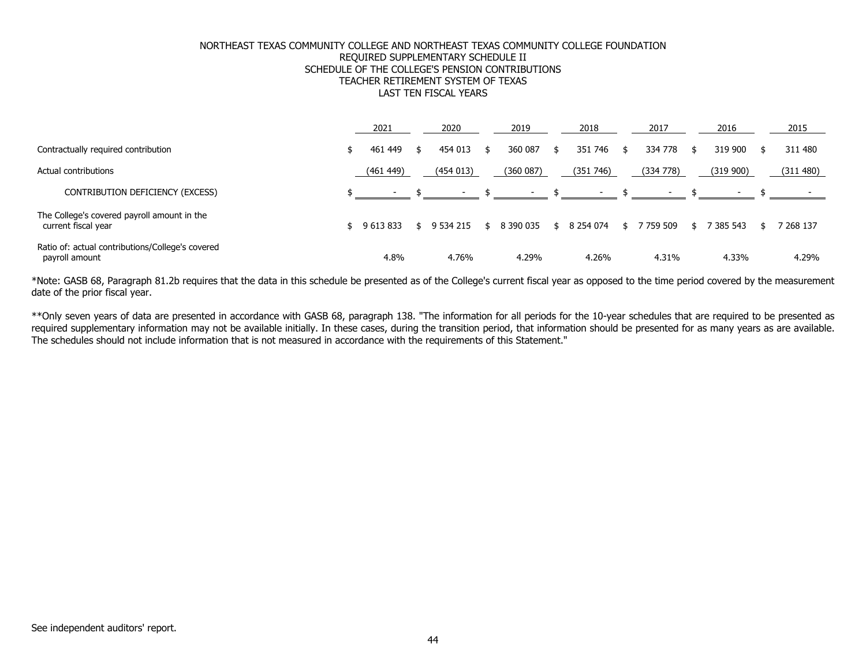### NORTHEAST TEXAS COMMUNITY COLLEGE AND NORTHEAST TEXAS COMMUNITY COLLEGE FOUNDATION REQUIRED SUPPLEMENTARY SCHEDULE II SCHEDULE OF THE COLLEGE'S PENSION CONTRIBUTIONS TEACHER RETIREMENT SYSTEM OF TEXAS LAST TEN FISCAL YEARS

|                                                                    | 2021      | 2020            |    | 2019      | 2018            |     | 2017      |     | 2016      | 2015      |
|--------------------------------------------------------------------|-----------|-----------------|----|-----------|-----------------|-----|-----------|-----|-----------|-----------|
| Contractually required contribution                                | 461 449   | 454 013         |    | 360 087   | \$<br>351 746   | -SG | 334 778   | -\$ | 319 900   | 311 480   |
| Actual contributions                                               | (461449)  | (454 013)       |    | (360087)  | (351 746)       |     | (334 778) |     | (319900)  | (311 480) |
| CONTRIBUTION DEFICIENCY (EXCESS)                                   |           |                 |    |           | $-$ \$ $-$ \$   |     |           |     |           |           |
| The College's covered payroll amount in the<br>current fiscal year | 9 613 833 | \$<br>9 534 215 | s. | 8 390 035 | \$<br>8 254 074 |     | \$7759509 | \$  | 7 385 543 | 7 268 137 |
| Ratio of: actual contributions/College's covered<br>payroll amount | 4.8%      | 4.76%           |    | 4.29%     | 4.26%           |     | 4.31%     |     | 4.33%     | 4.29%     |

\*Note: GASB 68, Paragraph 81.2b requires that the data in this schedule be presented as of the College's current fiscal year as opposed to the time period covered by the measurement date of the prior fiscal year.

\*\*Only seven years of data are presented in accordance with GASB 68, paragraph 138. "The information for all periods for the 10-year schedules that are required to be presented as required supplementary information may not be available initially. In these cases, during the transition period, that information should be presented for as many years as are available. The schedules should not include information that is not measured in accordance with the requirements of this Statement."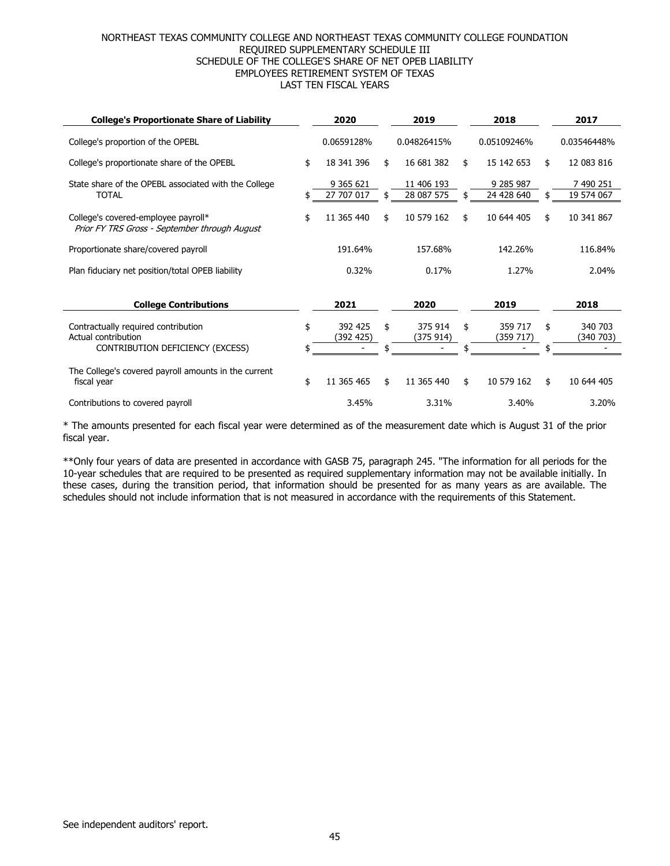# NORTHEAST TEXAS COMMUNITY COLLEGE AND NORTHEAST TEXAS COMMUNITY COLLEGE FOUNDATION REQUIRED SUPPLEMENTARY SCHEDULE III SCHEDULE OF THE COLLEGE'S SHARE OF NET OPEB LIABILITY EMPLOYEES RETIREMENT SYSTEM OF TEXAS LAST TEN FISCAL YEARS

| <b>College's Proportionate Share of Liability</b>                                    | 2020                              | 2019                           | 2018                          | 2017                          |
|--------------------------------------------------------------------------------------|-----------------------------------|--------------------------------|-------------------------------|-------------------------------|
| College's proportion of the OPEBL                                                    | 0.0659128%                        | 0.04826415%                    | 0.05109246%                   | 0.03546448%                   |
| College's proportionate share of the OPEBL                                           | \$<br>18 341 396                  | \$<br>16 681 382               | \$<br>15 142 653              | \$<br>12 083 816              |
| State share of the OPEBL associated with the College<br><b>TOTAL</b>                 | \$<br>9 3 6 5 6 2 1<br>27 707 017 | \$<br>11 406 193<br>28 087 575 | \$<br>9 285 987<br>24 428 640 | \$<br>7 490 251<br>19 574 067 |
| College's covered-employee payroll*<br>Prior FY TRS Gross - September through August | \$<br>11 365 440                  | \$<br>10 579 162               | \$<br>10 644 405              | \$<br>10 341 867              |
| Proportionate share/covered payroll                                                  | 191.64%                           | 157.68%                        | 142.26%                       | 116.84%                       |
| Plan fiduciary net position/total OPEB liability                                     | 0.32%                             | 0.17%                          | 1.27%                         | 2.04%                         |
| <b>College Contributions</b>                                                         | 2021                              | 2020                           | 2019                          | 2018                          |
| Contractually required contribution<br>Actual contribution                           | \$<br>392 425<br>(392 425)        | \$<br>375 914<br>(375 914)     | \$<br>359 717<br>(359 717)    | \$<br>340 703<br>(340 703)    |
| CONTRIBUTION DEFICIENCY (EXCESS)                                                     | \$                                | \$                             | \$                            | \$                            |
| The College's covered payroll amounts in the current<br>fiscal year                  | \$<br>11 365 465                  | \$<br>11 365 440               | \$<br>10 579 162              | \$<br>10 644 405              |
| Contributions to covered payroll                                                     | 3.45%                             | 3.31%                          | 3.40%                         | 3.20%                         |

\* The amounts presented for each fiscal year were determined as of the measurement date which is August 31 of the prior fiscal year.

\*\*Only four years of data are presented in accordance with GASB 75, paragraph 245. "The information for all periods for the 10-year schedules that are required to be presented as required supplementary information may not be available initially. In these cases, during the transition period, that information should be presented for as many years as are available. The schedules should not include information that is not measured in accordance with the requirements of this Statement.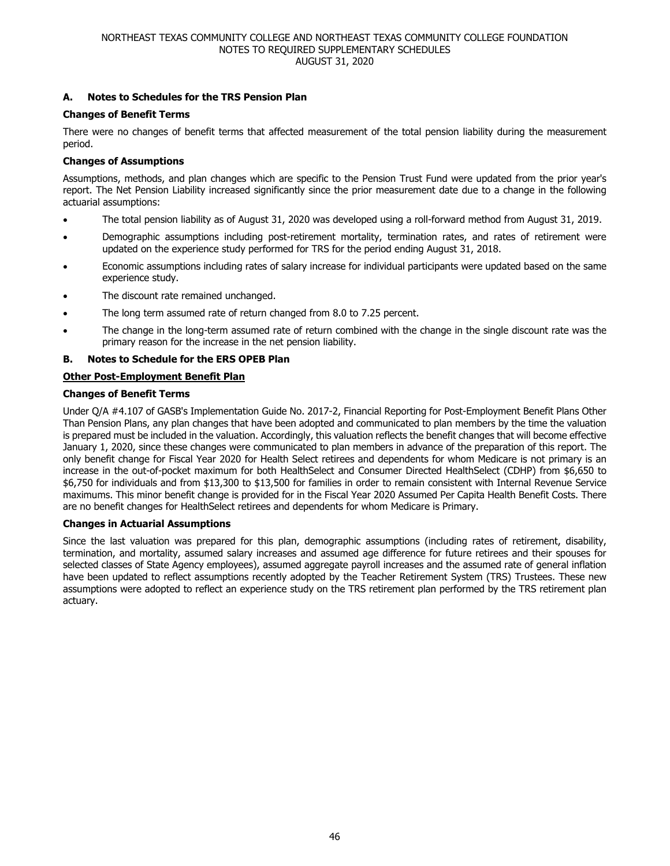# **A. Notes to Schedules for the TRS Pension Plan**

# **Changes of Benefit Terms**

There were no changes of benefit terms that affected measurement of the total pension liability during the measurement period.

# **Changes of Assumptions**

Assumptions, methods, and plan changes which are specific to the Pension Trust Fund were updated from the prior year's report. The Net Pension Liability increased significantly since the prior measurement date due to a change in the following actuarial assumptions:

- The total pension liability as of August 31, 2020 was developed using a roll-forward method from August 31, 2019.
- Demographic assumptions including post-retirement mortality, termination rates, and rates of retirement were updated on the experience study performed for TRS for the period ending August 31, 2018.
- Economic assumptions including rates of salary increase for individual participants were updated based on the same experience study.
- The discount rate remained unchanged.
- The long term assumed rate of return changed from 8.0 to 7.25 percent.
- The change in the long-term assumed rate of return combined with the change in the single discount rate was the primary reason for the increase in the net pension liability.
- **B. Notes to Schedule for the ERS OPEB Plan**

# **Other Post-Employment Benefit Plan**

# **Changes of Benefit Terms**

Under Q/A #4.107 of GASB's Implementation Guide No. 2017-2, Financial Reporting for Post-Employment Benefit Plans Other Than Pension Plans, any plan changes that have been adopted and communicated to plan members by the time the valuation is prepared must be included in the valuation. Accordingly, this valuation reflects the benefit changes that will become effective January 1, 2020, since these changes were communicated to plan members in advance of the preparation of this report. The only benefit change for Fiscal Year 2020 for Health Select retirees and dependents for whom Medicare is not primary is an increase in the out-of-pocket maximum for both HealthSelect and Consumer Directed HealthSelect (CDHP) from \$6,650 to \$6,750 for individuals and from \$13,300 to \$13,500 for families in order to remain consistent with Internal Revenue Service maximums. This minor benefit change is provided for in the Fiscal Year 2020 Assumed Per Capita Health Benefit Costs. There are no benefit changes for HealthSelect retirees and dependents for whom Medicare is Primary.

# **Changes in Actuarial Assumptions**

Since the last valuation was prepared for this plan, demographic assumptions (including rates of retirement, disability, termination, and mortality, assumed salary increases and assumed age difference for future retirees and their spouses for selected classes of State Agency employees), assumed aggregate payroll increases and the assumed rate of general inflation have been updated to reflect assumptions recently adopted by the Teacher Retirement System (TRS) Trustees. These new assumptions were adopted to reflect an experience study on the TRS retirement plan performed by the TRS retirement plan actuary.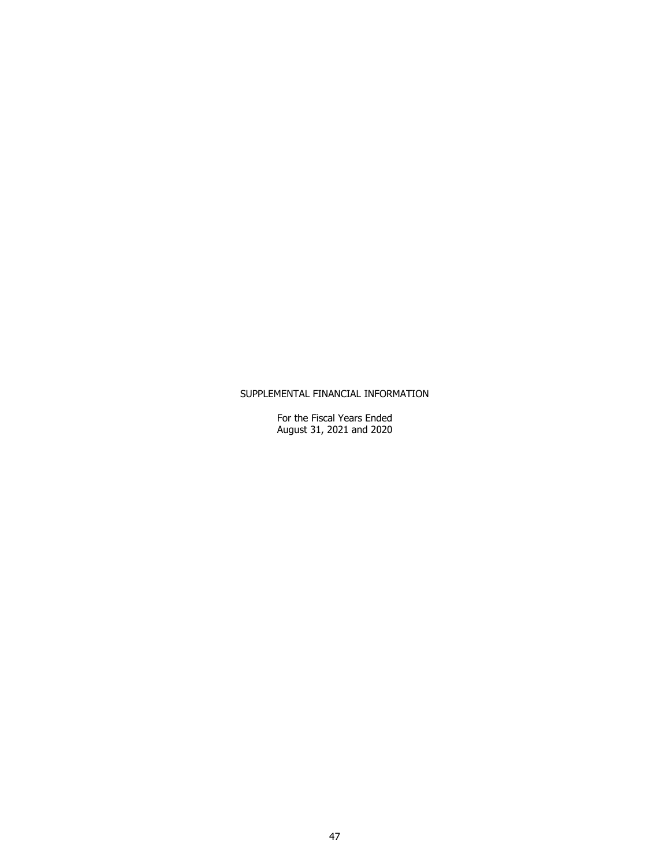# SUPPLEMENTAL FINANCIAL INFORMATION

For the Fiscal Years Ended August 31, 2021 and 2020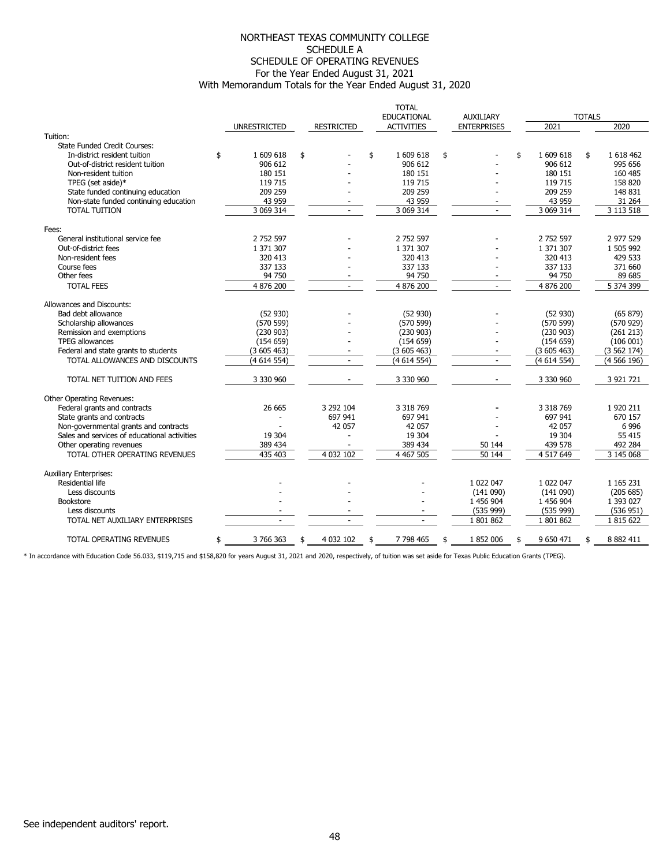# NORTHEAST TEXAS COMMUNITY COLLEGE SCHEDULE A SCHEDULE OF OPERATING REVENUES For the Year Ended August 31, 2021 With Memorandum Totals for the Year Ended August 31, 2020

|                                              |                     |                   | <b>TOTAL</b>       |                    |                 |               |               |
|----------------------------------------------|---------------------|-------------------|--------------------|--------------------|-----------------|---------------|---------------|
|                                              |                     |                   | <b>EDUCATIONAL</b> | <b>AUXILIARY</b>   |                 | <b>TOTALS</b> |               |
|                                              | <b>UNRESTRICTED</b> | <b>RESTRICTED</b> | <b>ACTIVITIES</b>  | <b>ENTERPRISES</b> | 2021            |               | 2020          |
| Tuition:                                     |                     |                   |                    |                    |                 |               |               |
| <b>State Funded Credit Courses:</b>          |                     |                   |                    |                    |                 |               |               |
| In-district resident tuition                 | \$<br>1 609 618     | \$                | \$<br>1609618      | \$                 | \$<br>1 609 618 | \$            | 1 618 462     |
| Out-of-district resident tuition             | 906 612             |                   | 906 612            |                    | 906 612         |               | 995 656       |
| Non-resident tuition                         | 180 151             |                   | 180 151            |                    | 180 151         |               | 160 485       |
| TPEG (set aside)*                            | 119 715             |                   | 119 715            |                    | 119 715         |               | 158 820       |
| State funded continuing education            | 209 259             |                   | 209 259            |                    | 209 259         |               | 148 831       |
| Non-state funded continuing education        | 43 959              |                   | 43 959             |                    | 43 959          |               | 31 264        |
| <b>TOTAL TUITION</b>                         | 3 069 314           |                   | 3 069 314          |                    | 3 069 314       |               | 3 1 1 3 5 1 8 |
| Fees:                                        |                     |                   |                    |                    |                 |               |               |
| General institutional service fee            | 2 752 597           |                   | 2 752 597          |                    | 2 7 5 2 5 9 7   |               | 2 977 529     |
| Out-of-district fees                         | 1 371 307           |                   | 1 371 307          |                    | 1 371 307       |               | 1 505 992     |
| Non-resident fees                            | 320 413             |                   | 320 413            |                    | 320 413         |               | 429 533       |
| Course fees                                  | 337 133             |                   | 337 133            |                    | 337 133         |               | 371 660       |
| Other fees                                   | 94 750              |                   | 94 750             |                    | 94 750          |               | 89 685        |
| <b>TOTAL FEES</b>                            | 4 876 200           | $\sim$            | 4 876 200          | $\sim$             | 4 876 200       |               | 5 374 399     |
|                                              |                     |                   |                    |                    |                 |               |               |
| Allowances and Discounts:                    |                     |                   |                    |                    |                 |               |               |
| Bad debt allowance                           | (52930)             |                   | (52930)            |                    | (52930)         |               | (65879)       |
| Scholarship allowances                       | (570 599)           |                   | (570 599)          |                    | (570 599)       |               | (570929)      |
| Remission and exemptions                     | (230903)            |                   | (230903)           |                    | (230903)        |               | (261 213)     |
| <b>TPEG allowances</b>                       | (154659)            |                   | (154659)           |                    | (154659)        |               | (106001)      |
| Federal and state grants to students         | (3605463)           |                   | (3605463)          |                    | (3605463)       |               | (3562174)     |
| TOTAL ALLOWANCES AND DISCOUNTS               | (4614554)           | $\blacksquare$    | (4614554)          | $\blacksquare$     | (4614554)       |               | (4566196)     |
| TOTAL NET TUITION AND FEES                   | 3 330 960           |                   | 3 330 960          |                    | 3 330 960       |               | 3 921 721     |
| Other Operating Revenues:                    |                     |                   |                    |                    |                 |               |               |
| Federal grants and contracts                 | 26 665              | 3 292 104         | 3 318 769          |                    | 3 3 18 7 69     |               | 1920 211      |
| State grants and contracts                   |                     | 697 941           | 697 941            |                    | 697 941         |               | 670 157       |
| Non-governmental grants and contracts        |                     | 42 057            | 42 057             |                    | 42 057          |               | 6 9 9 6       |
| Sales and services of educational activities | 19 304              |                   | 19 304             |                    | 19 304          |               | 55 415        |
| Other operating revenues                     | 389 434             |                   | 389 434            | 50 144             | 439 578         |               | 492 284       |
| TOTAL OTHER OPERATING REVENUES               | 435 403             | 4 032 102         | 4 4 6 7 5 0 5      | 50 144             | 4 517 649       |               | 3 145 068     |
| <b>Auxiliary Enterprises:</b>                |                     |                   |                    |                    |                 |               |               |
| Residential life                             |                     |                   |                    | 1 022 047          | 1 022 047       |               | 1 165 231     |
| Less discounts                               |                     |                   |                    | (141090)           | (141090)        |               | (205685)      |
| <b>Bookstore</b>                             |                     |                   |                    | 1 456 904          | 1 456 904       |               | 1 393 027     |
| Less discounts                               |                     |                   |                    | (535999)           | (535999)        |               | (536951)      |
| TOTAL NET AUXILIARY ENTERPRISES              |                     |                   |                    | 1801862            | 1801862         |               | 1 815 622     |
| TOTAL OPERATING REVENUES                     | \$<br>3 766 363     | \$<br>4 032 102   | 7 798 465          | 1 852 006          | 9 650 471       |               | 8 8 8 2 4 1 1 |

\* In accordance with Education Code 56.033, \$119,715 and \$158,820 for years August 31, 2021 and 2020, respectively, of tuition was set aside for Texas Public Education Grants (TPEG).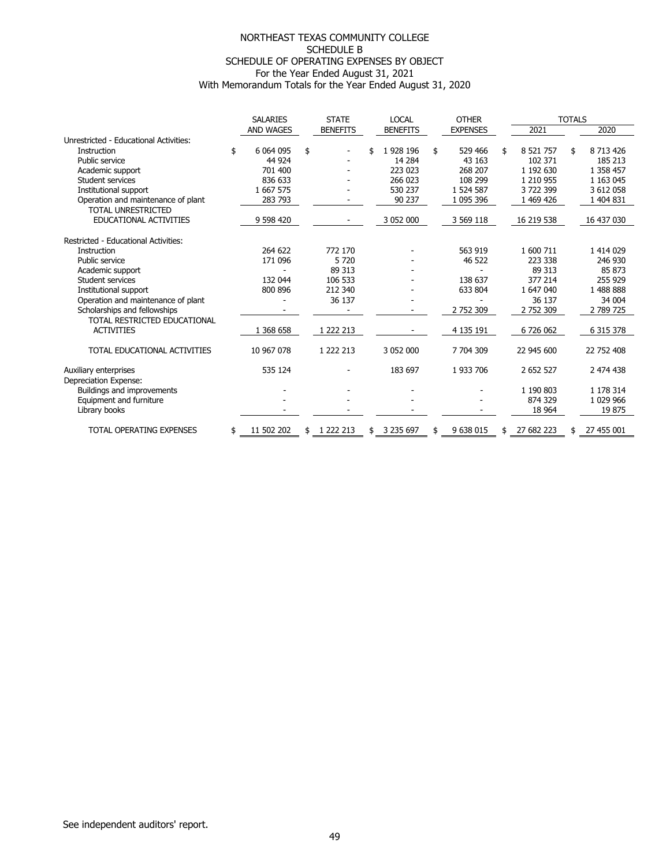# NORTHEAST TEXAS COMMUNITY COLLEGE SCHEDULE B SCHEDULE OF OPERATING EXPENSES BY OBJECT For the Year Ended August 31, 2021 With Memorandum Totals for the Year Ended August 31, 2020

|                                                     | <b>SALARIES</b>  | <b>STATE</b>    | <b>LOCAL</b>    | <b>OTHER</b>    |                 | <b>TOTALS</b> |            |
|-----------------------------------------------------|------------------|-----------------|-----------------|-----------------|-----------------|---------------|------------|
|                                                     | <b>AND WAGES</b> | <b>BENEFITS</b> | <b>BENEFITS</b> | <b>EXPENSES</b> | 2021            |               | 2020       |
| Unrestricted - Educational Activities:              |                  |                 |                 |                 |                 |               |            |
| Instruction                                         | \$<br>6 064 095  | \$              | \$<br>1928 196  | \$<br>529 466   | \$<br>8 521 757 | \$            | 8 713 426  |
| Public service                                      | 44 924           |                 | 14 284          | 43 163          | 102 371         |               | 185 213    |
| Academic support                                    | 701 400          |                 | 223 023         | 268 207         | 1 192 630       |               | 1 358 457  |
| Student services                                    | 836 633          |                 | 266 023         | 108 299         | 1 210 955       |               | 1 163 045  |
| Institutional support                               | 1 667 575        |                 | 530 237         | 1 524 587       | 3722399         |               | 3 612 058  |
| Operation and maintenance of plant                  | 283 793          |                 | 90 237          | 1 095 396       | 1 469 426       |               | 1 404 831  |
| TOTAL UNRESTRICTED                                  |                  |                 |                 |                 |                 |               |            |
| EDUCATIONAL ACTIVITIES                              | 9 598 420        |                 | 3 052 000       | 3 569 118       | 16 219 538      |               | 16 437 030 |
|                                                     |                  |                 |                 |                 |                 |               |            |
| <b>Restricted - Educational Activities:</b>         |                  |                 |                 |                 |                 |               |            |
| Instruction                                         | 264 622          | 772 170         |                 | 563 919         | 1 600 711       |               | 1 414 029  |
| Public service                                      | 171 096          | 5720            |                 | 46 522          | 223 338         |               | 246 930    |
| Academic support                                    |                  | 89 313          |                 |                 | 89 313          |               | 85 873     |
| Student services                                    | 132 044          | 106 533         |                 | 138 637         | 377 214         |               | 255 929    |
| Institutional support                               | 800 896          | 212 340         |                 | 633 804         | 1 647 040       |               | 1 488 888  |
| Operation and maintenance of plant                  |                  | 36 137          |                 |                 | 36 137          |               | 34 004     |
| Scholarships and fellowships                        |                  |                 |                 | 2 752 309       | 2 752 309       |               | 2 789 725  |
| TOTAL RESTRICTED EDUCATIONAL                        |                  |                 |                 |                 |                 |               |            |
| <b>ACTIVITIES</b>                                   | 1 368 658        | 1 222 213       |                 | 4 135 191       | 6 726 062       |               | 6 315 378  |
| TOTAL EDUCATIONAL ACTIVITIES                        | 10 967 078       | 1 222 213       | 3 052 000       | 7 704 309       | 22 945 600      |               | 22 752 408 |
| Auxiliary enterprises                               | 535 124          |                 | 183 697         | 1 933 706       | 2 652 527       |               | 2 474 438  |
| Depreciation Expense:<br>Buildings and improvements |                  |                 |                 |                 | 1 190 803       |               | 1 178 314  |
| Equipment and furniture                             |                  |                 |                 |                 | 874 329         |               | 1 029 966  |
|                                                     |                  |                 |                 |                 |                 |               | 19875      |
| Library books                                       |                  |                 |                 |                 | 18 9 64         |               |            |
| <b>TOTAL OPERATING EXPENSES</b>                     | \$<br>11 502 202 | \$<br>1 222 213 | \$3235697       | \$<br>9 638 015 | 27 682 223      |               | 27 455 001 |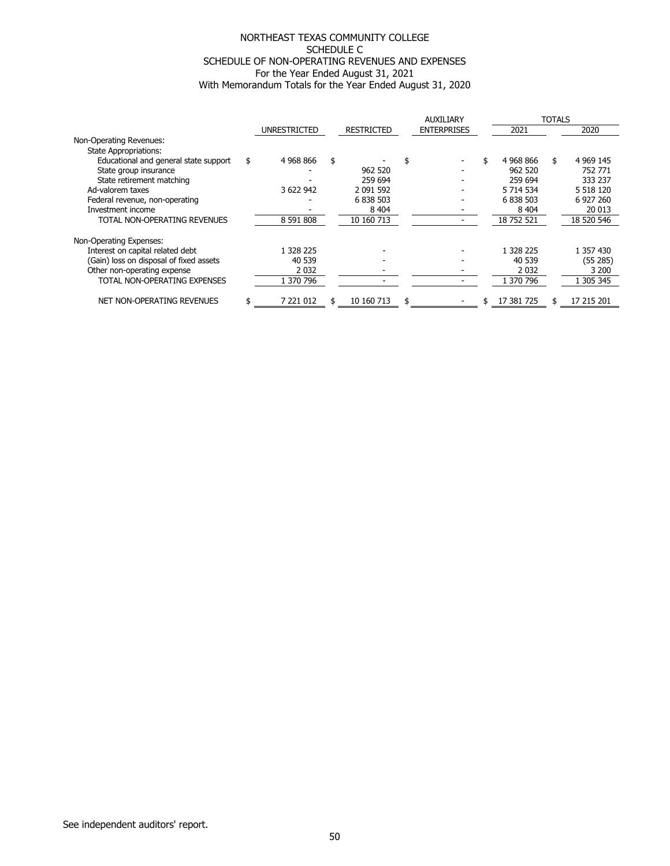# NORTHEAST TEXAS COMMUNITY COLLEGE SCHEDULE C SCHEDULE OF NON-OPERATING REVENUES AND EXPENSES For the Year Ended August 31, 2021 With Memorandum Totals for the Year Ended August 31, 2020

|                                         |                 |                   | <b>AUXILIARY</b>   |                  | <b>TOTALS</b> |            |
|-----------------------------------------|-----------------|-------------------|--------------------|------------------|---------------|------------|
|                                         | UNRESTRICTED    | <b>RESTRICTED</b> | <b>ENTERPRISES</b> | 2021             |               | 2020       |
| Non-Operating Revenues:                 |                 |                   |                    |                  |               |            |
| <b>State Appropriations:</b>            |                 |                   |                    |                  |               |            |
| Educational and general state support   | \$<br>4 968 866 | \$                | \$                 | \$<br>4 968 866  | \$            | 4 9 69 145 |
| State group insurance                   |                 | 962 520           |                    | 962 520          |               | 752 771    |
| State retirement matching               |                 | 259 694           |                    | 259 694          |               | 333 237    |
| Ad-valorem taxes                        | 3 622 942       | 2 091 592         |                    | 5 714 534        |               | 5 518 120  |
| Federal revenue, non-operating          |                 | 6 838 503         |                    | 6 838 503        |               | 6 927 260  |
| Investment income                       |                 | 8 4 0 4           |                    | 8 4 0 4          |               | 20 013     |
| TOTAL NON-OPERATING REVENUES            | 8 591 808       | 10 160 713        |                    | 18 752 521       |               | 18 520 546 |
| Non-Operating Expenses:                 |                 |                   |                    |                  |               |            |
| Interest on capital related debt        | 1 328 225       |                   |                    | 1 328 225        |               | 1 357 430  |
| (Gain) loss on disposal of fixed assets | 40 539          |                   |                    | 40 539           |               | (55285)    |
| Other non-operating expense             | 2 0 3 2         |                   |                    | 2032             |               | 3 200      |
| TOTAL NON-OPERATING EXPENSES            | 1 370 796       |                   | -                  | 1 370 796        |               | 1 305 345  |
| NET NON-OPERATING REVENUES              | 7 221 012       | \$<br>10 160 713  | \$                 | \$<br>17 381 725 | \$            | 17 215 201 |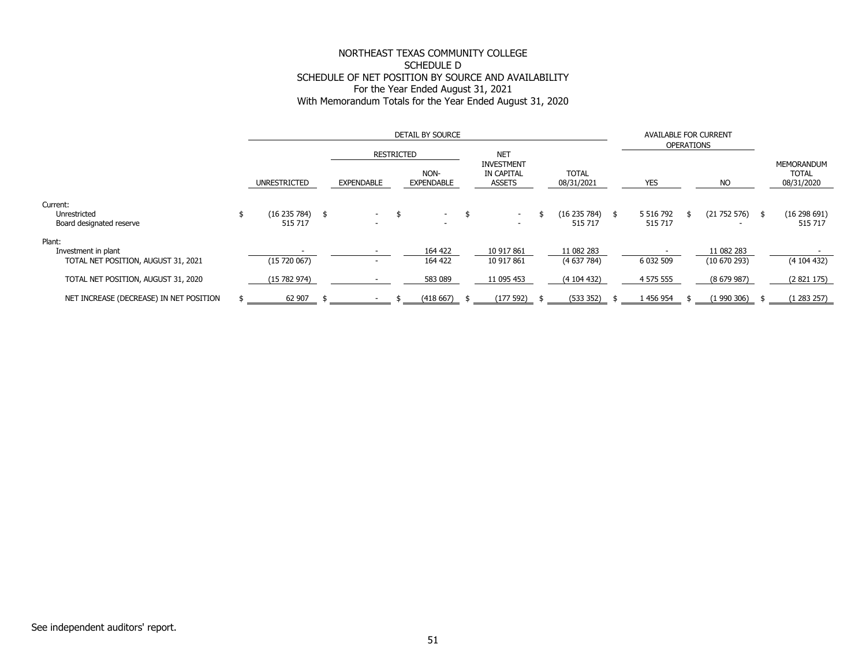# NORTHEAST TEXAS COMMUNITY COLLEGE SCHEDULE D SCHEDULE OF NET POSITION BY SOURCE AND AVAILABILITY For the Year Ended August 31, 2021 With Memorandum Totals for the Year Ended August 31, 2020

|                                                                      |                            |                   | <b>DETAIL BY SOURCE</b>   |                                                         |                            |      |                          | <b>OPERATIONS</b> | <b>AVAILABLE FOR CURRENT</b> |                                                 |
|----------------------------------------------------------------------|----------------------------|-------------------|---------------------------|---------------------------------------------------------|----------------------------|------|--------------------------|-------------------|------------------------------|-------------------------------------------------|
|                                                                      |                            | <b>RESTRICTED</b> |                           | <b>NET</b>                                              |                            |      |                          |                   |                              |                                                 |
|                                                                      | <b>UNRESTRICTED</b>        | <b>EXPENDABLE</b> | NON-<br><b>EXPENDABLE</b> | <b>INVESTMENT</b><br><b>IN CAPITAL</b><br><b>ASSETS</b> | <b>TOTAL</b><br>08/31/2021 |      | <b>YES</b>               |                   | <b>NO</b>                    | <b>MEMORANDUM</b><br><b>TOTAL</b><br>08/31/2020 |
| Current:<br>Unrestricted<br>Board designated reserve                 | $(16235784)$ \$<br>515 717 | $\sim$            | $\sim$                    | $\sim$                                                  | (16 235 784)<br>515 717    | - \$ | 5 5 1 6 7 9 2<br>515 717 | Я5                | $(21752576)$ \$              | (16298691)<br>515 717                           |
| Plant:<br>Investment in plant<br>TOTAL NET POSITION, AUGUST 31, 2021 | (15720067)                 |                   | 164 422<br>164 422        | 10 917 861<br>10 917 861                                | 11 082 283<br>(4637784)    |      | 6 032 509                |                   | 11 082 283<br>(10670293)     | (4104432)                                       |
| TOTAL NET POSITION, AUGUST 31, 2020                                  | (15 782 974)               |                   | 583 089                   | 11 095 453                                              | (4104432)                  |      | 4 575 555                |                   | (8679987)                    | (2821175)                                       |
| NET INCREASE (DECREASE) IN NET POSITION                              | 62 907                     |                   | (418667)                  | (177592)                                                | (533 352)                  |      | 1 456 954                |                   | (1990306)                    | (1283257)                                       |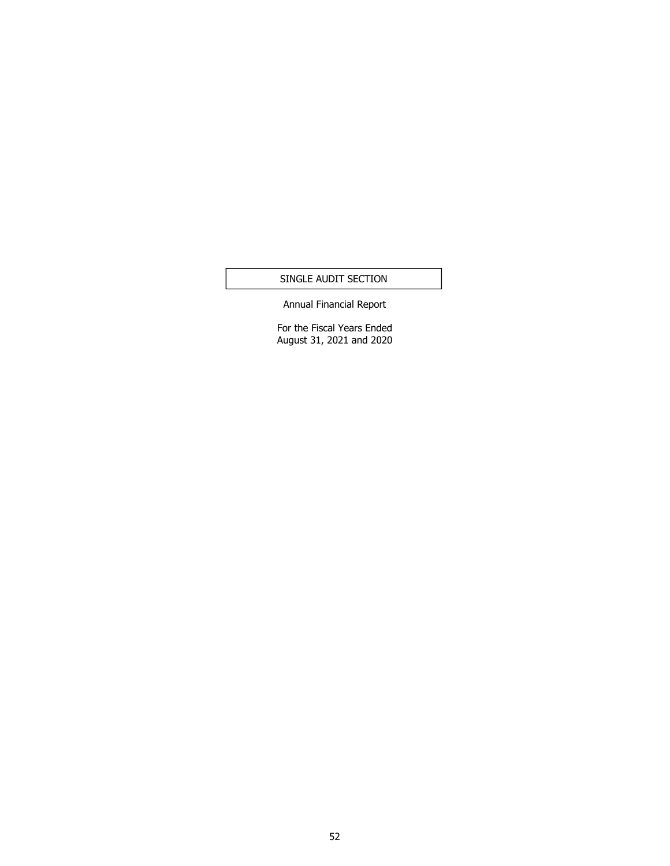# SINGLE AUDIT SECTION

Annual Financial Report

For the Fiscal Years Ended August 31, 2021 and 2020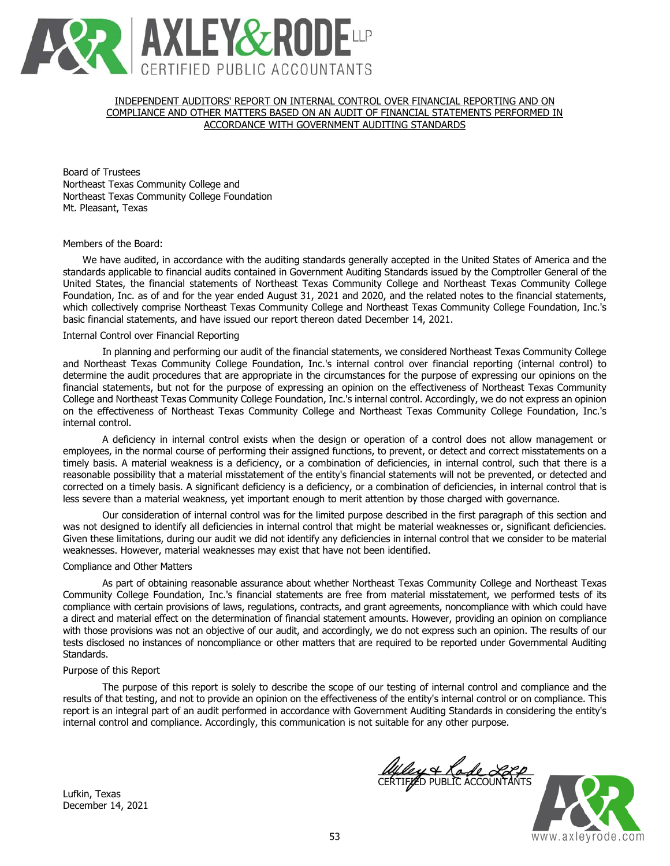

## INDEPENDENT AUDITORS' REPORT ON INTERNAL CONTROL OVER FINANCIAL REPORTING AND ON COMPLIANCE AND OTHER MATTERS BASED ON AN AUDIT OF FINANCIAL STATEMENTS PERFORMED IN ACCORDANCE WITH GOVERNMENT AUDITING STANDARDS

Board of Trustees Northeast Texas Community College and Northeast Texas Community College Foundation Mt. Pleasant, Texas

### Members of the Board:

 We have audited, in accordance with the auditing standards generally accepted in the United States of America and the standards applicable to financial audits contained in Government Auditing Standards issued by the Comptroller General of the United States, the financial statements of Northeast Texas Community College and Northeast Texas Community College Foundation, Inc. as of and for the year ended August 31, 2021 and 2020, and the related notes to the financial statements, which collectively comprise Northeast Texas Community College and Northeast Texas Community College Foundation, Inc.'s basic financial statements, and have issued our report thereon dated December 14, 2021.

### Internal Control over Financial Reporting

 In planning and performing our audit of the financial statements, we considered Northeast Texas Community College and Northeast Texas Community College Foundation, Inc.'s internal control over financial reporting (internal control) to determine the audit procedures that are appropriate in the circumstances for the purpose of expressing our opinions on the financial statements, but not for the purpose of expressing an opinion on the effectiveness of Northeast Texas Community College and Northeast Texas Community College Foundation, Inc.'s internal control. Accordingly, we do not express an opinion on the effectiveness of Northeast Texas Community College and Northeast Texas Community College Foundation, Inc.'s internal control.

 A deficiency in internal control exists when the design or operation of a control does not allow management or employees, in the normal course of performing their assigned functions, to prevent, or detect and correct misstatements on a timely basis. A material weakness is a deficiency, or a combination of deficiencies, in internal control, such that there is a reasonable possibility that a material misstatement of the entity's financial statements will not be prevented, or detected and corrected on a timely basis. A significant deficiency is a deficiency, or a combination of deficiencies, in internal control that is less severe than a material weakness, yet important enough to merit attention by those charged with governance.

 Our consideration of internal control was for the limited purpose described in the first paragraph of this section and was not designed to identify all deficiencies in internal control that might be material weaknesses or, significant deficiencies. Given these limitations, during our audit we did not identify any deficiencies in internal control that we consider to be material weaknesses. However, material weaknesses may exist that have not been identified.

#### Compliance and Other Matters

 As part of obtaining reasonable assurance about whether Northeast Texas Community College and Northeast Texas Community College Foundation, Inc.'s financial statements are free from material misstatement, we performed tests of its compliance with certain provisions of laws, regulations, contracts, and grant agreements, noncompliance with which could have a direct and material effect on the determination of financial statement amounts. However, providing an opinion on compliance with those provisions was not an objective of our audit, and accordingly, we do not express such an opinion. The results of our tests disclosed no instances of noncompliance or other matters that are required to be reported under Governmental Auditing Standards.

#### Purpose of this Report

 The purpose of this report is solely to describe the scope of our testing of internal control and compliance and the results of that testing, and not to provide an opinion on the effectiveness of the entity's internal control or on compliance. This report is an integral part of an audit performed in accordance with Government Auditing Standards in considering the entity's internal control and compliance. Accordingly, this communication is not suitable for any other purpose.

Lufkin, Texas December 14, 2021

 $u$ lleut + Kade 220 CERTIFIED PUBLIC ACCOUNTANTS

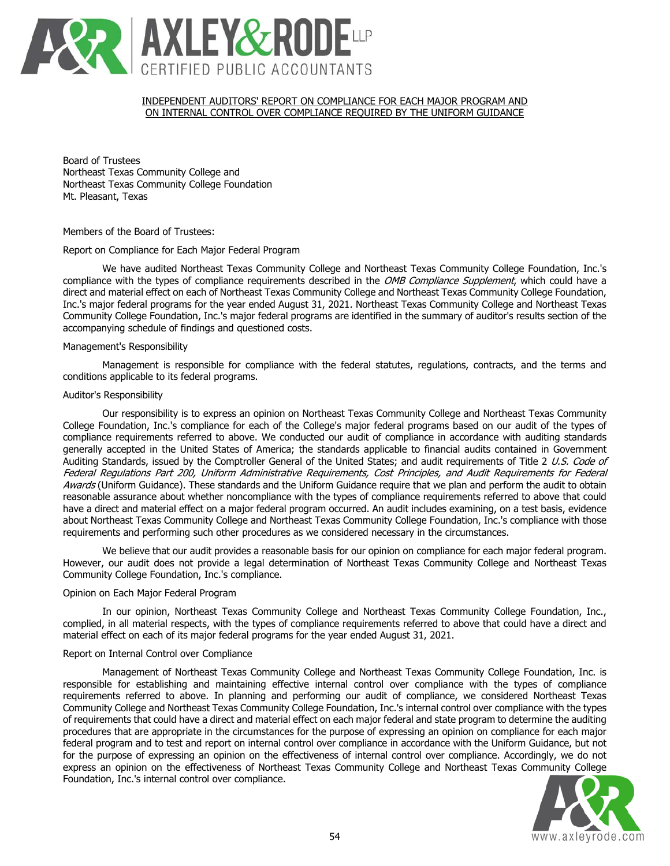

# INDEPENDENT AUDITORS' REPORT ON COMPLIANCE FOR EACH MAJOR PROGRAM AND ON INTERNAL CONTROL OVER COMPLIANCE REQUIRED BY THE UNIFORM GUIDANCE

Board of Trustees Northeast Texas Community College and Northeast Texas Community College Foundation Mt. Pleasant, Texas

### Members of the Board of Trustees:

### Report on Compliance for Each Major Federal Program

 We have audited Northeast Texas Community College and Northeast Texas Community College Foundation, Inc.'s compliance with the types of compliance requirements described in the OMB Compliance Supplement, which could have a direct and material effect on each of Northeast Texas Community College and Northeast Texas Community College Foundation, Inc.'s major federal programs for the year ended August 31, 2021. Northeast Texas Community College and Northeast Texas Community College Foundation, Inc.'s major federal programs are identified in the summary of auditor's results section of the accompanying schedule of findings and questioned costs.

### Management's Responsibility

 Management is responsible for compliance with the federal statutes, regulations, contracts, and the terms and conditions applicable to its federal programs.

#### Auditor's Responsibility

 Our responsibility is to express an opinion on Northeast Texas Community College and Northeast Texas Community College Foundation, Inc.'s compliance for each of the College's major federal programs based on our audit of the types of compliance requirements referred to above. We conducted our audit of compliance in accordance with auditing standards generally accepted in the United States of America; the standards applicable to financial audits contained in Government Auditing Standards, issued by the Comptroller General of the United States; and audit requirements of Title 2 U.S. Code of Federal Regulations Part 200, Uniform Administrative Requirements, Cost Principles, and Audit Requirements for Federal Awards (Uniform Guidance). These standards and the Uniform Guidance require that we plan and perform the audit to obtain reasonable assurance about whether noncompliance with the types of compliance requirements referred to above that could have a direct and material effect on a major federal program occurred. An audit includes examining, on a test basis, evidence about Northeast Texas Community College and Northeast Texas Community College Foundation, Inc.'s compliance with those requirements and performing such other procedures as we considered necessary in the circumstances.

 We believe that our audit provides a reasonable basis for our opinion on compliance for each major federal program. However, our audit does not provide a legal determination of Northeast Texas Community College and Northeast Texas Community College Foundation, Inc.'s compliance.

#### Opinion on Each Major Federal Program

 In our opinion, Northeast Texas Community College and Northeast Texas Community College Foundation, Inc., complied, in all material respects, with the types of compliance requirements referred to above that could have a direct and material effect on each of its major federal programs for the year ended August 31, 2021.

### Report on Internal Control over Compliance

 Management of Northeast Texas Community College and Northeast Texas Community College Foundation, Inc. is responsible for establishing and maintaining effective internal control over compliance with the types of compliance requirements referred to above. In planning and performing our audit of compliance, we considered Northeast Texas Community College and Northeast Texas Community College Foundation, Inc.'s internal control over compliance with the types of requirements that could have a direct and material effect on each major federal and state program to determine the auditing procedures that are appropriate in the circumstances for the purpose of expressing an opinion on compliance for each major federal program and to test and report on internal control over compliance in accordance with the Uniform Guidance, but not for the purpose of expressing an opinion on the effectiveness of internal control over compliance. Accordingly, we do not express an opinion on the effectiveness of Northeast Texas Community College and Northeast Texas Community College Foundation, Inc.'s internal control over compliance.

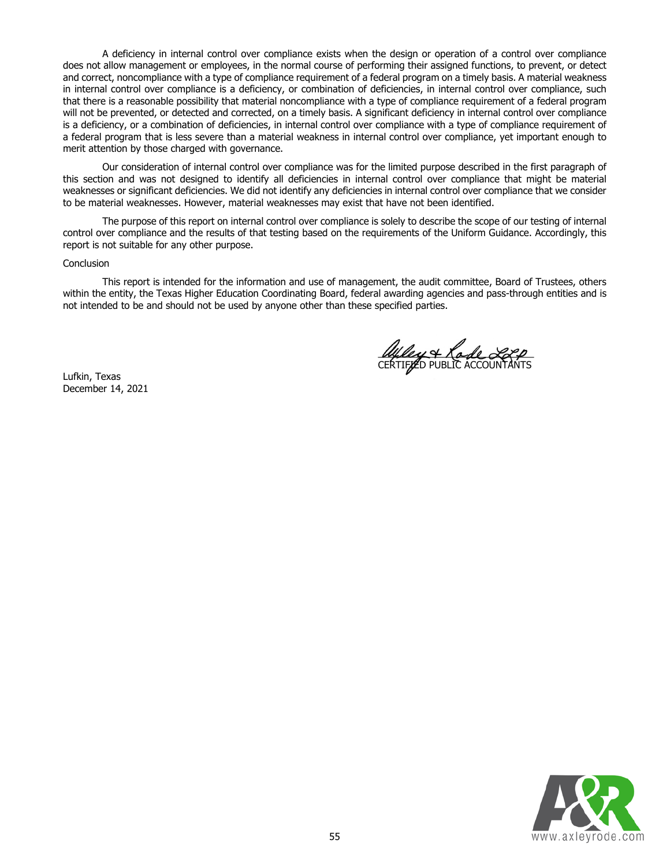A deficiency in internal control over compliance exists when the design or operation of a control over compliance does not allow management or employees, in the normal course of performing their assigned functions, to prevent, or detect and correct, noncompliance with a type of compliance requirement of a federal program on a timely basis. A material weakness in internal control over compliance is a deficiency, or combination of deficiencies, in internal control over compliance, such that there is a reasonable possibility that material noncompliance with a type of compliance requirement of a federal program will not be prevented, or detected and corrected, on a timely basis. A significant deficiency in internal control over compliance is a deficiency, or a combination of deficiencies, in internal control over compliance with a type of compliance requirement of a federal program that is less severe than a material weakness in internal control over compliance, yet important enough to merit attention by those charged with governance.

 Our consideration of internal control over compliance was for the limited purpose described in the first paragraph of this section and was not designed to identify all deficiencies in internal control over compliance that might be material weaknesses or significant deficiencies. We did not identify any deficiencies in internal control over compliance that we consider to be material weaknesses. However, material weaknesses may exist that have not been identified.

 The purpose of this report on internal control over compliance is solely to describe the scope of our testing of internal control over compliance and the results of that testing based on the requirements of the Uniform Guidance. Accordingly, this report is not suitable for any other purpose.

### **Conclusion**

 This report is intended for the information and use of management, the audit committee, Board of Trustees, others within the entity, the Texas Higher Education Coordinating Board, federal awarding agencies and pass-through entities and is not intended to be and should not be used by anyone other than these specified parties.

 $u$ lleut + Kade 220 CERTIFIED PUBLIC ACCOUNTANTS

Lufkin, Texas December 14, 2021

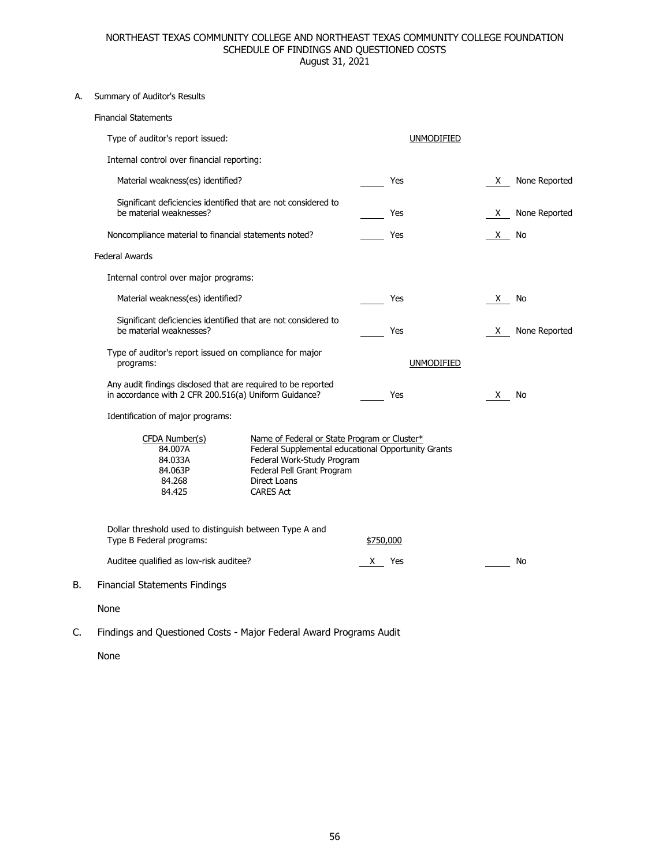# NORTHEAST TEXAS COMMUNITY COLLEGE AND NORTHEAST TEXAS COMMUNITY COLLEGE FOUNDATION SCHEDULE OF FINDINGS AND QUESTIONED COSTS August 31, 2021

# A. Summary of Auditor's Results

|    | <b>Financial Statements</b>                                                                                            |                                                                                                                                                                                                            |    |           |                   |      |                 |  |
|----|------------------------------------------------------------------------------------------------------------------------|------------------------------------------------------------------------------------------------------------------------------------------------------------------------------------------------------------|----|-----------|-------------------|------|-----------------|--|
|    | Type of auditor's report issued:                                                                                       |                                                                                                                                                                                                            |    |           | UNMODIFIED        |      |                 |  |
|    | Internal control over financial reporting:                                                                             |                                                                                                                                                                                                            |    |           |                   |      |                 |  |
|    | Material weakness(es) identified?                                                                                      |                                                                                                                                                                                                            |    | Yes       |                   | X.   | None Reported   |  |
|    | Significant deficiencies identified that are not considered to<br>be material weaknesses?                              |                                                                                                                                                                                                            |    | Yes       |                   |      | X None Reported |  |
|    | Noncompliance material to financial statements noted?                                                                  |                                                                                                                                                                                                            |    | Yes       |                   | X No |                 |  |
|    | <b>Federal Awards</b>                                                                                                  |                                                                                                                                                                                                            |    |           |                   |      |                 |  |
|    | Internal control over major programs:                                                                                  |                                                                                                                                                                                                            |    |           |                   |      |                 |  |
|    | Material weakness(es) identified?                                                                                      |                                                                                                                                                                                                            |    | Yes       |                   | X.   | No              |  |
|    | Significant deficiencies identified that are not considered to<br>be material weaknesses?                              |                                                                                                                                                                                                            |    | Yes       |                   | x    | None Reported   |  |
|    | Type of auditor's report issued on compliance for major<br>programs:                                                   |                                                                                                                                                                                                            |    |           | <b>UNMODIFIED</b> |      |                 |  |
|    | Any audit findings disclosed that are required to be reported<br>in accordance with 2 CFR 200.516(a) Uniform Guidance? |                                                                                                                                                                                                            |    | Yes       |                   | X.   | No              |  |
|    | Identification of major programs:                                                                                      |                                                                                                                                                                                                            |    |           |                   |      |                 |  |
|    | CFDA Number(s)<br>84.007A<br>84.033A<br>84.063P<br>84.268<br>84.425                                                    | Name of Federal or State Program or Cluster*<br>Federal Supplemental educational Opportunity Grants<br>Federal Work-Study Program<br>Federal Pell Grant Program<br><b>Direct Loans</b><br><b>CARES Act</b> |    |           |                   |      |                 |  |
|    | Dollar threshold used to distinguish between Type A and                                                                |                                                                                                                                                                                                            |    |           |                   |      |                 |  |
|    | Type B Federal programs:<br>Auditee qualified as low-risk auditee?                                                     |                                                                                                                                                                                                            |    | \$750,000 |                   |      | No              |  |
|    |                                                                                                                        |                                                                                                                                                                                                            | X. | Yes       |                   |      |                 |  |
| В. | <b>Financial Statements Findings</b>                                                                                   |                                                                                                                                                                                                            |    |           |                   |      |                 |  |

None

C. Findings and Questioned Costs - Major Federal Award Programs Audit

None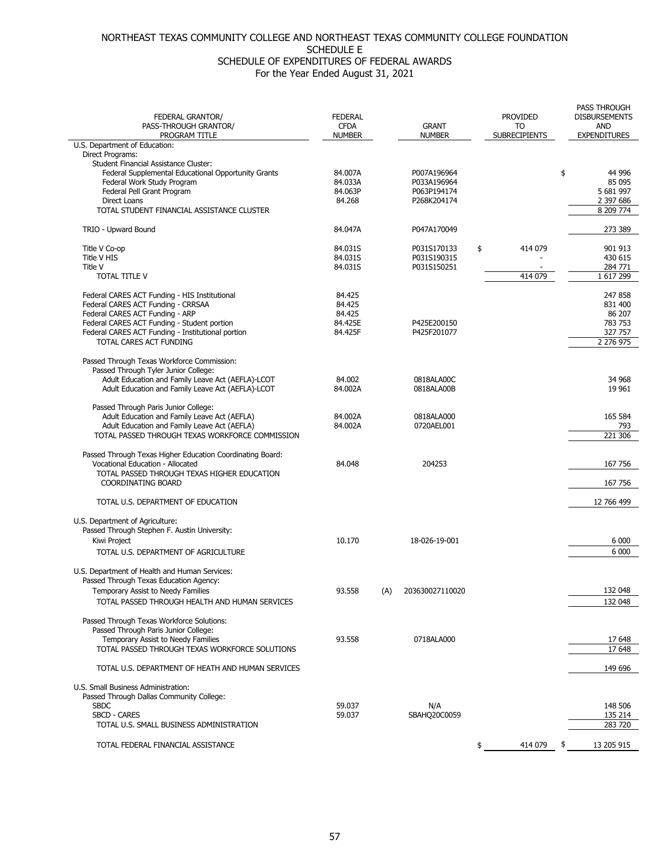# NORTHEAST TEXAS COMMUNITY COLLEGE AND NORTHEAST TEXAS COMMUNITY COLLEGE FOUNDATION SCHEDULE E SCHEDULE OF EXPENDITURES OF FEDERAL AWARDS For the Year Ended August 31, 2021

| <b>FEDERAL GRANTOR/</b><br>PASS-THROUGH GRANTOR/<br>PROGRAM TITLE                         | <b>FEDERAL</b><br><b>CFDA</b><br><b>NUMBER</b> |     | <b>GRANT</b><br><b>NUMBER</b> | <b>PROVIDED</b><br>TO<br><b>SUBRECIPIENTS</b> | <b>PASS THROUGH</b><br><b>DISBURSEMENTS</b><br>and<br><b>EXPENDITURES</b> |
|-------------------------------------------------------------------------------------------|------------------------------------------------|-----|-------------------------------|-----------------------------------------------|---------------------------------------------------------------------------|
| U.S. Department of Education:                                                             |                                                |     |                               |                                               |                                                                           |
| Direct Programs:                                                                          |                                                |     |                               |                                               |                                                                           |
| Student Financial Assistance Cluster:                                                     |                                                |     |                               |                                               |                                                                           |
| Federal Supplemental Educational Opportunity Grants                                       | 84.007A                                        |     | P007A196964                   |                                               | \$<br>44 996                                                              |
| Federal Work Study Program<br>Federal Pell Grant Program                                  | 84.033A<br>84.063P                             |     | P033A196964<br>P063P194174    |                                               | 85 095<br>5 681 997                                                       |
| Direct Loans                                                                              | 84.268                                         |     | P268K204174                   |                                               | 2 397 686                                                                 |
| TOTAL STUDENT FINANCIAL ASSISTANCE CLUSTER                                                |                                                |     |                               |                                               | 8 209 774                                                                 |
|                                                                                           |                                                |     |                               |                                               |                                                                           |
| TRIO - Upward Bound                                                                       | 84.047A                                        |     | P047A170049                   |                                               | 273 389                                                                   |
| Title V Co-op                                                                             | 84.031S                                        |     | P031S170133                   | \$<br>414 079                                 | 901 913                                                                   |
| Title V HIS                                                                               | 84.031S                                        |     | P031S190315                   |                                               | 430 615                                                                   |
| Title V                                                                                   | 84.031S                                        |     | P031S150251                   |                                               | 284 771                                                                   |
| TOTAL TITLE V                                                                             |                                                |     |                               | 414 079                                       | 1 617 299                                                                 |
| Federal CARES ACT Funding - HIS Institutional                                             | 84.425                                         |     |                               |                                               | 247 858                                                                   |
| Federal CARES ACT Funding - CRRSAA                                                        | 84.425                                         |     |                               |                                               | 831 400                                                                   |
| Federal CARES ACT Funding - ARP                                                           | 84.425                                         |     |                               |                                               | 86 207                                                                    |
| Federal CARES ACT Funding - Student portion                                               | 84.425E                                        |     | P425E200150                   |                                               | 783 753                                                                   |
| Federal CARES ACT Funding - Institutional portion                                         | 84.425F                                        |     | P425F201077                   |                                               | 327 757                                                                   |
| TOTAL CARES ACT FUNDING                                                                   |                                                |     |                               |                                               | 2 276 975                                                                 |
| Passed Through Texas Workforce Commission:                                                |                                                |     |                               |                                               |                                                                           |
| Passed Through Tyler Junior College:<br>Adult Education and Family Leave Act (AEFLA)-LCOT | 84.002                                         |     |                               |                                               | 34 968                                                                    |
| Adult Education and Family Leave Act (AEFLA)-LCOT                                         | 84.002A                                        |     | 0818ALA00C<br>0818ALA00B      |                                               | 19 961                                                                    |
|                                                                                           |                                                |     |                               |                                               |                                                                           |
| Passed Through Paris Junior College:                                                      |                                                |     |                               |                                               |                                                                           |
| Adult Education and Family Leave Act (AEFLA)                                              | 84.002A                                        |     | 0818ALA000                    |                                               | 165 584                                                                   |
| Adult Education and Family Leave Act (AEFLA)                                              | 84.002A                                        |     | 0720AEL001                    |                                               | 793                                                                       |
| TOTAL PASSED THROUGH TEXAS WORKFORCE COMMISSION                                           |                                                |     |                               |                                               | 221 306                                                                   |
|                                                                                           |                                                |     |                               |                                               |                                                                           |
| Passed Through Texas Higher Education Coordinating Board:                                 |                                                |     |                               |                                               |                                                                           |
| Vocational Education - Allocated<br>TOTAL PASSED THROUGH TEXAS HIGHER EDUCATION           | 84.048                                         |     | 204253                        |                                               | 167 756                                                                   |
| COORDINATING BOARD                                                                        |                                                |     |                               |                                               | 167 756                                                                   |
|                                                                                           |                                                |     |                               |                                               |                                                                           |
| TOTAL U.S. DEPARTMENT OF EDUCATION                                                        |                                                |     |                               |                                               | 12 766 499                                                                |
| U.S. Department of Agriculture:                                                           |                                                |     |                               |                                               |                                                                           |
| Passed Through Stephen F. Austin University:                                              |                                                |     |                               |                                               |                                                                           |
| Kiwi Project                                                                              | 10.170                                         |     | 18-026-19-001                 |                                               | 6 000                                                                     |
| TOTAL U.S. DEPARTMENT OF AGRICULTURE                                                      |                                                |     |                               |                                               | 6 000                                                                     |
| U.S. Department of Health and Human Services:                                             |                                                |     |                               |                                               |                                                                           |
| Passed Through Texas Education Agency:                                                    |                                                |     |                               |                                               |                                                                           |
| Temporary Assist to Needy Families                                                        | 93.558                                         | (A) | 203630027110020               |                                               | 132 048                                                                   |
| TOTAL PASSED THROUGH HEALTH AND HUMAN SERVICES                                            |                                                |     |                               |                                               | 132 048                                                                   |
|                                                                                           |                                                |     |                               |                                               |                                                                           |
| Passed Through Texas Workforce Solutions:                                                 |                                                |     |                               |                                               |                                                                           |
| Passed Through Paris Junior College:                                                      |                                                |     |                               |                                               |                                                                           |
| Temporary Assist to Needy Families                                                        | 93.558                                         |     | 0718ALA000                    |                                               | 17 648                                                                    |
| TOTAL PASSED THROUGH TEXAS WORKFORCE SOLUTIONS                                            |                                                |     |                               |                                               | 17 648                                                                    |
| TOTAL U.S. DEPARTMENT OF HEATH AND HUMAN SERVICES                                         |                                                |     |                               |                                               | 149 696                                                                   |
| U.S. Small Business Administration:                                                       |                                                |     |                               |                                               |                                                                           |
| Passed Through Dallas Community College:                                                  |                                                |     |                               |                                               |                                                                           |
| <b>SBDC</b>                                                                               | 59.037                                         |     | N/A                           |                                               | 148 506                                                                   |
| SBCD - CARES                                                                              | 59.037                                         |     | SBAHQ20C0059                  |                                               | 135 214                                                                   |
| TOTAL U.S. SMALL BUSINESS ADMINISTRATION                                                  |                                                |     |                               |                                               | 283 720                                                                   |
|                                                                                           |                                                |     |                               |                                               |                                                                           |
| TOTAL FEDERAL FINANCIAL ASSISTANCE                                                        |                                                |     |                               | \$<br>414 079                                 | \$<br>13 205 915                                                          |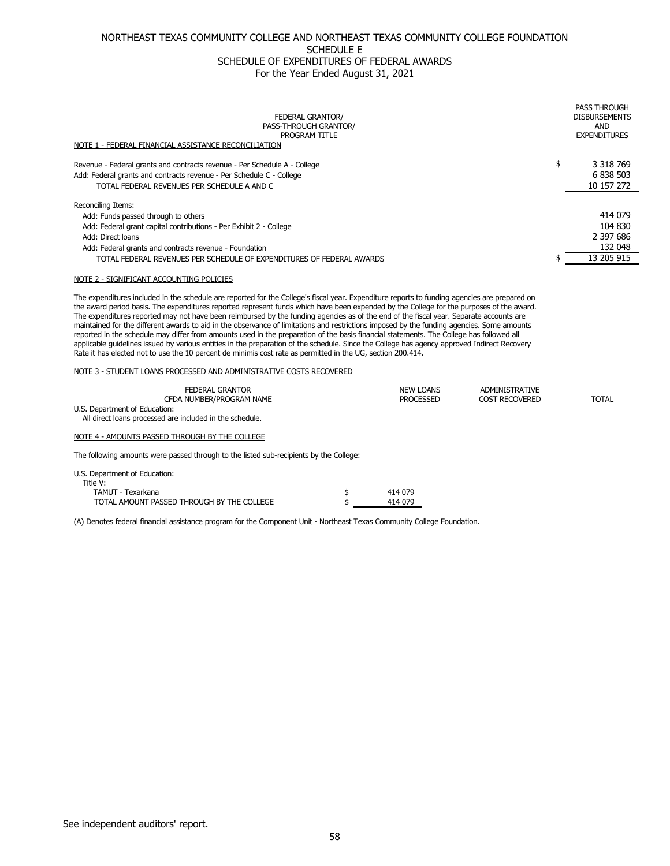### NORTHEAST TEXAS COMMUNITY COLLEGE AND NORTHEAST TEXAS COMMUNITY COLLEGE FOUNDATION SCHEDULE E SCHEDULE OF EXPENDITURES OF FEDERAL AWARDS For the Year Ended August 31, 2021

| FEDERAL GRANTOR/<br>PASS-THROUGH GRANTOR/<br>PROGRAM TITLE                                                                                                                                                                                                                              | <b>PASS THROUGH</b><br><b>DISBURSEMENTS</b><br><b>AND</b><br><b>EXPENDITURES</b> |
|-----------------------------------------------------------------------------------------------------------------------------------------------------------------------------------------------------------------------------------------------------------------------------------------|----------------------------------------------------------------------------------|
| NOTE 1 - FEDERAL FINANCIAL ASSISTANCE RECONCILIATION                                                                                                                                                                                                                                    |                                                                                  |
| Revenue - Federal grants and contracts revenue - Per Schedule A - College<br>Add: Federal grants and contracts revenue - Per Schedule C - College<br>TOTAL FEDERAL REVENUES PER SCHEDULE A AND C                                                                                        | \$<br>3 3 18 7 6 9<br>6 838 503<br>10 157 272                                    |
| Reconciling Items:<br>Add: Funds passed through to others<br>Add: Federal grant capital contributions - Per Exhibit 2 - College<br>Add: Direct Ioans<br>Add: Federal grants and contracts revenue - Foundation<br>TOTAL FEDERAL REVENUES PER SCHEDULE OF EXPENDITURES OF FEDERAL AWARDS | 414 079<br>104 830<br>2 397 686<br>132 048<br>13 205 915                         |

#### NOTE 2 - SIGNIFICANT ACCOUNTING POLICIES

The expenditures included in the schedule are reported for the College's fiscal year. Expenditure reports to funding agencies are prepared on the award period basis. The expenditures reported represent funds which have been expended by the College for the purposes of the award. The expenditures reported may not have been reimbursed by the funding agencies as of the end of the fiscal year. Separate accounts are maintained for the different awards to aid in the observance of limitations and restrictions imposed by the funding agencies. Some amounts reported in the schedule may differ from amounts used in the preparation of the basis financial statements. The College has followed all applicable guidelines issued by various entities in the preparation of the schedule. Since the College has agency approved Indirect Recovery Rate it has elected not to use the 10 percent de minimis cost rate as permitted in the UG, section 200.414.

### NOTE 3 - STUDENT LOANS PROCESSED AND ADMINISTRATIVE COSTS RECOVERED

| ЮR<br>КAl<br>GRΔN I Ω                           | ∧l⊏\/<br>λΔN | ATIVE<br>JMINI <sup>C</sup> |               |
|-------------------------------------------------|--------------|-----------------------------|---------------|
| <b>NAME</b><br>∩מחי<br>(∹D ∆M<br>мĸ             | РR           | RF<br>י                     | -----<br>`IA∟ |
| $\mathsf{H} \subset \mathsf{C}$<br>$I$ $\alpha$ |              |                             |               |

U.S. Department of Education:

All direct loans processed are included in the schedule.

NOTE 4 - AMOUNTS PASSED THROUGH BY THE COLLEGE

The following amounts were passed through to the listed sub-recipients by the College:

U.S. Department of Education:

| .<br>Title V:                              |         |
|--------------------------------------------|---------|
| TAMUT - Texarkana                          | 414 079 |
| TOTAL AMOUNT PASSED THROUGH BY THE COLLEGE | 414 079 |

(A) Denotes federal financial assistance program for the Component Unit - Northeast Texas Community College Foundation.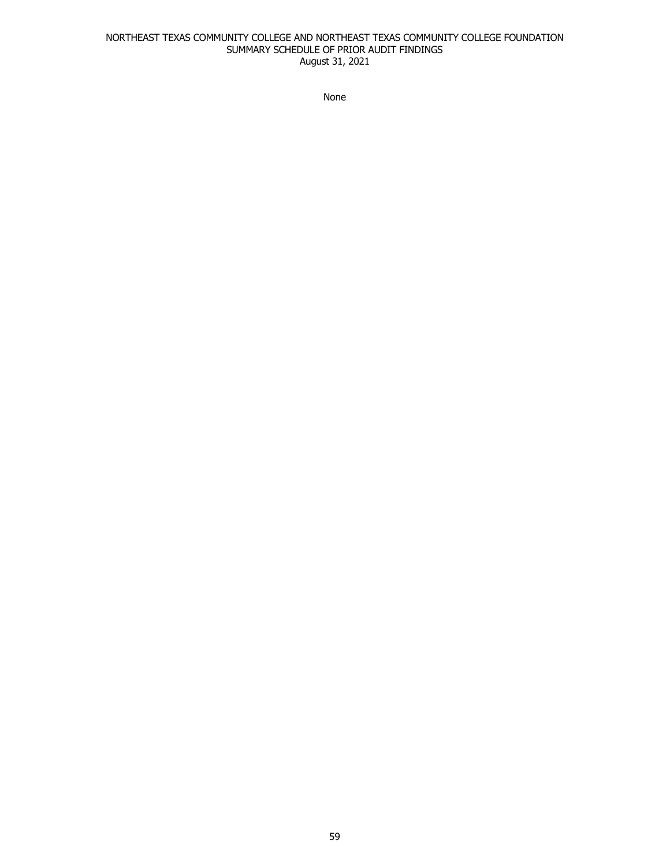# NORTHEAST TEXAS COMMUNITY COLLEGE AND NORTHEAST TEXAS COMMUNITY COLLEGE FOUNDATION SUMMARY SCHEDULE OF PRIOR AUDIT FINDINGS August 31, 2021

None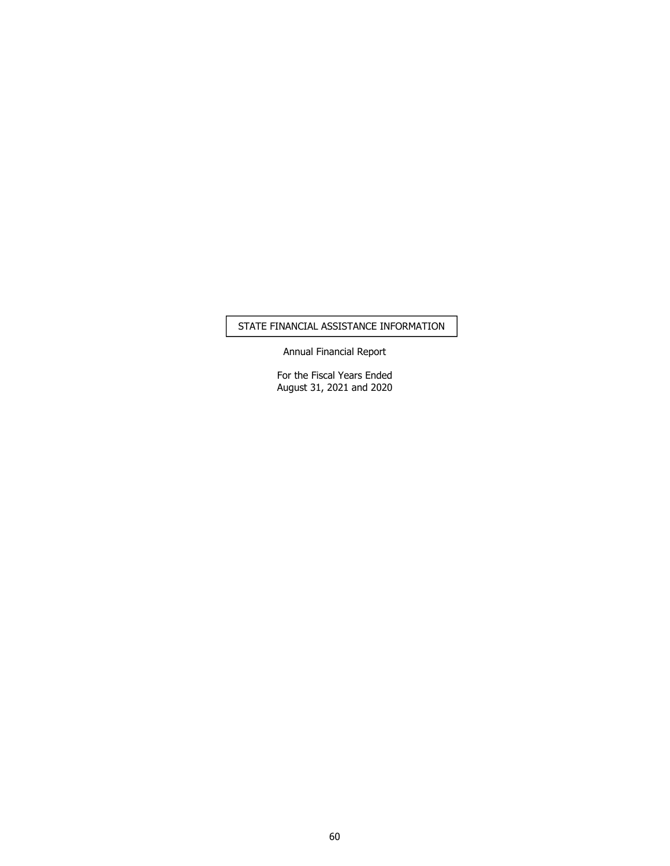# STATE FINANCIAL ASSISTANCE INFORMATION

Annual Financial Report

For the Fiscal Years Ended August 31, 2021 and 2020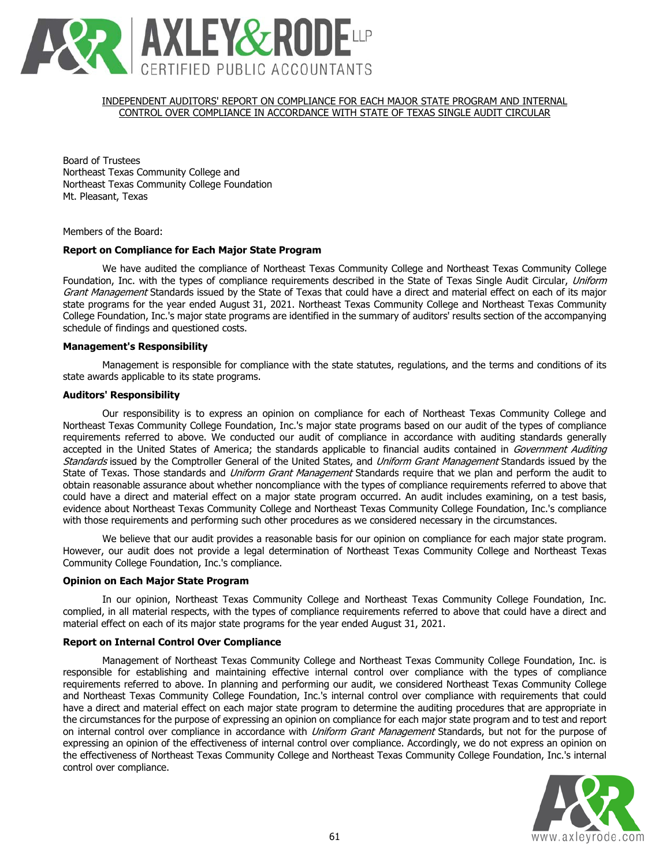

# INDEPENDENT AUDITORS' REPORT ON COMPLIANCE FOR EACH MAJOR STATE PROGRAM AND INTERNAL CONTROL OVER COMPLIANCE IN ACCORDANCE WITH STATE OF TEXAS SINGLE AUDIT CIRCULAR

Board of Trustees Northeast Texas Community College and Northeast Texas Community College Foundation Mt. Pleasant, Texas

Members of the Board:

### **Report on Compliance for Each Major State Program**

 We have audited the compliance of Northeast Texas Community College and Northeast Texas Community College Foundation, Inc. with the types of compliance requirements described in the State of Texas Single Audit Circular, Uniform Grant Management Standards issued by the State of Texas that could have a direct and material effect on each of its major state programs for the year ended August 31, 2021. Northeast Texas Community College and Northeast Texas Community College Foundation, Inc.'s major state programs are identified in the summary of auditors' results section of the accompanying schedule of findings and questioned costs.

### **Management's Responsibility**

 Management is responsible for compliance with the state statutes, regulations, and the terms and conditions of its state awards applicable to its state programs.

### **Auditors' Responsibility**

 Our responsibility is to express an opinion on compliance for each of Northeast Texas Community College and Northeast Texas Community College Foundation, Inc.'s major state programs based on our audit of the types of compliance requirements referred to above. We conducted our audit of compliance in accordance with auditing standards generally accepted in the United States of America; the standards applicable to financial audits contained in Government Auditing Standards issued by the Comptroller General of the United States, and Uniform Grant Management Standards issued by the State of Texas. Those standards and *Uniform Grant Management* Standards require that we plan and perform the audit to obtain reasonable assurance about whether noncompliance with the types of compliance requirements referred to above that could have a direct and material effect on a major state program occurred. An audit includes examining, on a test basis, evidence about Northeast Texas Community College and Northeast Texas Community College Foundation, Inc.'s compliance with those requirements and performing such other procedures as we considered necessary in the circumstances.

 We believe that our audit provides a reasonable basis for our opinion on compliance for each major state program. However, our audit does not provide a legal determination of Northeast Texas Community College and Northeast Texas Community College Foundation, Inc.'s compliance.

#### **Opinion on Each Major State Program**

 In our opinion, Northeast Texas Community College and Northeast Texas Community College Foundation, Inc. complied, in all material respects, with the types of compliance requirements referred to above that could have a direct and material effect on each of its major state programs for the year ended August 31, 2021.

#### **Report on Internal Control Over Compliance**

 Management of Northeast Texas Community College and Northeast Texas Community College Foundation, Inc. is responsible for establishing and maintaining effective internal control over compliance with the types of compliance requirements referred to above. In planning and performing our audit, we considered Northeast Texas Community College and Northeast Texas Community College Foundation, Inc.'s internal control over compliance with requirements that could have a direct and material effect on each major state program to determine the auditing procedures that are appropriate in the circumstances for the purpose of expressing an opinion on compliance for each major state program and to test and report on internal control over compliance in accordance with Uniform Grant Management Standards, but not for the purpose of expressing an opinion of the effectiveness of internal control over compliance. Accordingly, we do not express an opinion on the effectiveness of Northeast Texas Community College and Northeast Texas Community College Foundation, Inc.'s internal control over compliance.

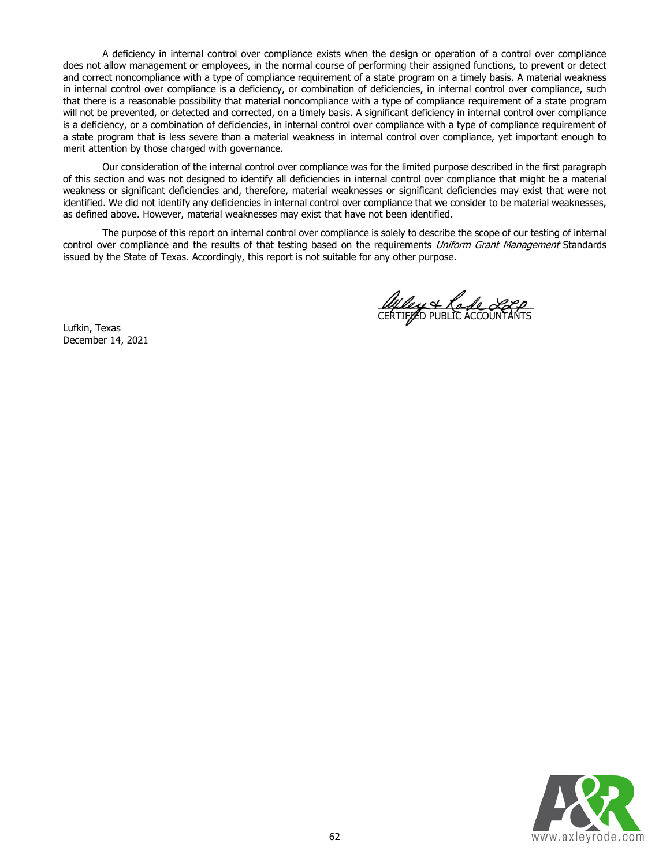A deficiency in internal control over compliance exists when the design or operation of a control over compliance does not allow management or employees, in the normal course of performing their assigned functions, to prevent or detect and correct noncompliance with a type of compliance requirement of a state program on a timely basis. A material weakness in internal control over compliance is a deficiency, or combination of deficiencies, in internal control over compliance, such that there is a reasonable possibility that material noncompliance with a type of compliance requirement of a state program will not be prevented, or detected and corrected, on a timely basis. A significant deficiency in internal control over compliance is a deficiency, or a combination of deficiencies, in internal control over compliance with a type of compliance requirement of a state program that is less severe than a material weakness in internal control over compliance, yet important enough to merit attention by those charged with governance.

 Our consideration of the internal control over compliance was for the limited purpose described in the first paragraph of this section and was not designed to identify all deficiencies in internal control over compliance that might be a material weakness or significant deficiencies and, therefore, material weaknesses or significant deficiencies may exist that were not identified. We did not identify any deficiencies in internal control over compliance that we consider to be material weaknesses, as defined above. However, material weaknesses may exist that have not been identified.

 The purpose of this report on internal control over compliance is solely to describe the scope of our testing of internal control over compliance and the results of that testing based on the requirements Uniform Grant Management Standards issued by the State of Texas. Accordingly, this report is not suitable for any other purpose.

 $lullcup \nleq \lambda \lambda P$ CERTIFIED PUBLIC ACCOUNTANTS

Lufkin, Texas December 14, 2021

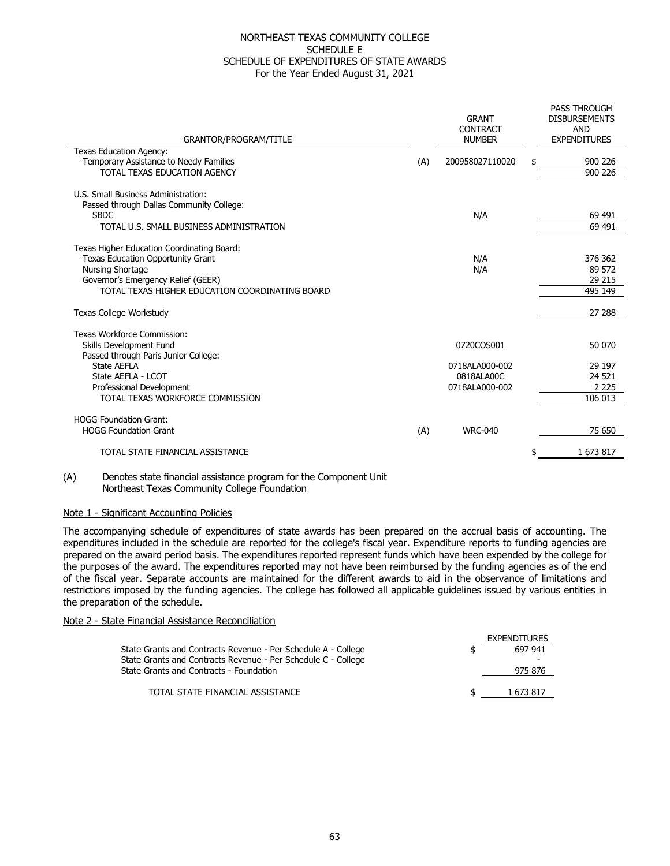## NORTHEAST TEXAS COMMUNITY COLLEGE SCHEDULE E SCHEDULE OF EXPENDITURES OF STATE AWARDS For the Year Ended August 31, 2021

|                                                 |     | <b>GRANT</b><br><b>CONTRACT</b> | <b>PASS THROUGH</b><br><b>DISBURSEMENTS</b><br><b>AND</b> |
|-------------------------------------------------|-----|---------------------------------|-----------------------------------------------------------|
| GRANTOR/PROGRAM/TITLE                           |     | <b>NUMBER</b>                   | <b>EXPENDITURES</b>                                       |
| Texas Education Agency:                         |     |                                 |                                                           |
| Temporary Assistance to Needy Families          | (A) | 200958027110020                 | \$<br>900 226                                             |
| TOTAL TEXAS EDUCATION AGENCY                    |     |                                 | 900 226                                                   |
| U.S. Small Business Administration:             |     |                                 |                                                           |
| Passed through Dallas Community College:        |     |                                 |                                                           |
| <b>SBDC</b>                                     |     | N/A                             | 69 491                                                    |
| TOTAL U.S. SMALL BUSINESS ADMINISTRATION        |     |                                 | 69 491                                                    |
| Texas Higher Education Coordinating Board:      |     |                                 |                                                           |
| Texas Education Opportunity Grant               |     | N/A                             | 376 362                                                   |
| Nursing Shortage                                |     | N/A                             | 89 572                                                    |
| Governor's Emergency Relief (GEER)              |     |                                 | 29 215                                                    |
| TOTAL TEXAS HIGHER EDUCATION COORDINATING BOARD |     |                                 | 495 149                                                   |
| <b>Texas College Workstudy</b>                  |     |                                 | 27 288                                                    |
| Texas Workforce Commission:                     |     |                                 |                                                           |
| Skills Development Fund                         |     | 0720COS001                      | 50 070                                                    |
| Passed through Paris Junior College:            |     |                                 |                                                           |
| <b>State AEFLA</b>                              |     | 0718ALA000-002                  | 29 197                                                    |
| State AEFLA - LCOT                              |     | 0818ALA00C                      | 24 521                                                    |
| Professional Development                        |     | 0718ALA000-002                  | 2 2 2 5                                                   |
| TOTAL TEXAS WORKFORCE COMMISSION                |     |                                 | 106 013                                                   |
| <b>HOGG Foundation Grant:</b>                   |     |                                 |                                                           |
| <b>HOGG Foundation Grant</b>                    | (A) | <b>WRC-040</b>                  | 75 650                                                    |
| TOTAL STATE FINANCIAL ASSISTANCE                |     |                                 | \$<br>1673817                                             |

(A) Denotes state financial assistance program for the Component Unit Northeast Texas Community College Foundation

### Note 1 - Significant Accounting Policies

The accompanying schedule of expenditures of state awards has been prepared on the accrual basis of accounting. The expenditures included in the schedule are reported for the college's fiscal year. Expenditure reports to funding agencies are prepared on the award period basis. The expenditures reported represent funds which have been expended by the college for the purposes of the award. The expenditures reported may not have been reimbursed by the funding agencies as of the end of the fiscal year. Separate accounts are maintained for the different awards to aid in the observance of limitations and restrictions imposed by the funding agencies. The college has followed all applicable guidelines issued by various entities in the preparation of the schedule.

### Note 2 - State Financial Assistance Reconciliation

| State Grants and Contracts Revenue - Per Schedule A - College<br>State Grants and Contracts Revenue - Per Schedule C - College<br>State Grants and Contracts - Foundation | EXPENDITURES<br>697 941<br>-<br>975 876 |
|---------------------------------------------------------------------------------------------------------------------------------------------------------------------------|-----------------------------------------|
| TOTAL STATE FINANCIAL ASSISTANCE                                                                                                                                          | 1 673 817                               |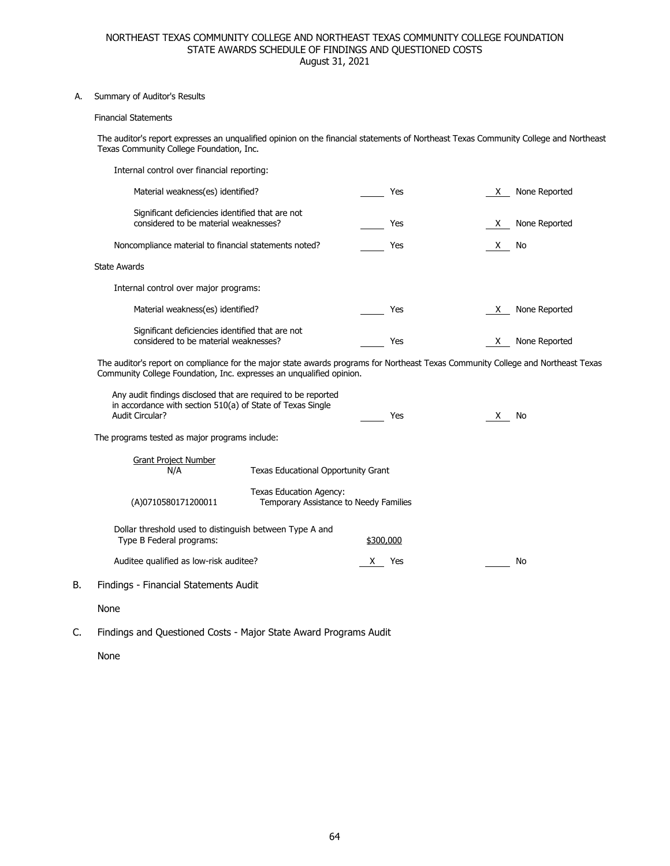### NORTHEAST TEXAS COMMUNITY COLLEGE AND NORTHEAST TEXAS COMMUNITY COLLEGE FOUNDATION STATE AWARDS SCHEDULE OF FINDINGS AND QUESTIONED COSTS August 31, 2021

#### A. Summary of Auditor's Results

#### Financial Statements

 The auditor's report expresses an unqualified opinion on the financial statements of Northeast Texas Community College and Northeast Texas Community College Foundation, Inc.

 Internal control over financial reporting: Material weakness(es) identified? Yes X None Reported Significant deficiencies identified that are not considered to be material weaknesses?  $\frac{\ }{\ }$  Yes  $\frac{X}{X}$  None Reported Noncompliance material to financial statements noted?  $\frac{\ }{2}$  Yes  $\frac{X}{X}$  No State Awards Internal control over major programs: Material weakness(es) identified? 
Wes The Society of Material weakness(es) identified?

Wes The Reported Significant deficiencies identified that are not considered to be material weaknesses?  $\frac{\ }{\ }$  Yes  $\frac{X}{X}$  None Reported The auditor's report on compliance for the major state awards programs for Northeast Texas Community College and Northeast Texas Community College Foundation, Inc. expresses an unqualified opinion. Any audit findings disclosed that are required to be reported in accordance with section 510(a) of State of Texas Single Audit Circular? Audit Circular?

The programs tested as major programs include:

|    | Grant Project Number<br>N/A                                                         | <b>Texas Educational Opportunity Grant</b>                               |           |    |
|----|-------------------------------------------------------------------------------------|--------------------------------------------------------------------------|-----------|----|
|    | (A)0710580171200011                                                                 | <b>Texas Education Agency:</b><br>Temporary Assistance to Needy Families |           |    |
|    | Dollar threshold used to distinguish between Type A and<br>Type B Federal programs: |                                                                          | \$300,000 |    |
|    | Auditee qualified as low-risk auditee?                                              |                                                                          | Yes<br>x  | No |
| В. | Findings - Financial Statements Audit                                               |                                                                          |           |    |

None

C. Findings and Questioned Costs - Major State Award Programs Audit

None